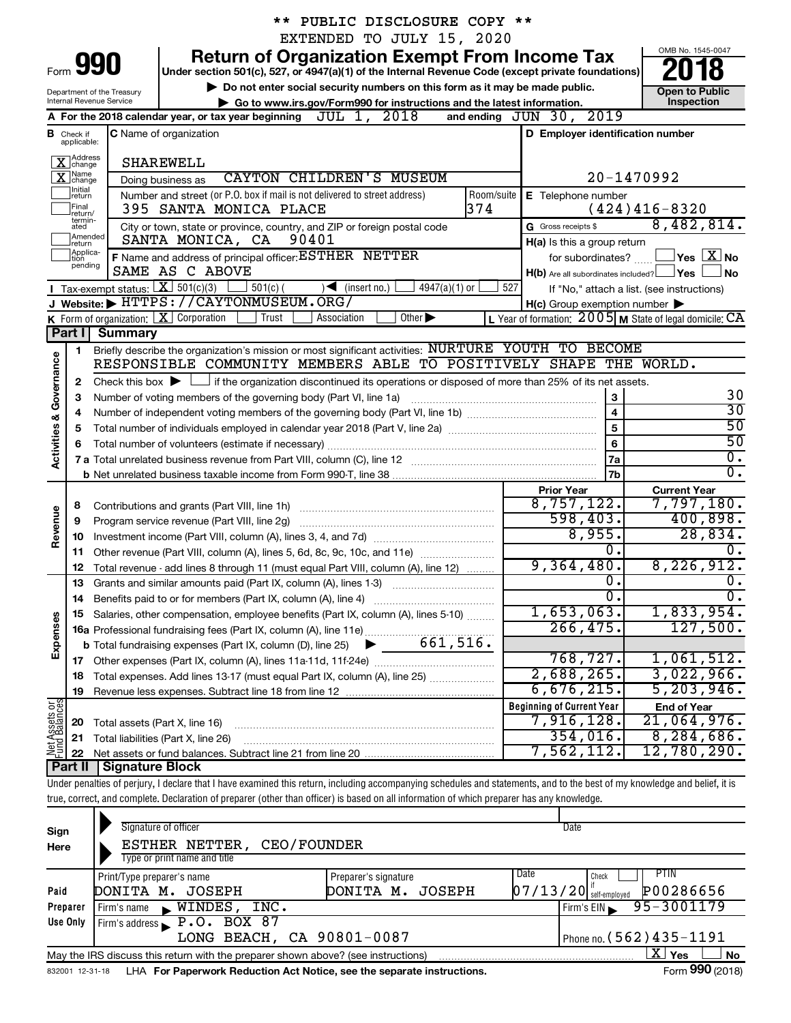|                                                                                                                 |                                                                                                                                    |                                        | ** PUBLIC DISCLOSURE COPY **                                                                                                                                               |                                                         |                                     |  |  |  |  |  |  |  |  |
|-----------------------------------------------------------------------------------------------------------------|------------------------------------------------------------------------------------------------------------------------------------|----------------------------------------|----------------------------------------------------------------------------------------------------------------------------------------------------------------------------|---------------------------------------------------------|-------------------------------------|--|--|--|--|--|--|--|--|
|                                                                                                                 |                                                                                                                                    |                                        | EXTENDED TO JULY 15, 2020                                                                                                                                                  |                                                         |                                     |  |  |  |  |  |  |  |  |
|                                                                                                                 |                                                                                                                                    | Form 990                               | <b>Return of Organization Exempt From Income Tax</b><br>Under section 501(c), 527, or 4947(a)(1) of the Internal Revenue Code (except private foundations)                 |                                                         | OMB No. 1545-0047                   |  |  |  |  |  |  |  |  |
|                                                                                                                 | Do not enter social security numbers on this form as it may be made public.<br><b>Open to Public</b><br>Department of the Treasury |                                        |                                                                                                                                                                            |                                                         |                                     |  |  |  |  |  |  |  |  |
|                                                                                                                 |                                                                                                                                    | Internal Revenue Service               | Go to www.irs.gov/Form990 for instructions and the latest information.                                                                                                     |                                                         | Inspection                          |  |  |  |  |  |  |  |  |
|                                                                                                                 |                                                                                                                                    |                                        | A For the 2018 calendar year, or tax year beginning $JUL$ 1, $2018$                                                                                                        | and ending JUN 30, 2019                                 |                                     |  |  |  |  |  |  |  |  |
|                                                                                                                 | <b>B</b> Check if<br>applicable:                                                                                                   |                                        | <b>C</b> Name of organization                                                                                                                                              | D Employer identification number                        |                                     |  |  |  |  |  |  |  |  |
|                                                                                                                 | X Address                                                                                                                          |                                        | SHAREWELL                                                                                                                                                                  |                                                         |                                     |  |  |  |  |  |  |  |  |
| $\overline{\mathbf{X}}$ Change<br><b>CAYTON CHILDREN'S MUSEUM</b><br>20-1470992<br>Doing business as<br>Initial |                                                                                                                                    |                                        |                                                                                                                                                                            |                                                         |                                     |  |  |  |  |  |  |  |  |
|                                                                                                                 | return<br>Final<br>return/<br>termin-                                                                                              |                                        | Number and street (or P.O. box if mail is not delivered to street address)<br>Room/suite<br>374<br>395 SANTA MONICA PLACE                                                  | E Telephone number                                      | $(424)416-8320$                     |  |  |  |  |  |  |  |  |
|                                                                                                                 | ated<br>Amended<br>Ireturn                                                                                                         |                                        | City or town, state or province, country, and ZIP or foreign postal code<br>SANTA MONICA, CA<br>90401                                                                      | G Gross receipts \$<br>H(a) Is this a group return      | 8,482,814.                          |  |  |  |  |  |  |  |  |
|                                                                                                                 | Applica-<br>Ition                                                                                                                  |                                        | F Name and address of principal officer: ESTHER NETTER                                                                                                                     | for subordinates?                                       | $\exists$ Yes $\boxed{\text{X}}$ No |  |  |  |  |  |  |  |  |
|                                                                                                                 | pending                                                                                                                            |                                        | SAME AS C ABOVE                                                                                                                                                            | $H(b)$ Are all subordinates included? $\Box$ Yes        | ∫ No                                |  |  |  |  |  |  |  |  |
|                                                                                                                 |                                                                                                                                    | Tax-exempt status: $X \over 301(c)(3)$ | $501(c)$ (<br>$\sqrt{\frac{1}{1}}$ (insert no.)<br>$4947(a)(1)$ or                                                                                                         | 527<br>If "No," attach a list. (see instructions)       |                                     |  |  |  |  |  |  |  |  |
|                                                                                                                 |                                                                                                                                    |                                        | J Website: FITTPS://CAYTONMUSEUM.ORG/                                                                                                                                      | $H(c)$ Group exemption number $\blacktriangleright$     |                                     |  |  |  |  |  |  |  |  |
|                                                                                                                 |                                                                                                                                    |                                        | K Form of organization: $X$ Corporation<br>Other $\blacktriangleright$<br>Trust<br>Association                                                                             | L Year of formation: 2005 M State of legal domicile: CA |                                     |  |  |  |  |  |  |  |  |
|                                                                                                                 | Part I                                                                                                                             | <b>Summary</b>                         |                                                                                                                                                                            |                                                         |                                     |  |  |  |  |  |  |  |  |
|                                                                                                                 | 1                                                                                                                                  |                                        | Briefly describe the organization's mission or most significant activities: NURTURE YOUTH TO BECOME<br>RESPONSIBLE COMMUNITY MEMBERS ABLE TO POSITIVELY SHAPE THE WORLD.   |                                                         |                                     |  |  |  |  |  |  |  |  |
| <b>Activities &amp; Governance</b>                                                                              |                                                                                                                                    |                                        |                                                                                                                                                                            |                                                         |                                     |  |  |  |  |  |  |  |  |
|                                                                                                                 | 2                                                                                                                                  |                                        | Check this box $\blacktriangleright$ $\Box$ if the organization discontinued its operations or disposed of more than 25% of its net assets.<br>$\mathbf{3}$                |                                                         |                                     |  |  |  |  |  |  |  |  |
|                                                                                                                 | 3                                                                                                                                  |                                        | Number of voting members of the governing body (Part VI, line 1a)                                                                                                          | 30<br>$\overline{30}$                                   |                                     |  |  |  |  |  |  |  |  |
|                                                                                                                 | 4                                                                                                                                  |                                        |                                                                                                                                                                            | $\overline{\mathbf{4}}$                                 | 50                                  |  |  |  |  |  |  |  |  |
|                                                                                                                 | 5                                                                                                                                  |                                        |                                                                                                                                                                            | $\overline{5}$                                          | 50                                  |  |  |  |  |  |  |  |  |
|                                                                                                                 | 6                                                                                                                                  |                                        | Total number of volunteers (estimate if necessary)                                                                                                                         | 6                                                       |                                     |  |  |  |  |  |  |  |  |
|                                                                                                                 |                                                                                                                                    |                                        |                                                                                                                                                                            | 7a                                                      | $\overline{0}$ .                    |  |  |  |  |  |  |  |  |
|                                                                                                                 |                                                                                                                                    |                                        |                                                                                                                                                                            | 7b                                                      | $\overline{0}$ .                    |  |  |  |  |  |  |  |  |
|                                                                                                                 |                                                                                                                                    |                                        |                                                                                                                                                                            | <b>Prior Year</b>                                       | <b>Current Year</b>                 |  |  |  |  |  |  |  |  |
|                                                                                                                 | 8                                                                                                                                  |                                        | Contributions and grants (Part VIII, line 1h)                                                                                                                              | 8,757,122.                                              | 7,797,180.                          |  |  |  |  |  |  |  |  |
| Revenue                                                                                                         | 9                                                                                                                                  |                                        | Program service revenue (Part VIII, line 2g)                                                                                                                               | 598,403.                                                | 400,898.                            |  |  |  |  |  |  |  |  |
|                                                                                                                 | 10                                                                                                                                 |                                        |                                                                                                                                                                            | 8,955.                                                  | 28,834.                             |  |  |  |  |  |  |  |  |
|                                                                                                                 | 11                                                                                                                                 |                                        | Other revenue (Part VIII, column (A), lines 5, 6d, 8c, 9c, 10c, and 11e)                                                                                                   | σ.                                                      | ο.                                  |  |  |  |  |  |  |  |  |
|                                                                                                                 | 12                                                                                                                                 |                                        | Total revenue - add lines 8 through 11 (must equal Part VIII, column (A), line 12)                                                                                         | 9,364,480.                                              | 8, 226, 912.                        |  |  |  |  |  |  |  |  |
|                                                                                                                 | 13                                                                                                                                 |                                        | Grants and similar amounts paid (Part IX, column (A), lines 1-3)                                                                                                           | $\overline{0}$ .                                        | $\overline{0}$ .                    |  |  |  |  |  |  |  |  |
|                                                                                                                 | 14                                                                                                                                 |                                        | Benefits paid to or for members (Part IX, column (A), line 4)                                                                                                              | 0.                                                      | $\overline{0}$ .                    |  |  |  |  |  |  |  |  |
|                                                                                                                 | 15                                                                                                                                 |                                        | Salaries, other compensation, employee benefits (Part IX, column (A), lines 5-10)                                                                                          | 1,653,063.                                              | 1,833,954.                          |  |  |  |  |  |  |  |  |
| Expenses                                                                                                        |                                                                                                                                    |                                        | 16a Professional fundraising fees (Part IX, column (A), line 11e)                                                                                                          | 266, 475.                                               | 127,500.                            |  |  |  |  |  |  |  |  |
|                                                                                                                 |                                                                                                                                    |                                        | 661,516.<br><b>b</b> Total fundraising expenses (Part IX, column (D), line 25) $\blacktriangleright$                                                                       |                                                         |                                     |  |  |  |  |  |  |  |  |
|                                                                                                                 | 17                                                                                                                                 |                                        |                                                                                                                                                                            | 768, 727.                                               | 1,061,512.                          |  |  |  |  |  |  |  |  |
|                                                                                                                 | 18                                                                                                                                 |                                        | Total expenses. Add lines 13-17 (must equal Part IX, column (A), line 25)                                                                                                  | 2,688,265.                                              | 3,022,966.                          |  |  |  |  |  |  |  |  |
|                                                                                                                 | 19                                                                                                                                 |                                        |                                                                                                                                                                            | 6,676,215.                                              | 5, 203, 946.                        |  |  |  |  |  |  |  |  |
| Net Assets or<br>Fund Balances                                                                                  |                                                                                                                                    |                                        |                                                                                                                                                                            | <b>Beginning of Current Year</b>                        | <b>End of Year</b>                  |  |  |  |  |  |  |  |  |
|                                                                                                                 | 20                                                                                                                                 | Total assets (Part X, line 16)         |                                                                                                                                                                            | 7,916,128.                                              | 21,064,976.                         |  |  |  |  |  |  |  |  |
|                                                                                                                 | 21                                                                                                                                 |                                        | Total liabilities (Part X, line 26)                                                                                                                                        | 354,016.                                                | 8, 284, 686.                        |  |  |  |  |  |  |  |  |
|                                                                                                                 | 22                                                                                                                                 |                                        |                                                                                                                                                                            | 7,562,112.                                              | 12,780,290.                         |  |  |  |  |  |  |  |  |
|                                                                                                                 | Part II                                                                                                                            | <b>Signature Block</b>                 |                                                                                                                                                                            |                                                         |                                     |  |  |  |  |  |  |  |  |
|                                                                                                                 |                                                                                                                                    |                                        | Under penalties of perjury, I declare that I have examined this return, including accompanying schedules and statements, and to the best of my knowledge and belief, it is |                                                         |                                     |  |  |  |  |  |  |  |  |
|                                                                                                                 |                                                                                                                                    |                                        | true, correct, and complete. Declaration of preparer (other than officer) is based on all information of which preparer has any knowledge.                                 |                                                         |                                     |  |  |  |  |  |  |  |  |
| Sign                                                                                                            |                                                                                                                                    |                                        | Signature of officer                                                                                                                                                       | Date                                                    |                                     |  |  |  |  |  |  |  |  |

| Sign     | <b>Signature Of Officer</b>                                                                                        |                              | <b>Dalt</b>                                        |  |  |  |  |  |  |  |  |  |
|----------|--------------------------------------------------------------------------------------------------------------------|------------------------------|----------------------------------------------------|--|--|--|--|--|--|--|--|--|
| Here     | CEO/FOUNDER<br>ESTHER NETTER,                                                                                      |                              |                                                    |  |  |  |  |  |  |  |  |  |
|          | Type or print name and title                                                                                       |                              |                                                    |  |  |  |  |  |  |  |  |  |
|          | Print/Type preparer's name                                                                                         | Date<br>Preparer's signature | PTIN<br>Check                                      |  |  |  |  |  |  |  |  |  |
| Paid     | DONITA M. JOSEPH                                                                                                   | DONITA M.<br>JOSEPH          | P00286656<br>$\left[07/13/20\right]$ self-employed |  |  |  |  |  |  |  |  |  |
| Preparer | WINDES<br>INC.<br>Firm's name<br>$\mathbf{R}$                                                                      |                              | 95-3001179<br>Firm's EIN                           |  |  |  |  |  |  |  |  |  |
| Use Only | Firm's address <b>P.O. BOX 87</b>                                                                                  |                              |                                                    |  |  |  |  |  |  |  |  |  |
|          | LONG BEACH, CA 90801-0087                                                                                          |                              | Phone no. (562) 435-1191                           |  |  |  |  |  |  |  |  |  |
|          | $\mathbf{X}$ Yes<br><b>No</b><br>May the IRS discuss this return with the preparer shown above? (see instructions) |                              |                                                    |  |  |  |  |  |  |  |  |  |
|          | Form 990 (2018)<br>LHA For Paperwork Reduction Act Notice, see the separate instructions.<br>832001 12-31-18       |                              |                                                    |  |  |  |  |  |  |  |  |  |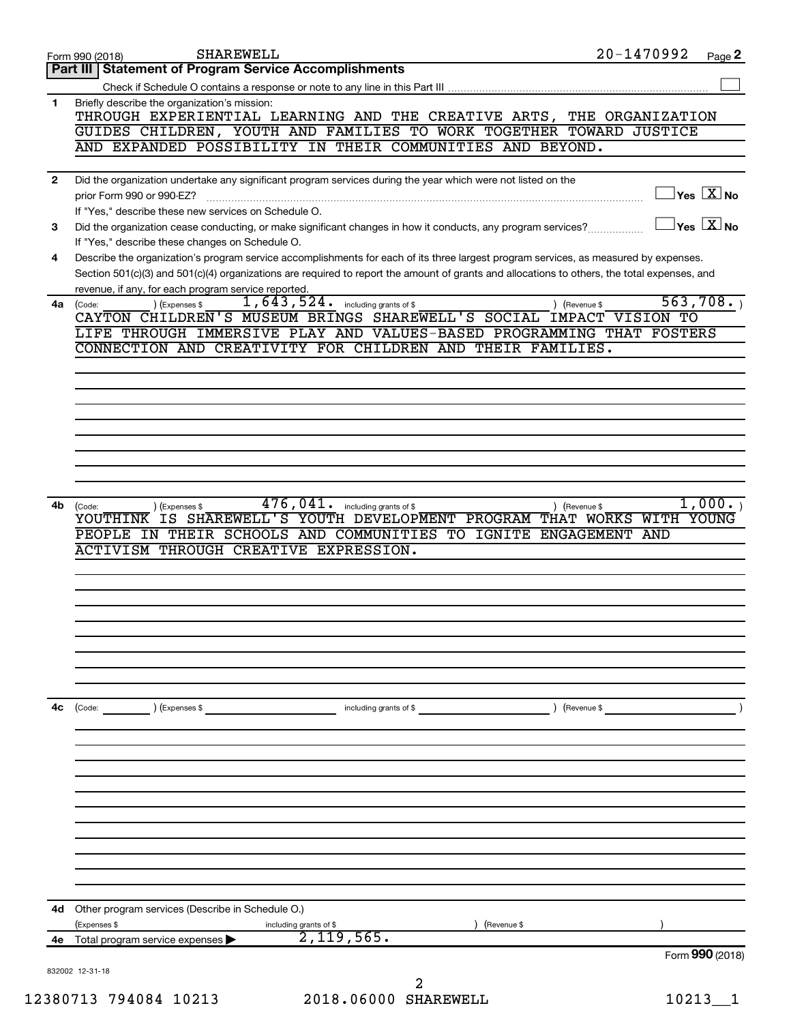|              | <b>SHAREWELL</b><br>Form 990 (2018)                                                                                                                                                                                     | 20-1470992                  | Page 2                                      |
|--------------|-------------------------------------------------------------------------------------------------------------------------------------------------------------------------------------------------------------------------|-----------------------------|---------------------------------------------|
|              | Part III   Statement of Program Service Accomplishments                                                                                                                                                                 |                             |                                             |
|              |                                                                                                                                                                                                                         |                             |                                             |
| 1            | Briefly describe the organization's mission:<br>THROUGH EXPERIENTIAL LEARNING AND THE CREATIVE ARTS, THE ORGANIZATION<br>GUIDES CHILDREN, YOUTH AND FAMILIES TO WORK TOGETHER TOWARD JUSTICE                            |                             |                                             |
|              | AND EXPANDED POSSIBILITY IN THEIR COMMUNITIES AND BEYOND.                                                                                                                                                               |                             |                                             |
|              |                                                                                                                                                                                                                         |                             |                                             |
| $\mathbf{2}$ | Did the organization undertake any significant program services during the year which were not listed on the<br>prior Form 990 or 990-EZ?                                                                               |                             | $\overline{\ }$ Yes $\overline{\rm \ }X$ No |
| 3            | If "Yes," describe these new services on Schedule O.<br>Did the organization cease conducting, or make significant changes in how it conducts, any program services?<br>If "Yes," describe these changes on Schedule O. |                             | $\gamma$ es $\boxed{X}$ No                  |
| 4            | Describe the organization's program service accomplishments for each of its three largest program services, as measured by expenses.                                                                                    |                             |                                             |
|              | Section 501(c)(3) and 501(c)(4) organizations are required to report the amount of grants and allocations to others, the total expenses, and<br>revenue, if any, for each program service reported.                     |                             |                                             |
| 4a           | 1,643,524.<br>including grants of \$<br>(Code:<br>(Expenses \$<br>CAYTON CHILDREN'S MUSEUM BRINGS SHAREWELL'S SOCIAL IMPACT VISION TO                                                                                   | 563,708.<br>) (Revenue \$   |                                             |
|              | LIFE THROUGH IMMERSIVE PLAY AND VALUES-BASED PROGRAMMING THAT FOSTERS                                                                                                                                                   |                             |                                             |
|              | CONNECTION AND CREATIVITY FOR CHILDREN AND THEIR FAMILIES.                                                                                                                                                              |                             |                                             |
|              |                                                                                                                                                                                                                         |                             |                                             |
|              |                                                                                                                                                                                                                         |                             |                                             |
|              |                                                                                                                                                                                                                         |                             |                                             |
|              |                                                                                                                                                                                                                         |                             |                                             |
|              |                                                                                                                                                                                                                         |                             |                                             |
|              |                                                                                                                                                                                                                         |                             |                                             |
|              | 476,041.                                                                                                                                                                                                                |                             | 1,000.                                      |
| 4b           | including grants of \$<br>(Code:<br>(Expenses \$<br>YOUTHINK IS SHAREWELL'S YOUTH DEVELOPMENT PROGRAM THAT WORKS                                                                                                        | ) (Revenue \$<br>WITH YOUNG |                                             |
|              | IN THEIR SCHOOLS AND COMMUNITIES TO IGNITE<br>PEOPLE                                                                                                                                                                    | <b>ENGAGEMENT</b><br>AND    |                                             |
|              | <b>ACTIVISM THROUGH CREATIVE EXPRESSION.</b>                                                                                                                                                                            |                             |                                             |
|              |                                                                                                                                                                                                                         |                             |                                             |
|              |                                                                                                                                                                                                                         |                             |                                             |
|              |                                                                                                                                                                                                                         |                             |                                             |
|              |                                                                                                                                                                                                                         |                             |                                             |
|              |                                                                                                                                                                                                                         |                             |                                             |
|              |                                                                                                                                                                                                                         |                             |                                             |
| 4с           | (Code: ) (Expenses \$<br>including grants of \$                                                                                                                                                                         | ) (Revenue \$               |                                             |
|              |                                                                                                                                                                                                                         |                             |                                             |
|              |                                                                                                                                                                                                                         |                             |                                             |
|              |                                                                                                                                                                                                                         |                             |                                             |
|              |                                                                                                                                                                                                                         |                             |                                             |
|              |                                                                                                                                                                                                                         |                             |                                             |
|              |                                                                                                                                                                                                                         |                             |                                             |
|              |                                                                                                                                                                                                                         |                             |                                             |
|              |                                                                                                                                                                                                                         |                             |                                             |
| 4d           | Other program services (Describe in Schedule O.)                                                                                                                                                                        |                             |                                             |
|              | (Expenses \$<br>including grants of \$<br>Revenue \$                                                                                                                                                                    |                             |                                             |
| 4e           | 2,119,565.<br>Total program service expenses                                                                                                                                                                            |                             |                                             |
|              | 832002 12-31-18                                                                                                                                                                                                         | Form 990 (2018)             |                                             |
|              | 2                                                                                                                                                                                                                       |                             |                                             |
|              | 2018.06000 SHAREWELL<br>12380713 794084 10213                                                                                                                                                                           | $10213 - 1$                 |                                             |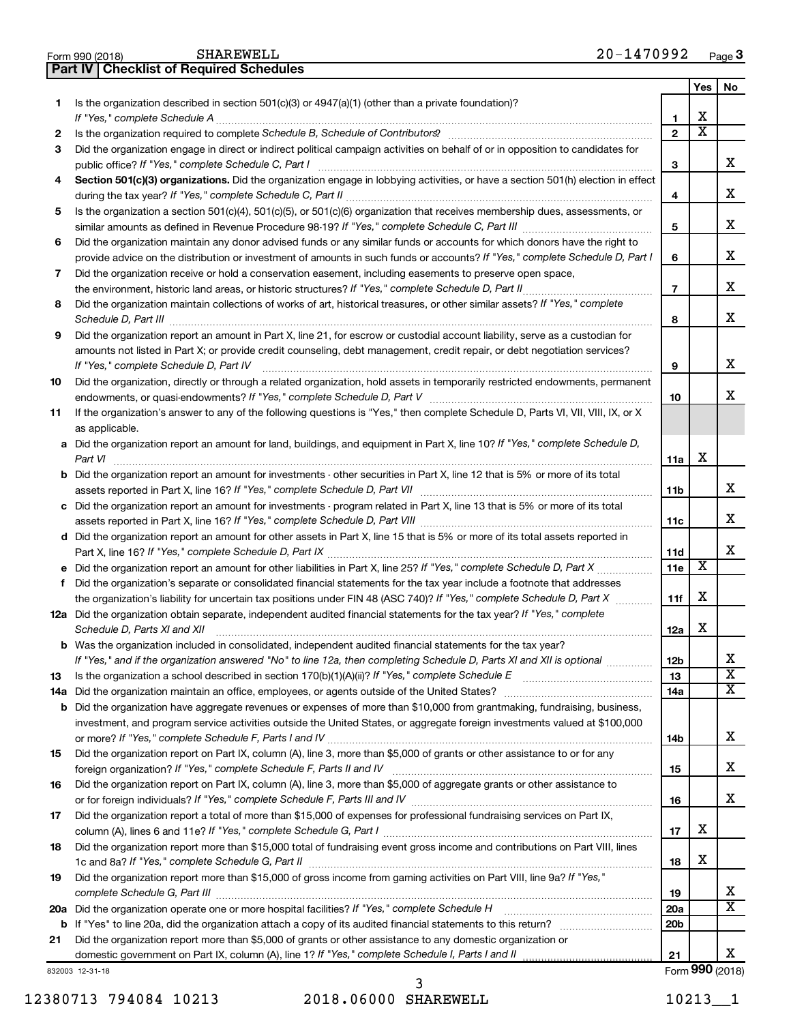| Is the organization described in section $501(c)(3)$ or $4947(a)(1)$ (other than a private foundation)?<br>1<br>х<br>1<br>$\overline{\textbf{x}}$<br>$\mathbf{2}$<br>Is the organization required to complete Schedule B, Schedule of Contributors? [[[[[[[[[[[[[[[[[[[[[[[[[[[[[[<br>2<br>Did the organization engage in direct or indirect political campaign activities on behalf of or in opposition to candidates for<br>3<br>х<br>3<br>Section 501(c)(3) organizations. Did the organization engage in lobbying activities, or have a section 501(h) election in effect<br>4<br>x<br>4<br>Is the organization a section 501(c)(4), 501(c)(5), or 501(c)(6) organization that receives membership dues, assessments, or<br>5<br>х<br>5<br>Did the organization maintain any donor advised funds or any similar funds or accounts for which donors have the right to<br>6<br>x<br>provide advice on the distribution or investment of amounts in such funds or accounts? If "Yes," complete Schedule D, Part I<br>6<br>Did the organization receive or hold a conservation easement, including easements to preserve open space,<br>7<br>x<br>$\overline{7}$<br>Did the organization maintain collections of works of art, historical treasures, or other similar assets? If "Yes," complete<br>8<br>х<br>Schedule D, Part III <b>Marting Community</b> Construction of the United Schedule D, Part III<br>8<br>Did the organization report an amount in Part X, line 21, for escrow or custodial account liability, serve as a custodian for<br>9<br>amounts not listed in Part X; or provide credit counseling, debt management, credit repair, or debt negotiation services?<br>х<br>If "Yes," complete Schedule D, Part IV<br>9<br>Did the organization, directly or through a related organization, hold assets in temporarily restricted endowments, permanent<br>10<br>х<br>10<br>If the organization's answer to any of the following questions is "Yes," then complete Schedule D, Parts VI, VII, VIII, IX, or X<br>11<br>as applicable.<br>a Did the organization report an amount for land, buildings, and equipment in Part X, line 10? If "Yes," complete Schedule D,<br>х<br>11a<br>Part VI<br><b>b</b> Did the organization report an amount for investments - other securities in Part X, line 12 that is 5% or more of its total<br>x<br>11b<br>c Did the organization report an amount for investments - program related in Part X, line 13 that is 5% or more of its total<br>x<br>11c<br>d Did the organization report an amount for other assets in Part X, line 15 that is 5% or more of its total assets reported in<br>x<br>11d<br>х<br>11e<br>Did the organization's separate or consolidated financial statements for the tax year include a footnote that addresses<br>f<br>х<br>the organization's liability for uncertain tax positions under FIN 48 (ASC 740)? If "Yes," complete Schedule D, Part X<br>11f<br>12a Did the organization obtain separate, independent audited financial statements for the tax year? If "Yes," complete<br>х<br>Schedule D, Parts XI and XII<br>12a<br><b>b</b> Was the organization included in consolidated, independent audited financial statements for the tax year?<br>If "Yes," and if the organization answered "No" to line 12a, then completing Schedule D, Parts XI and XII is optional<br>12b<br>A<br>$\overline{\textbf{x}}$<br>13<br>13<br>х<br>14a<br>14a<br>Did the organization have aggregate revenues or expenses of more than \$10,000 from grantmaking, fundraising, business,<br>b<br>investment, and program service activities outside the United States, or aggregate foreign investments valued at \$100,000<br>x<br>14b<br>Did the organization report on Part IX, column (A), line 3, more than \$5,000 of grants or other assistance to or for any<br>15<br>x<br>15<br>Did the organization report on Part IX, column (A), line 3, more than \$5,000 of aggregate grants or other assistance to<br>16<br>x<br>16<br>Did the organization report a total of more than \$15,000 of expenses for professional fundraising services on Part IX,<br>17<br>х<br>17<br>Did the organization report more than \$15,000 total of fundraising event gross income and contributions on Part VIII. lines<br>18<br>х<br>18<br>Did the organization report more than \$15,000 of gross income from gaming activities on Part VIII, line 9a? If "Yes,"<br>19<br>х<br>19<br>$\overline{\textbf{x}}$<br>Did the organization operate one or more hospital facilities? If "Yes," complete Schedule H<br><b>20a</b><br>20a<br>20 <sub>b</sub><br>b<br>Did the organization report more than \$5,000 of grants or other assistance to any domestic organization or<br>21<br>х<br>domestic government on Part IX, column (A), line 1? If "Yes," complete Schedule I, Parts I and II<br>21<br>Form 990 (2018)<br>832003 12-31-18 |  | Yes | <b>No</b> |
|----------------------------------------------------------------------------------------------------------------------------------------------------------------------------------------------------------------------------------------------------------------------------------------------------------------------------------------------------------------------------------------------------------------------------------------------------------------------------------------------------------------------------------------------------------------------------------------------------------------------------------------------------------------------------------------------------------------------------------------------------------------------------------------------------------------------------------------------------------------------------------------------------------------------------------------------------------------------------------------------------------------------------------------------------------------------------------------------------------------------------------------------------------------------------------------------------------------------------------------------------------------------------------------------------------------------------------------------------------------------------------------------------------------------------------------------------------------------------------------------------------------------------------------------------------------------------------------------------------------------------------------------------------------------------------------------------------------------------------------------------------------------------------------------------------------------------------------------------------------------------------------------------------------------------------------------------------------------------------------------------------------------------------------------------------------------------------------------------------------------------------------------------------------------------------------------------------------------------------------------------------------------------------------------------------------------------------------------------------------------------------------------------------------------------------------------------------------------------------------------------------------------------------------------------------------------------------------------------------------------------------------------------------------------------------------------------------------------------------------------------------------------------------------------------------------------------------------------------------------------------------------------------------------------------------------------------------------------------------------------------------------------------------------------------------------------------------------------------------------------------------------------------------------------------------------------------------------------------------------------------------------------------------------------------------------------------------------------------------------------------------------------------------------------------------------------------------------------------------------------------------------------------------------------------------------------------------------------------------------------------------------------------------------------------------------------------------------------------------------------------------------------------------------------------------------------------------------------------------------------------------------------------------------------------------------------------------------------------------------------------------------------------------------------------------------------------------------------------------------------------------------------------------------------------------------------------------------------------------------------------------------------------------------------------------------------------------------------------------------------------------------------------------------------------------------------------------------------------------------------------------------------------------------------------------------------------------------------------------------------------------------------------------------------------------------------------------------------------------------------------------------------------------------------------------------------------------------------------------------------------------------------------------|--|-----|-----------|
|                                                                                                                                                                                                                                                                                                                                                                                                                                                                                                                                                                                                                                                                                                                                                                                                                                                                                                                                                                                                                                                                                                                                                                                                                                                                                                                                                                                                                                                                                                                                                                                                                                                                                                                                                                                                                                                                                                                                                                                                                                                                                                                                                                                                                                                                                                                                                                                                                                                                                                                                                                                                                                                                                                                                                                                                                                                                                                                                                                                                                                                                                                                                                                                                                                                                                                                                                                                                                                                                                                                                                                                                                                                                                                                                                                                                                                                                                                                                                                                                                                                                                                                                                                                                                                                                                                                                                                                                                                                                                                                                                                                                                                                                                                                                                                                                                                                                                                          |  |     |           |
|                                                                                                                                                                                                                                                                                                                                                                                                                                                                                                                                                                                                                                                                                                                                                                                                                                                                                                                                                                                                                                                                                                                                                                                                                                                                                                                                                                                                                                                                                                                                                                                                                                                                                                                                                                                                                                                                                                                                                                                                                                                                                                                                                                                                                                                                                                                                                                                                                                                                                                                                                                                                                                                                                                                                                                                                                                                                                                                                                                                                                                                                                                                                                                                                                                                                                                                                                                                                                                                                                                                                                                                                                                                                                                                                                                                                                                                                                                                                                                                                                                                                                                                                                                                                                                                                                                                                                                                                                                                                                                                                                                                                                                                                                                                                                                                                                                                                                                          |  |     |           |
|                                                                                                                                                                                                                                                                                                                                                                                                                                                                                                                                                                                                                                                                                                                                                                                                                                                                                                                                                                                                                                                                                                                                                                                                                                                                                                                                                                                                                                                                                                                                                                                                                                                                                                                                                                                                                                                                                                                                                                                                                                                                                                                                                                                                                                                                                                                                                                                                                                                                                                                                                                                                                                                                                                                                                                                                                                                                                                                                                                                                                                                                                                                                                                                                                                                                                                                                                                                                                                                                                                                                                                                                                                                                                                                                                                                                                                                                                                                                                                                                                                                                                                                                                                                                                                                                                                                                                                                                                                                                                                                                                                                                                                                                                                                                                                                                                                                                                                          |  |     |           |
|                                                                                                                                                                                                                                                                                                                                                                                                                                                                                                                                                                                                                                                                                                                                                                                                                                                                                                                                                                                                                                                                                                                                                                                                                                                                                                                                                                                                                                                                                                                                                                                                                                                                                                                                                                                                                                                                                                                                                                                                                                                                                                                                                                                                                                                                                                                                                                                                                                                                                                                                                                                                                                                                                                                                                                                                                                                                                                                                                                                                                                                                                                                                                                                                                                                                                                                                                                                                                                                                                                                                                                                                                                                                                                                                                                                                                                                                                                                                                                                                                                                                                                                                                                                                                                                                                                                                                                                                                                                                                                                                                                                                                                                                                                                                                                                                                                                                                                          |  |     |           |
|                                                                                                                                                                                                                                                                                                                                                                                                                                                                                                                                                                                                                                                                                                                                                                                                                                                                                                                                                                                                                                                                                                                                                                                                                                                                                                                                                                                                                                                                                                                                                                                                                                                                                                                                                                                                                                                                                                                                                                                                                                                                                                                                                                                                                                                                                                                                                                                                                                                                                                                                                                                                                                                                                                                                                                                                                                                                                                                                                                                                                                                                                                                                                                                                                                                                                                                                                                                                                                                                                                                                                                                                                                                                                                                                                                                                                                                                                                                                                                                                                                                                                                                                                                                                                                                                                                                                                                                                                                                                                                                                                                                                                                                                                                                                                                                                                                                                                                          |  |     |           |
|                                                                                                                                                                                                                                                                                                                                                                                                                                                                                                                                                                                                                                                                                                                                                                                                                                                                                                                                                                                                                                                                                                                                                                                                                                                                                                                                                                                                                                                                                                                                                                                                                                                                                                                                                                                                                                                                                                                                                                                                                                                                                                                                                                                                                                                                                                                                                                                                                                                                                                                                                                                                                                                                                                                                                                                                                                                                                                                                                                                                                                                                                                                                                                                                                                                                                                                                                                                                                                                                                                                                                                                                                                                                                                                                                                                                                                                                                                                                                                                                                                                                                                                                                                                                                                                                                                                                                                                                                                                                                                                                                                                                                                                                                                                                                                                                                                                                                                          |  |     |           |
|                                                                                                                                                                                                                                                                                                                                                                                                                                                                                                                                                                                                                                                                                                                                                                                                                                                                                                                                                                                                                                                                                                                                                                                                                                                                                                                                                                                                                                                                                                                                                                                                                                                                                                                                                                                                                                                                                                                                                                                                                                                                                                                                                                                                                                                                                                                                                                                                                                                                                                                                                                                                                                                                                                                                                                                                                                                                                                                                                                                                                                                                                                                                                                                                                                                                                                                                                                                                                                                                                                                                                                                                                                                                                                                                                                                                                                                                                                                                                                                                                                                                                                                                                                                                                                                                                                                                                                                                                                                                                                                                                                                                                                                                                                                                                                                                                                                                                                          |  |     |           |
|                                                                                                                                                                                                                                                                                                                                                                                                                                                                                                                                                                                                                                                                                                                                                                                                                                                                                                                                                                                                                                                                                                                                                                                                                                                                                                                                                                                                                                                                                                                                                                                                                                                                                                                                                                                                                                                                                                                                                                                                                                                                                                                                                                                                                                                                                                                                                                                                                                                                                                                                                                                                                                                                                                                                                                                                                                                                                                                                                                                                                                                                                                                                                                                                                                                                                                                                                                                                                                                                                                                                                                                                                                                                                                                                                                                                                                                                                                                                                                                                                                                                                                                                                                                                                                                                                                                                                                                                                                                                                                                                                                                                                                                                                                                                                                                                                                                                                                          |  |     |           |
|                                                                                                                                                                                                                                                                                                                                                                                                                                                                                                                                                                                                                                                                                                                                                                                                                                                                                                                                                                                                                                                                                                                                                                                                                                                                                                                                                                                                                                                                                                                                                                                                                                                                                                                                                                                                                                                                                                                                                                                                                                                                                                                                                                                                                                                                                                                                                                                                                                                                                                                                                                                                                                                                                                                                                                                                                                                                                                                                                                                                                                                                                                                                                                                                                                                                                                                                                                                                                                                                                                                                                                                                                                                                                                                                                                                                                                                                                                                                                                                                                                                                                                                                                                                                                                                                                                                                                                                                                                                                                                                                                                                                                                                                                                                                                                                                                                                                                                          |  |     |           |
|                                                                                                                                                                                                                                                                                                                                                                                                                                                                                                                                                                                                                                                                                                                                                                                                                                                                                                                                                                                                                                                                                                                                                                                                                                                                                                                                                                                                                                                                                                                                                                                                                                                                                                                                                                                                                                                                                                                                                                                                                                                                                                                                                                                                                                                                                                                                                                                                                                                                                                                                                                                                                                                                                                                                                                                                                                                                                                                                                                                                                                                                                                                                                                                                                                                                                                                                                                                                                                                                                                                                                                                                                                                                                                                                                                                                                                                                                                                                                                                                                                                                                                                                                                                                                                                                                                                                                                                                                                                                                                                                                                                                                                                                                                                                                                                                                                                                                                          |  |     |           |
|                                                                                                                                                                                                                                                                                                                                                                                                                                                                                                                                                                                                                                                                                                                                                                                                                                                                                                                                                                                                                                                                                                                                                                                                                                                                                                                                                                                                                                                                                                                                                                                                                                                                                                                                                                                                                                                                                                                                                                                                                                                                                                                                                                                                                                                                                                                                                                                                                                                                                                                                                                                                                                                                                                                                                                                                                                                                                                                                                                                                                                                                                                                                                                                                                                                                                                                                                                                                                                                                                                                                                                                                                                                                                                                                                                                                                                                                                                                                                                                                                                                                                                                                                                                                                                                                                                                                                                                                                                                                                                                                                                                                                                                                                                                                                                                                                                                                                                          |  |     |           |
|                                                                                                                                                                                                                                                                                                                                                                                                                                                                                                                                                                                                                                                                                                                                                                                                                                                                                                                                                                                                                                                                                                                                                                                                                                                                                                                                                                                                                                                                                                                                                                                                                                                                                                                                                                                                                                                                                                                                                                                                                                                                                                                                                                                                                                                                                                                                                                                                                                                                                                                                                                                                                                                                                                                                                                                                                                                                                                                                                                                                                                                                                                                                                                                                                                                                                                                                                                                                                                                                                                                                                                                                                                                                                                                                                                                                                                                                                                                                                                                                                                                                                                                                                                                                                                                                                                                                                                                                                                                                                                                                                                                                                                                                                                                                                                                                                                                                                                          |  |     |           |
|                                                                                                                                                                                                                                                                                                                                                                                                                                                                                                                                                                                                                                                                                                                                                                                                                                                                                                                                                                                                                                                                                                                                                                                                                                                                                                                                                                                                                                                                                                                                                                                                                                                                                                                                                                                                                                                                                                                                                                                                                                                                                                                                                                                                                                                                                                                                                                                                                                                                                                                                                                                                                                                                                                                                                                                                                                                                                                                                                                                                                                                                                                                                                                                                                                                                                                                                                                                                                                                                                                                                                                                                                                                                                                                                                                                                                                                                                                                                                                                                                                                                                                                                                                                                                                                                                                                                                                                                                                                                                                                                                                                                                                                                                                                                                                                                                                                                                                          |  |     |           |
|                                                                                                                                                                                                                                                                                                                                                                                                                                                                                                                                                                                                                                                                                                                                                                                                                                                                                                                                                                                                                                                                                                                                                                                                                                                                                                                                                                                                                                                                                                                                                                                                                                                                                                                                                                                                                                                                                                                                                                                                                                                                                                                                                                                                                                                                                                                                                                                                                                                                                                                                                                                                                                                                                                                                                                                                                                                                                                                                                                                                                                                                                                                                                                                                                                                                                                                                                                                                                                                                                                                                                                                                                                                                                                                                                                                                                                                                                                                                                                                                                                                                                                                                                                                                                                                                                                                                                                                                                                                                                                                                                                                                                                                                                                                                                                                                                                                                                                          |  |     |           |
|                                                                                                                                                                                                                                                                                                                                                                                                                                                                                                                                                                                                                                                                                                                                                                                                                                                                                                                                                                                                                                                                                                                                                                                                                                                                                                                                                                                                                                                                                                                                                                                                                                                                                                                                                                                                                                                                                                                                                                                                                                                                                                                                                                                                                                                                                                                                                                                                                                                                                                                                                                                                                                                                                                                                                                                                                                                                                                                                                                                                                                                                                                                                                                                                                                                                                                                                                                                                                                                                                                                                                                                                                                                                                                                                                                                                                                                                                                                                                                                                                                                                                                                                                                                                                                                                                                                                                                                                                                                                                                                                                                                                                                                                                                                                                                                                                                                                                                          |  |     |           |
|                                                                                                                                                                                                                                                                                                                                                                                                                                                                                                                                                                                                                                                                                                                                                                                                                                                                                                                                                                                                                                                                                                                                                                                                                                                                                                                                                                                                                                                                                                                                                                                                                                                                                                                                                                                                                                                                                                                                                                                                                                                                                                                                                                                                                                                                                                                                                                                                                                                                                                                                                                                                                                                                                                                                                                                                                                                                                                                                                                                                                                                                                                                                                                                                                                                                                                                                                                                                                                                                                                                                                                                                                                                                                                                                                                                                                                                                                                                                                                                                                                                                                                                                                                                                                                                                                                                                                                                                                                                                                                                                                                                                                                                                                                                                                                                                                                                                                                          |  |     |           |
|                                                                                                                                                                                                                                                                                                                                                                                                                                                                                                                                                                                                                                                                                                                                                                                                                                                                                                                                                                                                                                                                                                                                                                                                                                                                                                                                                                                                                                                                                                                                                                                                                                                                                                                                                                                                                                                                                                                                                                                                                                                                                                                                                                                                                                                                                                                                                                                                                                                                                                                                                                                                                                                                                                                                                                                                                                                                                                                                                                                                                                                                                                                                                                                                                                                                                                                                                                                                                                                                                                                                                                                                                                                                                                                                                                                                                                                                                                                                                                                                                                                                                                                                                                                                                                                                                                                                                                                                                                                                                                                                                                                                                                                                                                                                                                                                                                                                                                          |  |     |           |
|                                                                                                                                                                                                                                                                                                                                                                                                                                                                                                                                                                                                                                                                                                                                                                                                                                                                                                                                                                                                                                                                                                                                                                                                                                                                                                                                                                                                                                                                                                                                                                                                                                                                                                                                                                                                                                                                                                                                                                                                                                                                                                                                                                                                                                                                                                                                                                                                                                                                                                                                                                                                                                                                                                                                                                                                                                                                                                                                                                                                                                                                                                                                                                                                                                                                                                                                                                                                                                                                                                                                                                                                                                                                                                                                                                                                                                                                                                                                                                                                                                                                                                                                                                                                                                                                                                                                                                                                                                                                                                                                                                                                                                                                                                                                                                                                                                                                                                          |  |     |           |
|                                                                                                                                                                                                                                                                                                                                                                                                                                                                                                                                                                                                                                                                                                                                                                                                                                                                                                                                                                                                                                                                                                                                                                                                                                                                                                                                                                                                                                                                                                                                                                                                                                                                                                                                                                                                                                                                                                                                                                                                                                                                                                                                                                                                                                                                                                                                                                                                                                                                                                                                                                                                                                                                                                                                                                                                                                                                                                                                                                                                                                                                                                                                                                                                                                                                                                                                                                                                                                                                                                                                                                                                                                                                                                                                                                                                                                                                                                                                                                                                                                                                                                                                                                                                                                                                                                                                                                                                                                                                                                                                                                                                                                                                                                                                                                                                                                                                                                          |  |     |           |
|                                                                                                                                                                                                                                                                                                                                                                                                                                                                                                                                                                                                                                                                                                                                                                                                                                                                                                                                                                                                                                                                                                                                                                                                                                                                                                                                                                                                                                                                                                                                                                                                                                                                                                                                                                                                                                                                                                                                                                                                                                                                                                                                                                                                                                                                                                                                                                                                                                                                                                                                                                                                                                                                                                                                                                                                                                                                                                                                                                                                                                                                                                                                                                                                                                                                                                                                                                                                                                                                                                                                                                                                                                                                                                                                                                                                                                                                                                                                                                                                                                                                                                                                                                                                                                                                                                                                                                                                                                                                                                                                                                                                                                                                                                                                                                                                                                                                                                          |  |     |           |
|                                                                                                                                                                                                                                                                                                                                                                                                                                                                                                                                                                                                                                                                                                                                                                                                                                                                                                                                                                                                                                                                                                                                                                                                                                                                                                                                                                                                                                                                                                                                                                                                                                                                                                                                                                                                                                                                                                                                                                                                                                                                                                                                                                                                                                                                                                                                                                                                                                                                                                                                                                                                                                                                                                                                                                                                                                                                                                                                                                                                                                                                                                                                                                                                                                                                                                                                                                                                                                                                                                                                                                                                                                                                                                                                                                                                                                                                                                                                                                                                                                                                                                                                                                                                                                                                                                                                                                                                                                                                                                                                                                                                                                                                                                                                                                                                                                                                                                          |  |     |           |
|                                                                                                                                                                                                                                                                                                                                                                                                                                                                                                                                                                                                                                                                                                                                                                                                                                                                                                                                                                                                                                                                                                                                                                                                                                                                                                                                                                                                                                                                                                                                                                                                                                                                                                                                                                                                                                                                                                                                                                                                                                                                                                                                                                                                                                                                                                                                                                                                                                                                                                                                                                                                                                                                                                                                                                                                                                                                                                                                                                                                                                                                                                                                                                                                                                                                                                                                                                                                                                                                                                                                                                                                                                                                                                                                                                                                                                                                                                                                                                                                                                                                                                                                                                                                                                                                                                                                                                                                                                                                                                                                                                                                                                                                                                                                                                                                                                                                                                          |  |     |           |
|                                                                                                                                                                                                                                                                                                                                                                                                                                                                                                                                                                                                                                                                                                                                                                                                                                                                                                                                                                                                                                                                                                                                                                                                                                                                                                                                                                                                                                                                                                                                                                                                                                                                                                                                                                                                                                                                                                                                                                                                                                                                                                                                                                                                                                                                                                                                                                                                                                                                                                                                                                                                                                                                                                                                                                                                                                                                                                                                                                                                                                                                                                                                                                                                                                                                                                                                                                                                                                                                                                                                                                                                                                                                                                                                                                                                                                                                                                                                                                                                                                                                                                                                                                                                                                                                                                                                                                                                                                                                                                                                                                                                                                                                                                                                                                                                                                                                                                          |  |     |           |
|                                                                                                                                                                                                                                                                                                                                                                                                                                                                                                                                                                                                                                                                                                                                                                                                                                                                                                                                                                                                                                                                                                                                                                                                                                                                                                                                                                                                                                                                                                                                                                                                                                                                                                                                                                                                                                                                                                                                                                                                                                                                                                                                                                                                                                                                                                                                                                                                                                                                                                                                                                                                                                                                                                                                                                                                                                                                                                                                                                                                                                                                                                                                                                                                                                                                                                                                                                                                                                                                                                                                                                                                                                                                                                                                                                                                                                                                                                                                                                                                                                                                                                                                                                                                                                                                                                                                                                                                                                                                                                                                                                                                                                                                                                                                                                                                                                                                                                          |  |     |           |
|                                                                                                                                                                                                                                                                                                                                                                                                                                                                                                                                                                                                                                                                                                                                                                                                                                                                                                                                                                                                                                                                                                                                                                                                                                                                                                                                                                                                                                                                                                                                                                                                                                                                                                                                                                                                                                                                                                                                                                                                                                                                                                                                                                                                                                                                                                                                                                                                                                                                                                                                                                                                                                                                                                                                                                                                                                                                                                                                                                                                                                                                                                                                                                                                                                                                                                                                                                                                                                                                                                                                                                                                                                                                                                                                                                                                                                                                                                                                                                                                                                                                                                                                                                                                                                                                                                                                                                                                                                                                                                                                                                                                                                                                                                                                                                                                                                                                                                          |  |     |           |
|                                                                                                                                                                                                                                                                                                                                                                                                                                                                                                                                                                                                                                                                                                                                                                                                                                                                                                                                                                                                                                                                                                                                                                                                                                                                                                                                                                                                                                                                                                                                                                                                                                                                                                                                                                                                                                                                                                                                                                                                                                                                                                                                                                                                                                                                                                                                                                                                                                                                                                                                                                                                                                                                                                                                                                                                                                                                                                                                                                                                                                                                                                                                                                                                                                                                                                                                                                                                                                                                                                                                                                                                                                                                                                                                                                                                                                                                                                                                                                                                                                                                                                                                                                                                                                                                                                                                                                                                                                                                                                                                                                                                                                                                                                                                                                                                                                                                                                          |  |     |           |
|                                                                                                                                                                                                                                                                                                                                                                                                                                                                                                                                                                                                                                                                                                                                                                                                                                                                                                                                                                                                                                                                                                                                                                                                                                                                                                                                                                                                                                                                                                                                                                                                                                                                                                                                                                                                                                                                                                                                                                                                                                                                                                                                                                                                                                                                                                                                                                                                                                                                                                                                                                                                                                                                                                                                                                                                                                                                                                                                                                                                                                                                                                                                                                                                                                                                                                                                                                                                                                                                                                                                                                                                                                                                                                                                                                                                                                                                                                                                                                                                                                                                                                                                                                                                                                                                                                                                                                                                                                                                                                                                                                                                                                                                                                                                                                                                                                                                                                          |  |     |           |
|                                                                                                                                                                                                                                                                                                                                                                                                                                                                                                                                                                                                                                                                                                                                                                                                                                                                                                                                                                                                                                                                                                                                                                                                                                                                                                                                                                                                                                                                                                                                                                                                                                                                                                                                                                                                                                                                                                                                                                                                                                                                                                                                                                                                                                                                                                                                                                                                                                                                                                                                                                                                                                                                                                                                                                                                                                                                                                                                                                                                                                                                                                                                                                                                                                                                                                                                                                                                                                                                                                                                                                                                                                                                                                                                                                                                                                                                                                                                                                                                                                                                                                                                                                                                                                                                                                                                                                                                                                                                                                                                                                                                                                                                                                                                                                                                                                                                                                          |  |     |           |
|                                                                                                                                                                                                                                                                                                                                                                                                                                                                                                                                                                                                                                                                                                                                                                                                                                                                                                                                                                                                                                                                                                                                                                                                                                                                                                                                                                                                                                                                                                                                                                                                                                                                                                                                                                                                                                                                                                                                                                                                                                                                                                                                                                                                                                                                                                                                                                                                                                                                                                                                                                                                                                                                                                                                                                                                                                                                                                                                                                                                                                                                                                                                                                                                                                                                                                                                                                                                                                                                                                                                                                                                                                                                                                                                                                                                                                                                                                                                                                                                                                                                                                                                                                                                                                                                                                                                                                                                                                                                                                                                                                                                                                                                                                                                                                                                                                                                                                          |  |     |           |
|                                                                                                                                                                                                                                                                                                                                                                                                                                                                                                                                                                                                                                                                                                                                                                                                                                                                                                                                                                                                                                                                                                                                                                                                                                                                                                                                                                                                                                                                                                                                                                                                                                                                                                                                                                                                                                                                                                                                                                                                                                                                                                                                                                                                                                                                                                                                                                                                                                                                                                                                                                                                                                                                                                                                                                                                                                                                                                                                                                                                                                                                                                                                                                                                                                                                                                                                                                                                                                                                                                                                                                                                                                                                                                                                                                                                                                                                                                                                                                                                                                                                                                                                                                                                                                                                                                                                                                                                                                                                                                                                                                                                                                                                                                                                                                                                                                                                                                          |  |     |           |
|                                                                                                                                                                                                                                                                                                                                                                                                                                                                                                                                                                                                                                                                                                                                                                                                                                                                                                                                                                                                                                                                                                                                                                                                                                                                                                                                                                                                                                                                                                                                                                                                                                                                                                                                                                                                                                                                                                                                                                                                                                                                                                                                                                                                                                                                                                                                                                                                                                                                                                                                                                                                                                                                                                                                                                                                                                                                                                                                                                                                                                                                                                                                                                                                                                                                                                                                                                                                                                                                                                                                                                                                                                                                                                                                                                                                                                                                                                                                                                                                                                                                                                                                                                                                                                                                                                                                                                                                                                                                                                                                                                                                                                                                                                                                                                                                                                                                                                          |  |     |           |
|                                                                                                                                                                                                                                                                                                                                                                                                                                                                                                                                                                                                                                                                                                                                                                                                                                                                                                                                                                                                                                                                                                                                                                                                                                                                                                                                                                                                                                                                                                                                                                                                                                                                                                                                                                                                                                                                                                                                                                                                                                                                                                                                                                                                                                                                                                                                                                                                                                                                                                                                                                                                                                                                                                                                                                                                                                                                                                                                                                                                                                                                                                                                                                                                                                                                                                                                                                                                                                                                                                                                                                                                                                                                                                                                                                                                                                                                                                                                                                                                                                                                                                                                                                                                                                                                                                                                                                                                                                                                                                                                                                                                                                                                                                                                                                                                                                                                                                          |  |     |           |
|                                                                                                                                                                                                                                                                                                                                                                                                                                                                                                                                                                                                                                                                                                                                                                                                                                                                                                                                                                                                                                                                                                                                                                                                                                                                                                                                                                                                                                                                                                                                                                                                                                                                                                                                                                                                                                                                                                                                                                                                                                                                                                                                                                                                                                                                                                                                                                                                                                                                                                                                                                                                                                                                                                                                                                                                                                                                                                                                                                                                                                                                                                                                                                                                                                                                                                                                                                                                                                                                                                                                                                                                                                                                                                                                                                                                                                                                                                                                                                                                                                                                                                                                                                                                                                                                                                                                                                                                                                                                                                                                                                                                                                                                                                                                                                                                                                                                                                          |  |     |           |
|                                                                                                                                                                                                                                                                                                                                                                                                                                                                                                                                                                                                                                                                                                                                                                                                                                                                                                                                                                                                                                                                                                                                                                                                                                                                                                                                                                                                                                                                                                                                                                                                                                                                                                                                                                                                                                                                                                                                                                                                                                                                                                                                                                                                                                                                                                                                                                                                                                                                                                                                                                                                                                                                                                                                                                                                                                                                                                                                                                                                                                                                                                                                                                                                                                                                                                                                                                                                                                                                                                                                                                                                                                                                                                                                                                                                                                                                                                                                                                                                                                                                                                                                                                                                                                                                                                                                                                                                                                                                                                                                                                                                                                                                                                                                                                                                                                                                                                          |  |     |           |
|                                                                                                                                                                                                                                                                                                                                                                                                                                                                                                                                                                                                                                                                                                                                                                                                                                                                                                                                                                                                                                                                                                                                                                                                                                                                                                                                                                                                                                                                                                                                                                                                                                                                                                                                                                                                                                                                                                                                                                                                                                                                                                                                                                                                                                                                                                                                                                                                                                                                                                                                                                                                                                                                                                                                                                                                                                                                                                                                                                                                                                                                                                                                                                                                                                                                                                                                                                                                                                                                                                                                                                                                                                                                                                                                                                                                                                                                                                                                                                                                                                                                                                                                                                                                                                                                                                                                                                                                                                                                                                                                                                                                                                                                                                                                                                                                                                                                                                          |  |     |           |
|                                                                                                                                                                                                                                                                                                                                                                                                                                                                                                                                                                                                                                                                                                                                                                                                                                                                                                                                                                                                                                                                                                                                                                                                                                                                                                                                                                                                                                                                                                                                                                                                                                                                                                                                                                                                                                                                                                                                                                                                                                                                                                                                                                                                                                                                                                                                                                                                                                                                                                                                                                                                                                                                                                                                                                                                                                                                                                                                                                                                                                                                                                                                                                                                                                                                                                                                                                                                                                                                                                                                                                                                                                                                                                                                                                                                                                                                                                                                                                                                                                                                                                                                                                                                                                                                                                                                                                                                                                                                                                                                                                                                                                                                                                                                                                                                                                                                                                          |  |     |           |
|                                                                                                                                                                                                                                                                                                                                                                                                                                                                                                                                                                                                                                                                                                                                                                                                                                                                                                                                                                                                                                                                                                                                                                                                                                                                                                                                                                                                                                                                                                                                                                                                                                                                                                                                                                                                                                                                                                                                                                                                                                                                                                                                                                                                                                                                                                                                                                                                                                                                                                                                                                                                                                                                                                                                                                                                                                                                                                                                                                                                                                                                                                                                                                                                                                                                                                                                                                                                                                                                                                                                                                                                                                                                                                                                                                                                                                                                                                                                                                                                                                                                                                                                                                                                                                                                                                                                                                                                                                                                                                                                                                                                                                                                                                                                                                                                                                                                                                          |  |     |           |
|                                                                                                                                                                                                                                                                                                                                                                                                                                                                                                                                                                                                                                                                                                                                                                                                                                                                                                                                                                                                                                                                                                                                                                                                                                                                                                                                                                                                                                                                                                                                                                                                                                                                                                                                                                                                                                                                                                                                                                                                                                                                                                                                                                                                                                                                                                                                                                                                                                                                                                                                                                                                                                                                                                                                                                                                                                                                                                                                                                                                                                                                                                                                                                                                                                                                                                                                                                                                                                                                                                                                                                                                                                                                                                                                                                                                                                                                                                                                                                                                                                                                                                                                                                                                                                                                                                                                                                                                                                                                                                                                                                                                                                                                                                                                                                                                                                                                                                          |  |     |           |
|                                                                                                                                                                                                                                                                                                                                                                                                                                                                                                                                                                                                                                                                                                                                                                                                                                                                                                                                                                                                                                                                                                                                                                                                                                                                                                                                                                                                                                                                                                                                                                                                                                                                                                                                                                                                                                                                                                                                                                                                                                                                                                                                                                                                                                                                                                                                                                                                                                                                                                                                                                                                                                                                                                                                                                                                                                                                                                                                                                                                                                                                                                                                                                                                                                                                                                                                                                                                                                                                                                                                                                                                                                                                                                                                                                                                                                                                                                                                                                                                                                                                                                                                                                                                                                                                                                                                                                                                                                                                                                                                                                                                                                                                                                                                                                                                                                                                                                          |  |     |           |
|                                                                                                                                                                                                                                                                                                                                                                                                                                                                                                                                                                                                                                                                                                                                                                                                                                                                                                                                                                                                                                                                                                                                                                                                                                                                                                                                                                                                                                                                                                                                                                                                                                                                                                                                                                                                                                                                                                                                                                                                                                                                                                                                                                                                                                                                                                                                                                                                                                                                                                                                                                                                                                                                                                                                                                                                                                                                                                                                                                                                                                                                                                                                                                                                                                                                                                                                                                                                                                                                                                                                                                                                                                                                                                                                                                                                                                                                                                                                                                                                                                                                                                                                                                                                                                                                                                                                                                                                                                                                                                                                                                                                                                                                                                                                                                                                                                                                                                          |  |     |           |
|                                                                                                                                                                                                                                                                                                                                                                                                                                                                                                                                                                                                                                                                                                                                                                                                                                                                                                                                                                                                                                                                                                                                                                                                                                                                                                                                                                                                                                                                                                                                                                                                                                                                                                                                                                                                                                                                                                                                                                                                                                                                                                                                                                                                                                                                                                                                                                                                                                                                                                                                                                                                                                                                                                                                                                                                                                                                                                                                                                                                                                                                                                                                                                                                                                                                                                                                                                                                                                                                                                                                                                                                                                                                                                                                                                                                                                                                                                                                                                                                                                                                                                                                                                                                                                                                                                                                                                                                                                                                                                                                                                                                                                                                                                                                                                                                                                                                                                          |  |     |           |
|                                                                                                                                                                                                                                                                                                                                                                                                                                                                                                                                                                                                                                                                                                                                                                                                                                                                                                                                                                                                                                                                                                                                                                                                                                                                                                                                                                                                                                                                                                                                                                                                                                                                                                                                                                                                                                                                                                                                                                                                                                                                                                                                                                                                                                                                                                                                                                                                                                                                                                                                                                                                                                                                                                                                                                                                                                                                                                                                                                                                                                                                                                                                                                                                                                                                                                                                                                                                                                                                                                                                                                                                                                                                                                                                                                                                                                                                                                                                                                                                                                                                                                                                                                                                                                                                                                                                                                                                                                                                                                                                                                                                                                                                                                                                                                                                                                                                                                          |  |     |           |
|                                                                                                                                                                                                                                                                                                                                                                                                                                                                                                                                                                                                                                                                                                                                                                                                                                                                                                                                                                                                                                                                                                                                                                                                                                                                                                                                                                                                                                                                                                                                                                                                                                                                                                                                                                                                                                                                                                                                                                                                                                                                                                                                                                                                                                                                                                                                                                                                                                                                                                                                                                                                                                                                                                                                                                                                                                                                                                                                                                                                                                                                                                                                                                                                                                                                                                                                                                                                                                                                                                                                                                                                                                                                                                                                                                                                                                                                                                                                                                                                                                                                                                                                                                                                                                                                                                                                                                                                                                                                                                                                                                                                                                                                                                                                                                                                                                                                                                          |  |     |           |
|                                                                                                                                                                                                                                                                                                                                                                                                                                                                                                                                                                                                                                                                                                                                                                                                                                                                                                                                                                                                                                                                                                                                                                                                                                                                                                                                                                                                                                                                                                                                                                                                                                                                                                                                                                                                                                                                                                                                                                                                                                                                                                                                                                                                                                                                                                                                                                                                                                                                                                                                                                                                                                                                                                                                                                                                                                                                                                                                                                                                                                                                                                                                                                                                                                                                                                                                                                                                                                                                                                                                                                                                                                                                                                                                                                                                                                                                                                                                                                                                                                                                                                                                                                                                                                                                                                                                                                                                                                                                                                                                                                                                                                                                                                                                                                                                                                                                                                          |  |     |           |
|                                                                                                                                                                                                                                                                                                                                                                                                                                                                                                                                                                                                                                                                                                                                                                                                                                                                                                                                                                                                                                                                                                                                                                                                                                                                                                                                                                                                                                                                                                                                                                                                                                                                                                                                                                                                                                                                                                                                                                                                                                                                                                                                                                                                                                                                                                                                                                                                                                                                                                                                                                                                                                                                                                                                                                                                                                                                                                                                                                                                                                                                                                                                                                                                                                                                                                                                                                                                                                                                                                                                                                                                                                                                                                                                                                                                                                                                                                                                                                                                                                                                                                                                                                                                                                                                                                                                                                                                                                                                                                                                                                                                                                                                                                                                                                                                                                                                                                          |  |     |           |
|                                                                                                                                                                                                                                                                                                                                                                                                                                                                                                                                                                                                                                                                                                                                                                                                                                                                                                                                                                                                                                                                                                                                                                                                                                                                                                                                                                                                                                                                                                                                                                                                                                                                                                                                                                                                                                                                                                                                                                                                                                                                                                                                                                                                                                                                                                                                                                                                                                                                                                                                                                                                                                                                                                                                                                                                                                                                                                                                                                                                                                                                                                                                                                                                                                                                                                                                                                                                                                                                                                                                                                                                                                                                                                                                                                                                                                                                                                                                                                                                                                                                                                                                                                                                                                                                                                                                                                                                                                                                                                                                                                                                                                                                                                                                                                                                                                                                                                          |  |     |           |
|                                                                                                                                                                                                                                                                                                                                                                                                                                                                                                                                                                                                                                                                                                                                                                                                                                                                                                                                                                                                                                                                                                                                                                                                                                                                                                                                                                                                                                                                                                                                                                                                                                                                                                                                                                                                                                                                                                                                                                                                                                                                                                                                                                                                                                                                                                                                                                                                                                                                                                                                                                                                                                                                                                                                                                                                                                                                                                                                                                                                                                                                                                                                                                                                                                                                                                                                                                                                                                                                                                                                                                                                                                                                                                                                                                                                                                                                                                                                                                                                                                                                                                                                                                                                                                                                                                                                                                                                                                                                                                                                                                                                                                                                                                                                                                                                                                                                                                          |  |     |           |
|                                                                                                                                                                                                                                                                                                                                                                                                                                                                                                                                                                                                                                                                                                                                                                                                                                                                                                                                                                                                                                                                                                                                                                                                                                                                                                                                                                                                                                                                                                                                                                                                                                                                                                                                                                                                                                                                                                                                                                                                                                                                                                                                                                                                                                                                                                                                                                                                                                                                                                                                                                                                                                                                                                                                                                                                                                                                                                                                                                                                                                                                                                                                                                                                                                                                                                                                                                                                                                                                                                                                                                                                                                                                                                                                                                                                                                                                                                                                                                                                                                                                                                                                                                                                                                                                                                                                                                                                                                                                                                                                                                                                                                                                                                                                                                                                                                                                                                          |  |     |           |
|                                                                                                                                                                                                                                                                                                                                                                                                                                                                                                                                                                                                                                                                                                                                                                                                                                                                                                                                                                                                                                                                                                                                                                                                                                                                                                                                                                                                                                                                                                                                                                                                                                                                                                                                                                                                                                                                                                                                                                                                                                                                                                                                                                                                                                                                                                                                                                                                                                                                                                                                                                                                                                                                                                                                                                                                                                                                                                                                                                                                                                                                                                                                                                                                                                                                                                                                                                                                                                                                                                                                                                                                                                                                                                                                                                                                                                                                                                                                                                                                                                                                                                                                                                                                                                                                                                                                                                                                                                                                                                                                                                                                                                                                                                                                                                                                                                                                                                          |  |     |           |
|                                                                                                                                                                                                                                                                                                                                                                                                                                                                                                                                                                                                                                                                                                                                                                                                                                                                                                                                                                                                                                                                                                                                                                                                                                                                                                                                                                                                                                                                                                                                                                                                                                                                                                                                                                                                                                                                                                                                                                                                                                                                                                                                                                                                                                                                                                                                                                                                                                                                                                                                                                                                                                                                                                                                                                                                                                                                                                                                                                                                                                                                                                                                                                                                                                                                                                                                                                                                                                                                                                                                                                                                                                                                                                                                                                                                                                                                                                                                                                                                                                                                                                                                                                                                                                                                                                                                                                                                                                                                                                                                                                                                                                                                                                                                                                                                                                                                                                          |  |     |           |
|                                                                                                                                                                                                                                                                                                                                                                                                                                                                                                                                                                                                                                                                                                                                                                                                                                                                                                                                                                                                                                                                                                                                                                                                                                                                                                                                                                                                                                                                                                                                                                                                                                                                                                                                                                                                                                                                                                                                                                                                                                                                                                                                                                                                                                                                                                                                                                                                                                                                                                                                                                                                                                                                                                                                                                                                                                                                                                                                                                                                                                                                                                                                                                                                                                                                                                                                                                                                                                                                                                                                                                                                                                                                                                                                                                                                                                                                                                                                                                                                                                                                                                                                                                                                                                                                                                                                                                                                                                                                                                                                                                                                                                                                                                                                                                                                                                                                                                          |  |     |           |
|                                                                                                                                                                                                                                                                                                                                                                                                                                                                                                                                                                                                                                                                                                                                                                                                                                                                                                                                                                                                                                                                                                                                                                                                                                                                                                                                                                                                                                                                                                                                                                                                                                                                                                                                                                                                                                                                                                                                                                                                                                                                                                                                                                                                                                                                                                                                                                                                                                                                                                                                                                                                                                                                                                                                                                                                                                                                                                                                                                                                                                                                                                                                                                                                                                                                                                                                                                                                                                                                                                                                                                                                                                                                                                                                                                                                                                                                                                                                                                                                                                                                                                                                                                                                                                                                                                                                                                                                                                                                                                                                                                                                                                                                                                                                                                                                                                                                                                          |  |     |           |
|                                                                                                                                                                                                                                                                                                                                                                                                                                                                                                                                                                                                                                                                                                                                                                                                                                                                                                                                                                                                                                                                                                                                                                                                                                                                                                                                                                                                                                                                                                                                                                                                                                                                                                                                                                                                                                                                                                                                                                                                                                                                                                                                                                                                                                                                                                                                                                                                                                                                                                                                                                                                                                                                                                                                                                                                                                                                                                                                                                                                                                                                                                                                                                                                                                                                                                                                                                                                                                                                                                                                                                                                                                                                                                                                                                                                                                                                                                                                                                                                                                                                                                                                                                                                                                                                                                                                                                                                                                                                                                                                                                                                                                                                                                                                                                                                                                                                                                          |  |     |           |
|                                                                                                                                                                                                                                                                                                                                                                                                                                                                                                                                                                                                                                                                                                                                                                                                                                                                                                                                                                                                                                                                                                                                                                                                                                                                                                                                                                                                                                                                                                                                                                                                                                                                                                                                                                                                                                                                                                                                                                                                                                                                                                                                                                                                                                                                                                                                                                                                                                                                                                                                                                                                                                                                                                                                                                                                                                                                                                                                                                                                                                                                                                                                                                                                                                                                                                                                                                                                                                                                                                                                                                                                                                                                                                                                                                                                                                                                                                                                                                                                                                                                                                                                                                                                                                                                                                                                                                                                                                                                                                                                                                                                                                                                                                                                                                                                                                                                                                          |  |     |           |
|                                                                                                                                                                                                                                                                                                                                                                                                                                                                                                                                                                                                                                                                                                                                                                                                                                                                                                                                                                                                                                                                                                                                                                                                                                                                                                                                                                                                                                                                                                                                                                                                                                                                                                                                                                                                                                                                                                                                                                                                                                                                                                                                                                                                                                                                                                                                                                                                                                                                                                                                                                                                                                                                                                                                                                                                                                                                                                                                                                                                                                                                                                                                                                                                                                                                                                                                                                                                                                                                                                                                                                                                                                                                                                                                                                                                                                                                                                                                                                                                                                                                                                                                                                                                                                                                                                                                                                                                                                                                                                                                                                                                                                                                                                                                                                                                                                                                                                          |  |     |           |
|                                                                                                                                                                                                                                                                                                                                                                                                                                                                                                                                                                                                                                                                                                                                                                                                                                                                                                                                                                                                                                                                                                                                                                                                                                                                                                                                                                                                                                                                                                                                                                                                                                                                                                                                                                                                                                                                                                                                                                                                                                                                                                                                                                                                                                                                                                                                                                                                                                                                                                                                                                                                                                                                                                                                                                                                                                                                                                                                                                                                                                                                                                                                                                                                                                                                                                                                                                                                                                                                                                                                                                                                                                                                                                                                                                                                                                                                                                                                                                                                                                                                                                                                                                                                                                                                                                                                                                                                                                                                                                                                                                                                                                                                                                                                                                                                                                                                                                          |  |     |           |

832003 12-31-18

12380713 794084 10213 2018.06000 SHAREWELL 10213\_1 3

**Part IV Checklist of Required Schedules**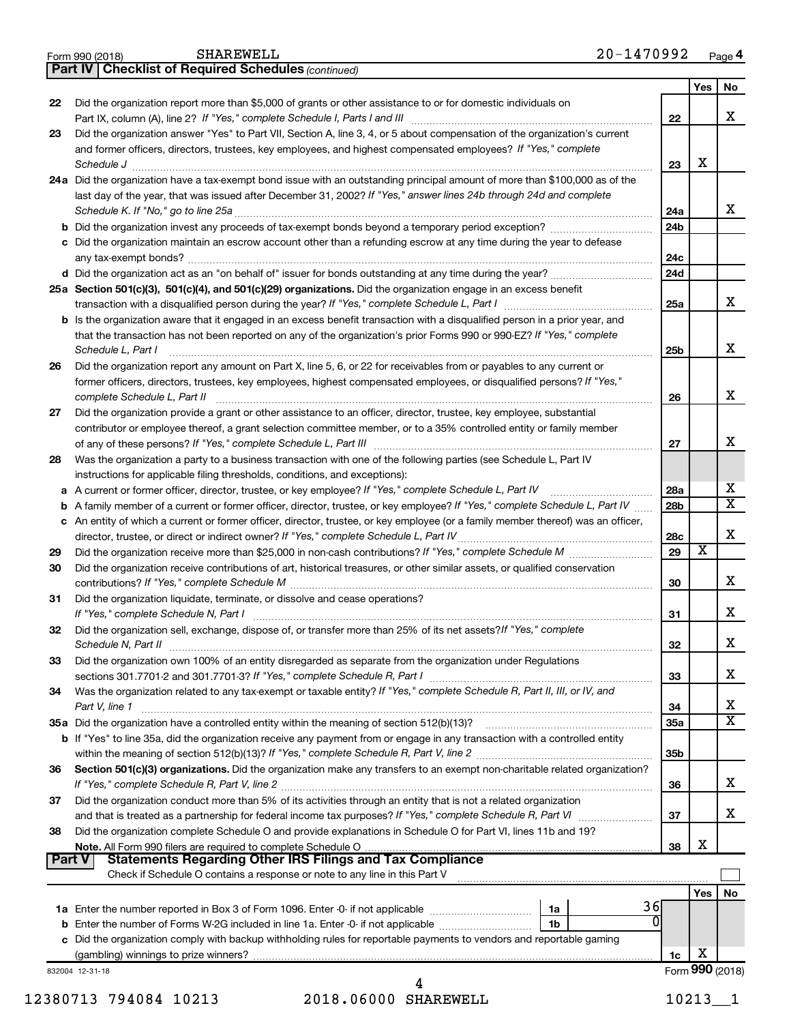|    | 20-1470992<br>SHAREWELL<br>Form 990 (2018)                                                                                                                                                                                                   |                 |     | Page 4                       |
|----|----------------------------------------------------------------------------------------------------------------------------------------------------------------------------------------------------------------------------------------------|-----------------|-----|------------------------------|
|    | <b>Checklist of Required Schedules (continued)</b><br>Part IV                                                                                                                                                                                |                 |     |                              |
|    |                                                                                                                                                                                                                                              |                 | Yes | No                           |
| 22 | Did the organization report more than \$5,000 of grants or other assistance to or for domestic individuals on                                                                                                                                |                 |     |                              |
|    |                                                                                                                                                                                                                                              | 22              |     | x                            |
| 23 | Did the organization answer "Yes" to Part VII, Section A, line 3, 4, or 5 about compensation of the organization's current<br>and former officers, directors, trustees, key employees, and highest compensated employees? If "Yes," complete |                 |     |                              |
|    |                                                                                                                                                                                                                                              | 23              | х   |                              |
|    | Schedule J <b>Execute Schedule J Execute Schedule J Execute Schedule J Execute Schedule J</b><br>24a Did the organization have a tax-exempt bond issue with an outstanding principal amount of more than \$100,000 as of the                 |                 |     |                              |
|    | last day of the year, that was issued after December 31, 2002? If "Yes," answer lines 24b through 24d and complete                                                                                                                           |                 |     |                              |
|    |                                                                                                                                                                                                                                              | 24a             |     | x                            |
|    |                                                                                                                                                                                                                                              | 24 <sub>b</sub> |     |                              |
|    | c Did the organization maintain an escrow account other than a refunding escrow at any time during the year to defease                                                                                                                       |                 |     |                              |
|    |                                                                                                                                                                                                                                              | 24c             |     |                              |
|    |                                                                                                                                                                                                                                              | 24d             |     |                              |
|    | 25a Section 501(c)(3), 501(c)(4), and 501(c)(29) organizations. Did the organization engage in an excess benefit                                                                                                                             |                 |     |                              |
|    |                                                                                                                                                                                                                                              | 25a             |     | x                            |
|    | <b>b</b> Is the organization aware that it engaged in an excess benefit transaction with a disqualified person in a prior year, and                                                                                                          |                 |     |                              |
|    | that the transaction has not been reported on any of the organization's prior Forms 990 or 990-EZ? If "Yes," complete<br>Schedule L, Part I                                                                                                  | 25b             |     | х                            |
| 26 | Did the organization report any amount on Part X, line 5, 6, or 22 for receivables from or payables to any current or                                                                                                                        |                 |     |                              |
|    | former officers, directors, trustees, key employees, highest compensated employees, or disqualified persons? If "Yes,"                                                                                                                       |                 |     |                              |
|    | complete Schedule L, Part II                                                                                                                                                                                                                 | 26              |     | X                            |
| 27 | Did the organization provide a grant or other assistance to an officer, director, trustee, key employee, substantial                                                                                                                         |                 |     |                              |
|    | contributor or employee thereof, a grant selection committee member, or to a 35% controlled entity or family member                                                                                                                          |                 |     |                              |
|    |                                                                                                                                                                                                                                              | 27              |     | x                            |
| 28 | Was the organization a party to a business transaction with one of the following parties (see Schedule L, Part IV                                                                                                                            |                 |     |                              |
|    | instructions for applicable filing thresholds, conditions, and exceptions):                                                                                                                                                                  |                 |     |                              |
|    | a A current or former officer, director, trustee, or key employee? If "Yes," complete Schedule L, Part IV                                                                                                                                    | 28a             |     | x<br>$\overline{\mathtt{x}}$ |
|    | <b>b</b> A family member of a current or former officer, director, trustee, or key employee? If "Yes," complete Schedule L, Part IV                                                                                                          | 28 <sub>b</sub> |     |                              |
|    | c An entity of which a current or former officer, director, trustee, or key employee (or a family member thereof) was an officer,                                                                                                            | 28c             |     | X                            |
| 29 |                                                                                                                                                                                                                                              | 29              | x   |                              |
| 30 | Did the organization receive contributions of art, historical treasures, or other similar assets, or qualified conservation                                                                                                                  |                 |     |                              |
|    |                                                                                                                                                                                                                                              | 30              |     | x                            |
| 31 | Did the organization liquidate, terminate, or dissolve and cease operations?                                                                                                                                                                 |                 |     |                              |
|    |                                                                                                                                                                                                                                              | 31              |     | x                            |
| 32 | Did the organization sell, exchange, dispose of, or transfer more than 25% of its net assets? If "Yes," complete                                                                                                                             |                 |     |                              |
|    | Schedule N, Part II                                                                                                                                                                                                                          | 32              |     | x                            |
| 33 | Did the organization own 100% of an entity disregarded as separate from the organization under Regulations                                                                                                                                   |                 |     |                              |
|    |                                                                                                                                                                                                                                              | 33              |     | X                            |
| 34 | Was the organization related to any tax-exempt or taxable entity? If "Yes," complete Schedule R, Part II, III, or IV, and                                                                                                                    |                 |     |                              |
|    | Part V, line 1                                                                                                                                                                                                                               | 34              |     | х<br>$\overline{\mathtt{x}}$ |
|    | b If "Yes" to line 35a, did the organization receive any payment from or engage in any transaction with a controlled entity                                                                                                                  | 35a             |     |                              |
|    |                                                                                                                                                                                                                                              | 35b             |     |                              |
| 36 | Section 501(c)(3) organizations. Did the organization make any transfers to an exempt non-charitable related organization?                                                                                                                   |                 |     |                              |
|    |                                                                                                                                                                                                                                              | 36              |     | X                            |
| 37 | Did the organization conduct more than 5% of its activities through an entity that is not a related organization                                                                                                                             |                 |     |                              |
|    |                                                                                                                                                                                                                                              | 37              |     | X                            |
| 38 | Did the organization complete Schedule O and provide explanations in Schedule O for Part VI, lines 11b and 19?                                                                                                                               |                 |     |                              |
|    |                                                                                                                                                                                                                                              | 38              | х   |                              |
|    | Part V                                                                                                                                                                                                                                       |                 |     |                              |
|    | Check if Schedule O contains a response or note to any line in this Part V                                                                                                                                                                   |                 |     |                              |
|    | 36                                                                                                                                                                                                                                           |                 | Yes | No                           |
|    | 1a                                                                                                                                                                                                                                           | n               |     |                              |
|    | 1b<br>c Did the organization comply with backup withholding rules for reportable payments to vendors and reportable gaming                                                                                                                   |                 |     |                              |
|    |                                                                                                                                                                                                                                              | 1c              | х   |                              |
|    | 832004 12-31-18                                                                                                                                                                                                                              |                 |     | Form 990 (2018)              |
|    | 4                                                                                                                                                                                                                                            |                 |     |                              |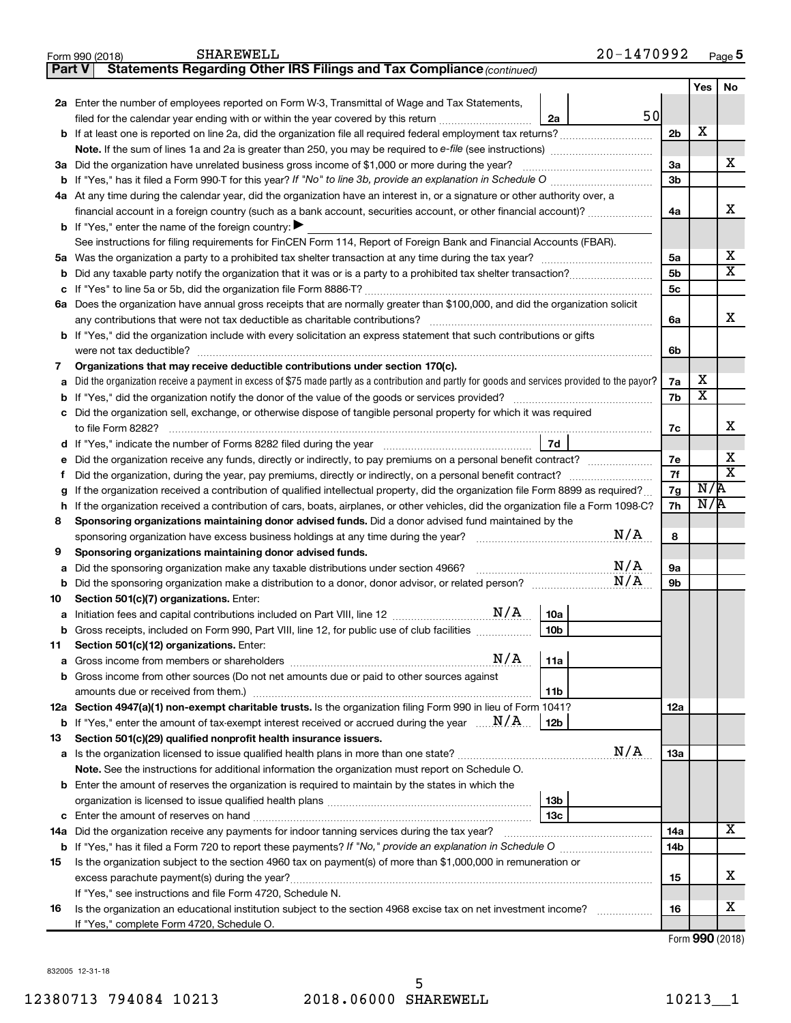|        | 20-1470992<br><b>SHAREWELL</b><br>Form 990 (2018)                                                                                               |                 |                         | Page 5                  |
|--------|-------------------------------------------------------------------------------------------------------------------------------------------------|-----------------|-------------------------|-------------------------|
| Part V | Statements Regarding Other IRS Filings and Tax Compliance (continued)                                                                           |                 |                         |                         |
|        |                                                                                                                                                 |                 | Yes                     | No                      |
|        | 2a Enter the number of employees reported on Form W-3, Transmittal of Wage and Tax Statements,                                                  |                 |                         |                         |
|        | 50<br>filed for the calendar year ending with or within the year covered by this return<br>2a                                                   |                 |                         |                         |
|        |                                                                                                                                                 | 2 <sub>b</sub>  | х                       |                         |
|        |                                                                                                                                                 |                 |                         |                         |
|        | 3a Did the organization have unrelated business gross income of \$1,000 or more during the year?                                                | 3a              |                         | X                       |
|        | <b>b</b> If "Yes," has it filed a Form 990-T for this year? If "No" to line 3b, provide an explanation in Schedule O manumum                    | 3b              |                         |                         |
|        | 4a At any time during the calendar year, did the organization have an interest in, or a signature or other authority over, a                    |                 |                         |                         |
|        | financial account in a foreign country (such as a bank account, securities account, or other financial account)?                                | 4a              |                         | X                       |
|        | <b>b</b> If "Yes," enter the name of the foreign country: $\blacktriangleright$                                                                 |                 |                         |                         |
|        | See instructions for filing requirements for FinCEN Form 114, Report of Foreign Bank and Financial Accounts (FBAR).                             |                 |                         |                         |
|        |                                                                                                                                                 | 5a              |                         | х                       |
| b      |                                                                                                                                                 | 5 <sub>b</sub>  |                         | $\overline{\mathbf{X}}$ |
| c      |                                                                                                                                                 | 5c              |                         |                         |
|        | 6a Does the organization have annual gross receipts that are normally greater than \$100,000, and did the organization solicit                  |                 |                         |                         |
|        | any contributions that were not tax deductible as charitable contributions?                                                                     | 6a              |                         | x                       |
|        | <b>b</b> If "Yes," did the organization include with every solicitation an express statement that such contributions or gifts                   |                 |                         |                         |
|        |                                                                                                                                                 | 6b              |                         |                         |
| 7      | Organizations that may receive deductible contributions under section 170(c).                                                                   |                 |                         |                         |
| a      | Did the organization receive a payment in excess of \$75 made partly as a contribution and partly for goods and services provided to the payor? | 7a              | x                       |                         |
| b      |                                                                                                                                                 | 7b              | $\overline{\textbf{x}}$ |                         |
| с      | Did the organization sell, exchange, or otherwise dispose of tangible personal property for which it was required                               |                 |                         |                         |
|        |                                                                                                                                                 | 7c              |                         | x                       |
| d      | 7d                                                                                                                                              |                 |                         |                         |
| е      | Did the organization receive any funds, directly or indirectly, to pay premiums on a personal benefit contract?                                 | 7e              |                         | х                       |
| Ť.     |                                                                                                                                                 | 7f              |                         | $\overline{\mathbf{x}}$ |
| g      | If the organization received a contribution of qualified intellectual property, did the organization file Form 8899 as required?                | 7g              | N/R                     |                         |
| h      | If the organization received a contribution of cars, boats, airplanes, or other vehicles, did the organization file a Form 1098-C?              | 7h              | N/R                     |                         |
| 8      | Sponsoring organizations maintaining donor advised funds. Did a donor advised fund maintained by the                                            |                 |                         |                         |
|        | N/A                                                                                                                                             | 8               |                         |                         |
| 9      | Sponsoring organizations maintaining donor advised funds.                                                                                       |                 |                         |                         |
| а      | N/A<br>Did the sponsoring organization make any taxable distributions under section 4966?                                                       | 9а              |                         |                         |
| b      | N/A                                                                                                                                             | 9b              |                         |                         |
| 10     | Section 501(c)(7) organizations. Enter:                                                                                                         |                 |                         |                         |
| а      | N/A<br><b>10a</b>                                                                                                                               |                 |                         |                         |
|        | Gross receipts, included on Form 990, Part VIII, line 12, for public use of club facilities<br>10 <sub>b</sub>                                  |                 |                         |                         |
| 11     | Section 501(c)(12) organizations. Enter:<br>N/A                                                                                                 |                 |                         |                         |
| а      | 11a                                                                                                                                             |                 |                         |                         |
| b      | Gross income from other sources (Do not net amounts due or paid to other sources against                                                        |                 |                         |                         |
|        | 11 <sub>b</sub><br>12a Section 4947(a)(1) non-exempt charitable trusts. Is the organization filing Form 990 in lieu of Form 1041?               | 12a             |                         |                         |
|        | <b>b</b> If "Yes," enter the amount of tax-exempt interest received or accrued during the year $\ldots$ $\mathbf{N}/\mathbf{A}$ .<br>12b        |                 |                         |                         |
| 13     | Section 501(c)(29) qualified nonprofit health insurance issuers.                                                                                |                 |                         |                         |
| а      | N/A                                                                                                                                             | 13a             |                         |                         |
|        | Note. See the instructions for additional information the organization must report on Schedule O.                                               |                 |                         |                         |
|        | <b>b</b> Enter the amount of reserves the organization is required to maintain by the states in which the                                       |                 |                         |                         |
|        | 13 <sub>b</sub>                                                                                                                                 |                 |                         |                         |
| c      | 13 <sub>c</sub>                                                                                                                                 |                 |                         |                         |
|        | 14a Did the organization receive any payments for indoor tanning services during the tax year?                                                  | 14a             |                         | X                       |
|        |                                                                                                                                                 | 14 <sub>b</sub> |                         |                         |
| 15     | Is the organization subject to the section 4960 tax on payment(s) of more than \$1,000,000 in remuneration or                                   |                 |                         |                         |
|        | excess parachute payment(s) during the year?                                                                                                    | 15              |                         | х                       |
|        | If "Yes," see instructions and file Form 4720, Schedule N.                                                                                      |                 |                         |                         |
| 16     | Is the organization an educational institution subject to the section 4968 excise tax on net investment income?                                 | 16              |                         | х                       |
|        | If "Yes," complete Form 4720, Schedule O.                                                                                                       |                 |                         |                         |

Form (2018) **990**

832005 12-31-18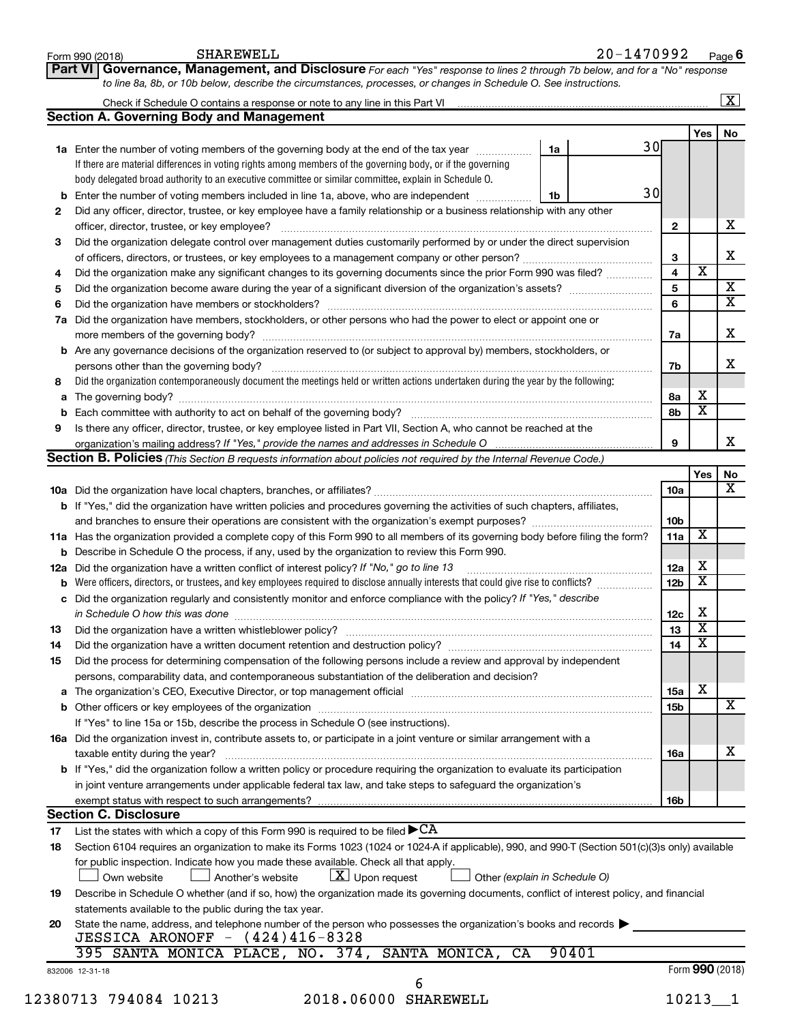|      | SHAREWELL<br>Form 990 (2018)                                                                                                                                                                                                                                         |    | 20-1470992 |    |                 |                         | Page 6                  |
|------|----------------------------------------------------------------------------------------------------------------------------------------------------------------------------------------------------------------------------------------------------------------------|----|------------|----|-----------------|-------------------------|-------------------------|
|      | Governance, Management, and Disclosure For each "Yes" response to lines 2 through 7b below, and for a "No" response<br>Part VI                                                                                                                                       |    |            |    |                 |                         |                         |
|      | to line 8a, 8b, or 10b below, describe the circumstances, processes, or changes in Schedule O. See instructions.                                                                                                                                                     |    |            |    |                 |                         |                         |
|      | Check if Schedule O contains a response or note to any line in this Part VI [11] [12] [12] Check if Schedule O contains a response or note to any line in this Part VI                                                                                               |    |            |    |                 |                         | $\boxed{\text{X}}$      |
|      | <b>Section A. Governing Body and Management</b>                                                                                                                                                                                                                      |    |            |    |                 |                         |                         |
|      |                                                                                                                                                                                                                                                                      |    |            |    |                 | Yes                     | No                      |
|      | 1a Enter the number of voting members of the governing body at the end of the tax year manuscom                                                                                                                                                                      | 1a |            | 30 |                 |                         |                         |
|      | If there are material differences in voting rights among members of the governing body, or if the governing                                                                                                                                                          |    |            |    |                 |                         |                         |
|      | body delegated broad authority to an executive committee or similar committee, explain in Schedule O.                                                                                                                                                                |    |            | 30 |                 |                         |                         |
|      | <b>b</b> Enter the number of voting members included in line 1a, above, who are independent                                                                                                                                                                          | 1b |            |    |                 |                         |                         |
| 2    | Did any officer, director, trustee, or key employee have a family relationship or a business relationship with any other                                                                                                                                             |    |            |    |                 |                         | х                       |
|      | officer, director, trustee, or key employee?                                                                                                                                                                                                                         |    |            |    | 2               |                         |                         |
| З    | Did the organization delegate control over management duties customarily performed by or under the direct supervision                                                                                                                                                |    |            |    | 3               |                         | x                       |
| 4    | Did the organization make any significant changes to its governing documents since the prior Form 990 was filed?                                                                                                                                                     |    |            |    | 4               | $\overline{\textbf{x}}$ |                         |
| 5    |                                                                                                                                                                                                                                                                      |    |            |    | 5               |                         | x                       |
| 6    |                                                                                                                                                                                                                                                                      |    |            |    | 6               |                         | $\overline{\mathbf{x}}$ |
| 7a   | Did the organization have members, stockholders, or other persons who had the power to elect or appoint one or                                                                                                                                                       |    |            |    |                 |                         |                         |
|      |                                                                                                                                                                                                                                                                      |    |            |    | 7a              |                         | х                       |
|      | <b>b</b> Are any governance decisions of the organization reserved to (or subject to approval by) members, stockholders, or                                                                                                                                          |    |            |    |                 |                         |                         |
|      | persons other than the governing body?                                                                                                                                                                                                                               |    |            |    | 7b              |                         | x                       |
|      | Did the organization contemporaneously document the meetings held or written actions undertaken during the year by the following:                                                                                                                                    |    |            |    |                 |                         |                         |
|      |                                                                                                                                                                                                                                                                      |    |            |    | 8а              | х                       |                         |
| b    |                                                                                                                                                                                                                                                                      |    |            |    | 8b              | X                       |                         |
| 9    | Is there any officer, director, trustee, or key employee listed in Part VII, Section A, who cannot be reached at the                                                                                                                                                 |    |            |    |                 |                         |                         |
|      |                                                                                                                                                                                                                                                                      |    |            |    | 9               |                         | x                       |
|      | <b>Section B. Policies</b> (This Section B requests information about policies not required by the Internal Revenue Code.)                                                                                                                                           |    |            |    |                 |                         |                         |
|      |                                                                                                                                                                                                                                                                      |    |            |    |                 | Yes                     | No                      |
|      |                                                                                                                                                                                                                                                                      |    |            |    | 10a             |                         | x                       |
|      | b If "Yes," did the organization have written policies and procedures governing the activities of such chapters, affiliates,                                                                                                                                         |    |            |    |                 |                         |                         |
|      |                                                                                                                                                                                                                                                                      |    |            |    | 10b             |                         |                         |
|      | 11a Has the organization provided a complete copy of this Form 990 to all members of its governing body before filing the form?                                                                                                                                      |    |            |    | 11a             | X                       |                         |
|      | <b>b</b> Describe in Schedule O the process, if any, used by the organization to review this Form 990.                                                                                                                                                               |    |            |    |                 | х                       |                         |
|      | 12a Did the organization have a written conflict of interest policy? If "No," go to line 13                                                                                                                                                                          |    |            |    | 12a             | X                       |                         |
|      | <b>b</b> Were officers, directors, or trustees, and key employees required to disclose annually interests that could give rise to conflicts?<br>c Did the organization regularly and consistently monitor and enforce compliance with the policy? If "Yes," describe |    |            |    | 12 <sub>b</sub> |                         |                         |
|      |                                                                                                                                                                                                                                                                      |    |            |    | 12c             | х                       |                         |
| 13 - | in Schedule O how this was done continuous continuous continuous contract of the set of the set of the set of t                                                                                                                                                      |    |            |    | 13              | $\overline{\texttt{x}}$ |                         |
| 14   | Did the organization have a written document retention and destruction policy? [11] manufaction in the organization have a written document retention and destruction policy?                                                                                        |    |            |    | 14              | $\overline{\textbf{x}}$ |                         |
| 15   | Did the process for determining compensation of the following persons include a review and approval by independent                                                                                                                                                   |    |            |    |                 |                         |                         |
|      | persons, comparability data, and contemporaneous substantiation of the deliberation and decision?                                                                                                                                                                    |    |            |    |                 |                         |                         |
|      |                                                                                                                                                                                                                                                                      |    |            |    | 15a             | х                       |                         |
|      |                                                                                                                                                                                                                                                                      |    |            |    | 15 <sub>b</sub> |                         | X                       |
|      | If "Yes" to line 15a or 15b, describe the process in Schedule O (see instructions).                                                                                                                                                                                  |    |            |    |                 |                         |                         |
|      | 16a Did the organization invest in, contribute assets to, or participate in a joint venture or similar arrangement with a                                                                                                                                            |    |            |    |                 |                         |                         |
|      | taxable entity during the year?                                                                                                                                                                                                                                      |    |            |    | 16a             |                         | х                       |
|      | <b>b</b> If "Yes," did the organization follow a written policy or procedure requiring the organization to evaluate its participation                                                                                                                                |    |            |    |                 |                         |                         |
|      | in joint venture arrangements under applicable federal tax law, and take steps to safeguard the organization's                                                                                                                                                       |    |            |    |                 |                         |                         |
|      | exempt status with respect to such arrangements?                                                                                                                                                                                                                     |    |            |    | 16b             |                         |                         |
|      | <b>Section C. Disclosure</b>                                                                                                                                                                                                                                         |    |            |    |                 |                         |                         |
| 17   | List the states with which a copy of this Form 990 is required to be filed $\blacktriangleright$ CA                                                                                                                                                                  |    |            |    |                 |                         |                         |
| 18   | Section 6104 requires an organization to make its Forms 1023 (1024 or 1024 A if applicable), 990, and 990 T (Section 501(c)(3)s only) available                                                                                                                      |    |            |    |                 |                         |                         |
|      | for public inspection. Indicate how you made these available. Check all that apply.                                                                                                                                                                                  |    |            |    |                 |                         |                         |
|      | $\lfloor x \rfloor$ Upon request<br>Another's website<br>Other (explain in Schedule O)<br>Own website                                                                                                                                                                |    |            |    |                 |                         |                         |
| 19   | Describe in Schedule O whether (and if so, how) the organization made its governing documents, conflict of interest policy, and financial                                                                                                                            |    |            |    |                 |                         |                         |
|      | statements available to the public during the tax year.                                                                                                                                                                                                              |    |            |    |                 |                         |                         |
| 20   | State the name, address, and telephone number of the person who possesses the organization's books and records                                                                                                                                                       |    |            |    |                 |                         |                         |
|      | JESSICA ARONOFF - (424)416-8328                                                                                                                                                                                                                                      |    |            |    |                 |                         |                         |
|      | 395 SANTA MONICA PLACE, NO. 374, SANTA MONICA,<br>CA                                                                                                                                                                                                                 |    | 90401      |    |                 |                         |                         |
|      | 832006 12-31-18<br>6                                                                                                                                                                                                                                                 |    |            |    |                 | Form 990 (2018)         |                         |
|      | 12380713 794084 10213<br>2018.06000 SHAREWELL                                                                                                                                                                                                                        |    |            |    | 10213           |                         |                         |
|      |                                                                                                                                                                                                                                                                      |    |            |    |                 |                         |                         |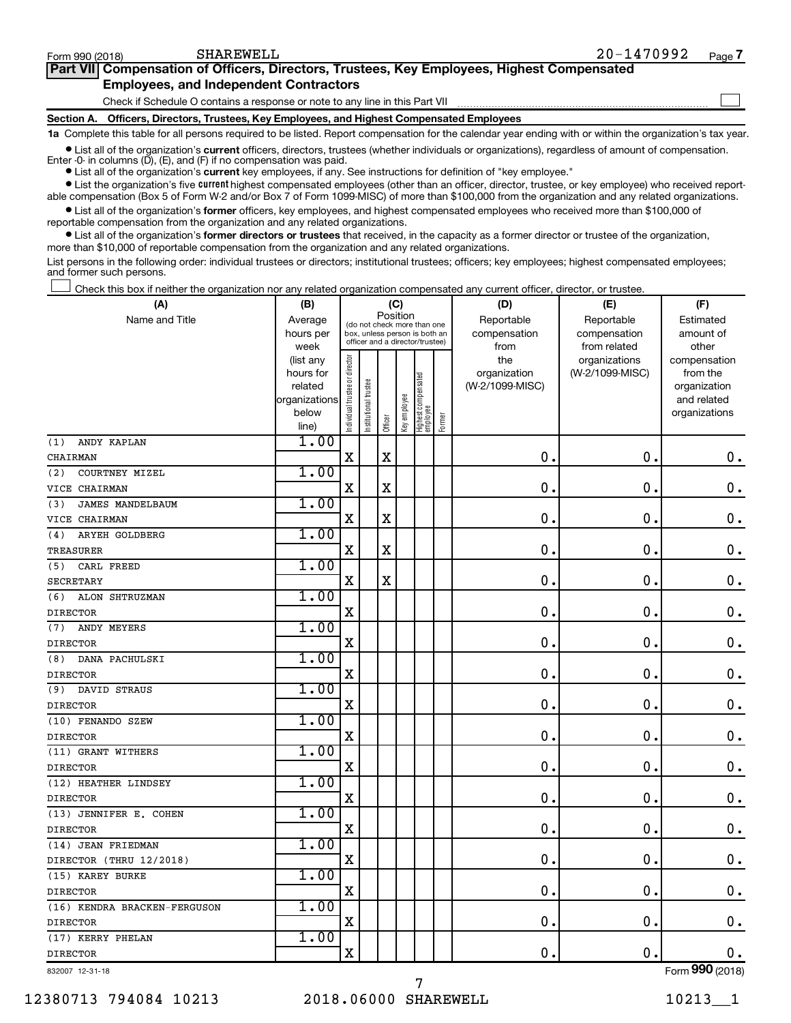$\Box$ 

| Part VII Compensation of Officers, Directors, Trustees, Key Employees, Highest Compensated |
|--------------------------------------------------------------------------------------------|
| <b>Employees, and Independent Contractors</b>                                              |

Check if Schedule O contains a response or note to any line in this Part VII

**Section A. Officers, Directors, Trustees, Key Employees, and Highest Compensated Employees**

**1a**  Complete this table for all persons required to be listed. Report compensation for the calendar year ending with or within the organization's tax year.

**•** List all of the organization's current officers, directors, trustees (whether individuals or organizations), regardless of amount of compensation. Enter -0- in columns  $(D)$ ,  $(E)$ , and  $(F)$  if no compensation was paid.

**•** List all of the organization's **current** key employees, if any. See instructions for definition of "key employee."

**•** List the organization's five current highest compensated employees (other than an officer, director, trustee, or key employee) who received reportable compensation (Box 5 of Form W-2 and/or Box 7 of Form 1099-MISC) of more than \$100,000 from the organization and any related organizations.

**•** List all of the organization's former officers, key employees, and highest compensated employees who received more than \$100,000 of reportable compensation from the organization and any related organizations.

**•** List all of the organization's former directors or trustees that received, in the capacity as a former director or trustee of the organization, more than \$10,000 of reportable compensation from the organization and any related organizations.

List persons in the following order: individual trustees or directors; institutional trustees; officers; key employees; highest compensated employees; and former such persons.

Check this box if neither the organization nor any related organization compensated any current officer, director, or trustee. †

| (A)                            | (B)               |                                |                                                                  | (C)         |              |                                 |        | (D)             | (E)                           | (F)                   |
|--------------------------------|-------------------|--------------------------------|------------------------------------------------------------------|-------------|--------------|---------------------------------|--------|-----------------|-------------------------------|-----------------------|
| Name and Title                 | Average           |                                | (do not check more than one                                      |             | Position     |                                 |        | Reportable      | Reportable                    | Estimated             |
|                                | hours per         |                                | box, unless person is both an<br>officer and a director/trustee) |             |              |                                 |        | compensation    | compensation                  | amount of             |
|                                | week<br>(list any |                                |                                                                  |             |              |                                 |        | from<br>the     | from related<br>organizations | other<br>compensation |
|                                | hours for         |                                |                                                                  |             |              |                                 |        | organization    | (W-2/1099-MISC)               | from the              |
|                                | related           |                                |                                                                  |             |              |                                 |        | (W-2/1099-MISC) |                               | organization          |
|                                | organizations     |                                |                                                                  |             |              |                                 |        |                 |                               | and related           |
|                                | below             | Individual trustee or director | Institutional trustee                                            | Officer     | Key employee | Highest compensated<br>employee | Former |                 |                               | organizations         |
|                                | line)             |                                |                                                                  |             |              |                                 |        |                 |                               |                       |
| ANDY KAPLAN<br>(1)             | 1.00              |                                |                                                                  |             |              |                                 |        |                 |                               |                       |
| CHAIRMAN                       |                   | $\mathbf X$                    |                                                                  | $\rm X$     |              |                                 |        | $\mathbf 0$     | $\mathbf 0$ .                 | $\mathbf 0$ .         |
| (2)<br>COURTNEY MIZEL          | 1.00              |                                |                                                                  |             |              |                                 |        |                 |                               |                       |
| VICE CHAIRMAN                  |                   | $\mathbf X$                    |                                                                  | X           |              |                                 |        | $\mathbf 0$     | $\mathbf 0$                   | $0$ .                 |
| <b>JAMES MANDELBAUM</b><br>(3) | 1.00              |                                |                                                                  |             |              |                                 |        |                 |                               |                       |
| VICE CHAIRMAN                  |                   | $\mathbf X$                    |                                                                  | X           |              |                                 |        | 0               | $\mathbf 0$                   | $\mathbf 0$ .         |
| ARYEH GOLDBERG<br>(4)          | 1.00              |                                |                                                                  |             |              |                                 |        |                 |                               |                       |
| <b>TREASURER</b>               |                   | $\mathbf X$                    |                                                                  | $\mathbf X$ |              |                                 |        | $\mathbf 0$     | $\mathbf 0$ .                 | $\mathbf 0$ .         |
| CARL FREED<br>(5)              | 1.00              |                                |                                                                  |             |              |                                 |        |                 |                               |                       |
| <b>SECRETARY</b>               |                   | X                              |                                                                  | $\mathbf X$ |              |                                 |        | $\mathbf 0$     | $\mathbf 0$ .                 | $\mathbf 0$ .         |
| ALON SHTRUZMAN<br>(6)          | 1.00              |                                |                                                                  |             |              |                                 |        |                 |                               |                       |
| <b>DIRECTOR</b>                |                   | X                              |                                                                  |             |              |                                 |        | $\mathbf 0$     | 0.                            | $\mathbf 0$ .         |
| ANDY MEYERS<br>(7)             | 1.00              |                                |                                                                  |             |              |                                 |        |                 |                               |                       |
| <b>DIRECTOR</b>                |                   | $\mathbf X$                    |                                                                  |             |              |                                 |        | 0               | $\mathbf 0$                   | $\mathbf 0$ .         |
| DANA PACHULSKI<br>(8)          | 1.00              |                                |                                                                  |             |              |                                 |        |                 |                               |                       |
| <b>DIRECTOR</b>                |                   | $\mathbf X$                    |                                                                  |             |              |                                 |        | $\mathbf 0$     | $\mathbf 0$                   | $\mathbf 0$ .         |
| (9)<br>DAVID STRAUS            | 1.00              |                                |                                                                  |             |              |                                 |        |                 |                               |                       |
| <b>DIRECTOR</b>                |                   | X                              |                                                                  |             |              |                                 |        | $\mathbf 0$     | 0                             | $0$ .                 |
| (10) FENANDO SZEW              | 1.00              |                                |                                                                  |             |              |                                 |        |                 |                               |                       |
| <b>DIRECTOR</b>                |                   | X                              |                                                                  |             |              |                                 |        | $\mathbf 0$     | $\mathbf 0$                   | $\mathbf 0$ .         |
| (11) GRANT WITHERS             | 1.00              |                                |                                                                  |             |              |                                 |        |                 |                               |                       |
| <b>DIRECTOR</b>                |                   | X                              |                                                                  |             |              |                                 |        | $\mathbf 0$ .   | $\mathbf 0$ .                 | $\mathbf 0$ .         |
| (12) HEATHER LINDSEY           | 1.00              |                                |                                                                  |             |              |                                 |        |                 |                               |                       |
| DIRECTOR                       |                   | $\mathbf X$                    |                                                                  |             |              |                                 |        | $\mathbf 0$ .   | $\mathbf 0$ .                 | $\mathbf 0$ .         |
| (13) JENNIFER E. COHEN         | 1.00              |                                |                                                                  |             |              |                                 |        |                 |                               |                       |
| <b>DIRECTOR</b>                |                   | X                              |                                                                  |             |              |                                 |        | $\mathbf 0$ .   | $\mathbf 0$ .                 | $\mathbf 0$ .         |
| (14) JEAN FRIEDMAN             | 1.00              |                                |                                                                  |             |              |                                 |        |                 |                               |                       |
| DIRECTOR (THRU 12/2018)        |                   | X                              |                                                                  |             |              |                                 |        | $\mathbf 0$ .   | $\mathbf 0$ .                 | $\mathbf 0$ .         |
| (15) KAREY BURKE               | 1.00              |                                |                                                                  |             |              |                                 |        |                 |                               |                       |
| <b>DIRECTOR</b>                |                   | X                              |                                                                  |             |              |                                 |        | $\mathbf 0$ .   | $\mathbf 0$ .                 | $\mathbf 0$ .         |
| (16) KENDRA BRACKEN-FERGUSON   | 1.00              |                                |                                                                  |             |              |                                 |        |                 |                               |                       |
| <b>DIRECTOR</b>                |                   | X                              |                                                                  |             |              |                                 |        | 0.              | $\mathbf 0$ .                 | $\mathbf 0$ .         |
| (17) KERRY PHELAN              | 1.00              |                                |                                                                  |             |              |                                 |        |                 |                               |                       |
| <b>DIRECTOR</b>                |                   | $\rm X$                        |                                                                  |             |              |                                 |        | $\mathbf 0$ .   | $\mathbf 0$ .                 | 0.                    |

832007 12-31-18

7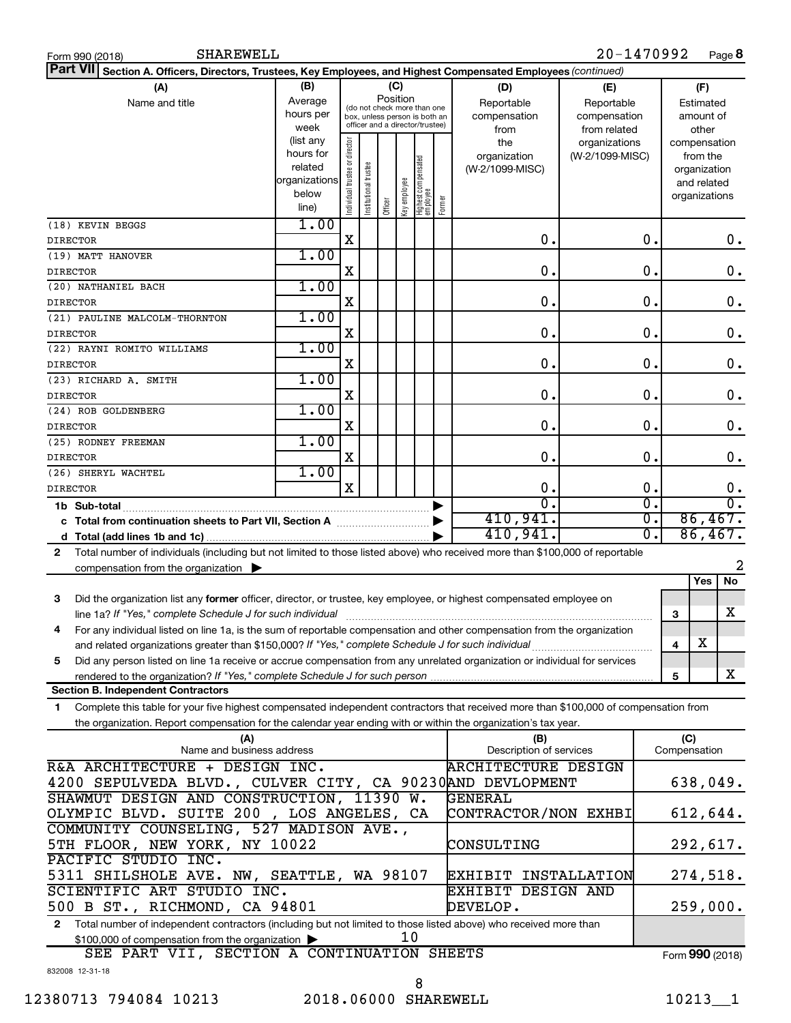| SHAREWELL<br>Form 990 (2018)                                                                                                               |                                 |                                |                       |         |              |                                                              |        |                            | 20-1470992      |                             |              |               | Page 8           |
|--------------------------------------------------------------------------------------------------------------------------------------------|---------------------------------|--------------------------------|-----------------------|---------|--------------|--------------------------------------------------------------|--------|----------------------------|-----------------|-----------------------------|--------------|---------------|------------------|
| <b>Part VII</b><br>Section A. Officers, Directors, Trustees, Key Employees, and Highest Compensated Employees (continued)                  |                                 |                                |                       |         |              |                                                              |        |                            |                 |                             |              |               |                  |
| (A)                                                                                                                                        | (B)<br>(C)<br>(F)<br>(D)<br>(E) |                                |                       |         |              |                                                              |        |                            |                 |                             |              |               |                  |
| Name and title                                                                                                                             | Average                         |                                |                       |         | Position     |                                                              |        | Reportable                 | Reportable      |                             |              | Estimated     |                  |
|                                                                                                                                            | hours per                       |                                |                       |         |              | (do not check more than one<br>box, unless person is both an |        | compensation               | compensation    |                             |              | amount of     |                  |
|                                                                                                                                            | week                            |                                |                       |         |              | officer and a director/trustee)                              |        | from                       | from related    |                             |              | other         |                  |
|                                                                                                                                            | (list any                       |                                |                       |         |              |                                                              |        | the                        | organizations   |                             |              |               | compensation     |
|                                                                                                                                            | hours for                       |                                |                       |         |              |                                                              |        | organization               | (W-2/1099-MISC) |                             |              | from the      |                  |
|                                                                                                                                            | related                         |                                |                       |         |              |                                                              |        | (W-2/1099-MISC)            |                 |                             |              | organization  |                  |
|                                                                                                                                            | organizations                   |                                |                       |         |              |                                                              |        |                            |                 |                             |              | and related   |                  |
|                                                                                                                                            | below                           | Individual trustee or director | Institutional trustee |         | Key employee | Highest compensated<br>  employee                            | Former |                            |                 |                             |              | organizations |                  |
|                                                                                                                                            | line)                           |                                |                       | Officer |              |                                                              |        |                            |                 |                             |              |               |                  |
| (18) KEVIN BEGGS                                                                                                                           | 1.00                            |                                |                       |         |              |                                                              |        |                            |                 |                             |              |               |                  |
| <b>DIRECTOR</b>                                                                                                                            |                                 | X                              |                       |         |              |                                                              |        | $\mathbf 0$ .              |                 | 0.                          |              |               | 0.               |
| (19) MATT HANOVER                                                                                                                          | 1.00                            |                                |                       |         |              |                                                              |        |                            |                 |                             |              |               |                  |
| <b>DIRECTOR</b>                                                                                                                            |                                 | X                              |                       |         |              |                                                              |        | $\mathbf 0$ .              |                 | $\mathbf 0$ .               |              |               | $\mathbf 0$ .    |
| (20) NATHANIEL BACH                                                                                                                        | 1.00                            |                                |                       |         |              |                                                              |        |                            |                 |                             |              |               |                  |
| <b>DIRECTOR</b>                                                                                                                            |                                 | X                              |                       |         |              |                                                              |        | $\mathbf 0$ .              |                 | $\mathbf 0$ .               |              |               | $\mathbf 0$ .    |
| (21) PAULINE MALCOLM-THORNTON                                                                                                              | 1.00                            |                                |                       |         |              |                                                              |        |                            |                 |                             |              |               |                  |
|                                                                                                                                            |                                 |                                |                       |         |              |                                                              |        | $\mathbf 0$ .              |                 | $\mathbf 0$ .               |              |               |                  |
| <b>DIRECTOR</b>                                                                                                                            |                                 | X                              |                       |         |              |                                                              |        |                            |                 |                             |              |               | $\mathbf 0$ .    |
| (22) RAYNI ROMITO WILLIAMS                                                                                                                 | 1.00                            |                                |                       |         |              |                                                              |        |                            |                 |                             |              |               |                  |
| <b>DIRECTOR</b>                                                                                                                            |                                 | X                              |                       |         |              |                                                              |        | $\mathbf 0$ .              |                 | $\mathbf 0$ .               |              |               | $\mathbf 0$ .    |
| (23) RICHARD A. SMITH                                                                                                                      | 1.00                            |                                |                       |         |              |                                                              |        |                            |                 |                             |              |               |                  |
| <b>DIRECTOR</b>                                                                                                                            |                                 | X                              |                       |         |              |                                                              |        | $\mathbf 0$ .              |                 | $\mathbf 0$ .               |              |               | $\mathbf 0$ .    |
| (24) ROB GOLDENBERG                                                                                                                        | 1.00                            |                                |                       |         |              |                                                              |        |                            |                 |                             |              |               |                  |
| <b>DIRECTOR</b>                                                                                                                            |                                 | X                              |                       |         |              |                                                              |        | 0.                         |                 | $\mathbf 0$ .               |              |               | $\mathbf 0$ .    |
| (25) RODNEY FREEMAN                                                                                                                        | 1.00                            |                                |                       |         |              |                                                              |        |                            |                 |                             |              |               |                  |
| <b>DIRECTOR</b>                                                                                                                            |                                 | X                              |                       |         |              |                                                              |        | 0.                         |                 | 0.                          |              |               | 0.               |
|                                                                                                                                            | 1.00                            |                                |                       |         |              |                                                              |        |                            |                 |                             |              |               |                  |
| (26) SHERYL WACHTEL                                                                                                                        |                                 | $\mathbf x$                    |                       |         |              |                                                              |        |                            |                 |                             |              |               |                  |
| <b>DIRECTOR</b>                                                                                                                            |                                 |                                |                       |         |              |                                                              |        | 0.                         |                 | 0.                          |              |               | 0.               |
| 1b Sub-total                                                                                                                               |                                 |                                |                       |         |              |                                                              |        | σ.                         |                 | $\overline{\mathfrak{o}}$ . |              |               | $\overline{0}$ . |
| c Total from continuation sheets to Part VII, Section A manuscreen continuum                                                               |                                 |                                |                       |         |              |                                                              |        | 410,941.                   |                 | $\overline{0}$ .            |              |               | 86,467.          |
|                                                                                                                                            |                                 |                                |                       |         |              |                                                              |        | 410,941.                   |                 | σ.                          |              |               | 86,467.          |
| Total number of individuals (including but not limited to those listed above) who received more than \$100,000 of reportable<br>2          |                                 |                                |                       |         |              |                                                              |        |                            |                 |                             |              |               |                  |
| compensation from the organization $\blacktriangleright$                                                                                   |                                 |                                |                       |         |              |                                                              |        |                            |                 |                             |              |               | 2                |
|                                                                                                                                            |                                 |                                |                       |         |              |                                                              |        |                            |                 |                             |              | Yes           | No               |
| Did the organization list any former officer, director, or trustee, key employee, or highest compensated employee on<br>3                  |                                 |                                |                       |         |              |                                                              |        |                            |                 |                             |              |               |                  |
|                                                                                                                                            |                                 |                                |                       |         |              |                                                              |        |                            |                 |                             | З            |               | X                |
| For any individual listed on line 1a, is the sum of reportable compensation and other compensation from the organization                   |                                 |                                |                       |         |              |                                                              |        |                            |                 |                             |              |               |                  |
| and related organizations greater than \$150,000? If "Yes," complete Schedule J for such individual                                        |                                 |                                |                       |         |              |                                                              |        |                            |                 |                             |              | х             |                  |
|                                                                                                                                            |                                 |                                |                       |         |              |                                                              |        |                            |                 |                             | 4            |               |                  |
| Did any person listed on line 1a receive or accrue compensation from any unrelated organization or individual for services<br>5            |                                 |                                |                       |         |              |                                                              |        |                            |                 |                             |              |               |                  |
|                                                                                                                                            |                                 |                                |                       |         |              |                                                              |        |                            |                 |                             | 5            |               | X                |
| <b>Section B. Independent Contractors</b>                                                                                                  |                                 |                                |                       |         |              |                                                              |        |                            |                 |                             |              |               |                  |
| Complete this table for your five highest compensated independent contractors that received more than \$100,000 of compensation from<br>1. |                                 |                                |                       |         |              |                                                              |        |                            |                 |                             |              |               |                  |
| the organization. Report compensation for the calendar year ending with or within the organization's tax year.                             |                                 |                                |                       |         |              |                                                              |        |                            |                 |                             |              |               |                  |
| (A)                                                                                                                                        |                                 |                                |                       |         |              |                                                              |        | (B)                        |                 |                             | (C)          |               |                  |
| Name and business address                                                                                                                  |                                 |                                |                       |         |              |                                                              |        | Description of services    |                 |                             | Compensation |               |                  |
| R&A ARCHITECTURE + DESIGN INC.                                                                                                             |                                 |                                |                       |         |              |                                                              |        | <b>ARCHITECTURE DESIGN</b> |                 |                             |              |               |                  |
| 4200 SEPULVEDA BLVD., CULVER CITY, CA 90230AND DEVLOPMENT                                                                                  |                                 |                                |                       |         |              |                                                              |        |                            |                 |                             |              |               | 638,049.         |
| SHAWMUT DESIGN AND CONSTRUCTION, 11390 W.                                                                                                  |                                 |                                |                       |         |              |                                                              |        | GENERAL                    |                 |                             |              |               |                  |
| OLYMPIC BLVD. SUITE 200, LOS ANGELES, CA                                                                                                   |                                 |                                |                       |         |              |                                                              |        | CONTRACTOR/NON EXHBI       |                 |                             |              |               | 612,644.         |
| COMMUNITY COUNSELING, 527 MADISON AVE.,                                                                                                    |                                 |                                |                       |         |              |                                                              |        |                            |                 |                             |              |               |                  |
|                                                                                                                                            |                                 |                                |                       |         |              |                                                              |        |                            |                 |                             |              |               |                  |
| 5TH FLOOR, NEW YORK, NY 10022<br>292,617.<br>CONSULTING                                                                                    |                                 |                                |                       |         |              |                                                              |        |                            |                 |                             |              |               |                  |
| PACIFIC STUDIO INC.                                                                                                                        |                                 |                                |                       |         |              |                                                              |        |                            |                 |                             |              |               |                  |
| 274,518.<br>5311 SHILSHOLE AVE. NW, SEATTLE, WA 98107<br>EXHIBIT INSTALLATION                                                              |                                 |                                |                       |         |              |                                                              |        |                            |                 |                             |              |               |                  |
| SCIENTIFIC ART STUDIO INC.                                                                                                                 |                                 |                                |                       |         |              |                                                              |        | <b>EXHIBIT DESIGN AND</b>  |                 |                             |              |               |                  |
| 500 B ST., RICHMOND, CA 94801                                                                                                              |                                 |                                |                       |         |              |                                                              |        | DEVELOP.                   |                 |                             |              |               | 259,000.         |
| Total number of independent contractors (including but not limited to those listed above) who received more than<br>$\mathbf{2}$           |                                 |                                |                       |         |              |                                                              |        |                            |                 |                             |              |               |                  |
| \$100,000 of compensation from the organization                                                                                            |                                 |                                |                       |         | 10           |                                                              |        |                            |                 |                             |              |               |                  |
| SEE PART VII, SECTION A CONTINUATION SHEETS                                                                                                |                                 |                                |                       |         |              |                                                              |        |                            |                 |                             |              |               | Form 990 (2018)  |
| 832008 12-31-18                                                                                                                            |                                 |                                |                       |         |              |                                                              |        |                            |                 |                             |              |               |                  |
|                                                                                                                                            |                                 |                                |                       |         |              | 8                                                            |        |                            |                 |                             |              |               |                  |
|                                                                                                                                            |                                 |                                |                       |         |              |                                                              |        |                            |                 |                             |              |               |                  |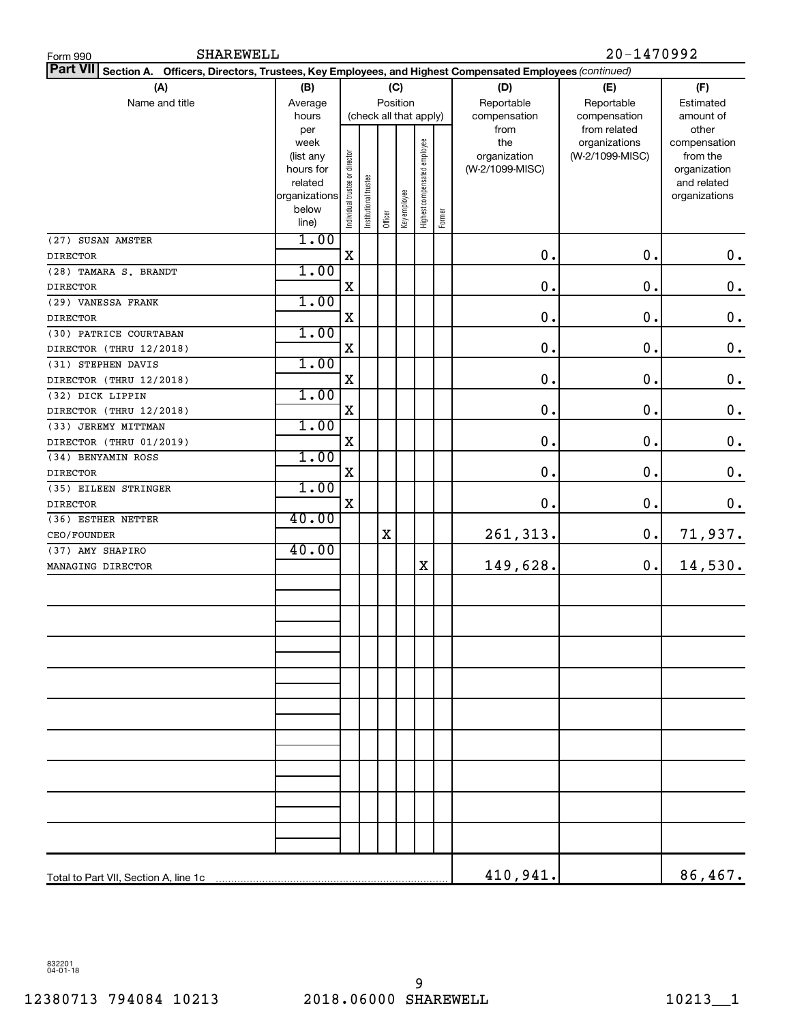| <b>SHAREWELL</b><br>Form 990                                                                                    |                                                                            |                                |                       |         |                 |                              |        |                                                | 20-1470992                                       |                                                                                   |
|-----------------------------------------------------------------------------------------------------------------|----------------------------------------------------------------------------|--------------------------------|-----------------------|---------|-----------------|------------------------------|--------|------------------------------------------------|--------------------------------------------------|-----------------------------------------------------------------------------------|
| Part VII Section A. Officers, Directors, Trustees, Key Employees, and Highest Compensated Employees (continued) |                                                                            |                                |                       |         |                 |                              |        |                                                |                                                  |                                                                                   |
| (A)                                                                                                             | (D)                                                                        | (E)                            | (F)                   |         |                 |                              |        |                                                |                                                  |                                                                                   |
| Name and title                                                                                                  | (B)<br>Average                                                             |                                |                       |         | (C)<br>Position |                              |        | Reportable                                     | Reportable                                       | Estimated                                                                         |
|                                                                                                                 | hours                                                                      | (check all that apply)         |                       |         |                 |                              |        | compensation                                   | compensation                                     | amount of                                                                         |
|                                                                                                                 | per<br>week<br>(list any<br>hours for<br>related<br>organizations<br>below | Individual trustee or director | Institutional trustee |         | Key employee    | Highest compensated employee |        | from<br>the<br>organization<br>(W-2/1099-MISC) | from related<br>organizations<br>(W-2/1099-MISC) | other<br>compensation<br>from the<br>organization<br>and related<br>organizations |
|                                                                                                                 | line)                                                                      |                                |                       | Officer |                 |                              | Former |                                                |                                                  |                                                                                   |
| (27) SUSAN AMSTER                                                                                               | 1.00                                                                       |                                |                       |         |                 |                              |        |                                                |                                                  |                                                                                   |
| <b>DIRECTOR</b>                                                                                                 |                                                                            | X                              |                       |         |                 |                              |        | $\mathbf 0$ .                                  | 0.                                               | $\mathbf 0$ .                                                                     |
| (28) TAMARA S. BRANDT                                                                                           | 1.00                                                                       |                                |                       |         |                 |                              |        |                                                |                                                  |                                                                                   |
| <b>DIRECTOR</b>                                                                                                 |                                                                            | X                              |                       |         |                 |                              |        | $\mathbf 0$ .                                  | 0.                                               | $\mathbf 0$ .                                                                     |
| (29) VANESSA FRANK                                                                                              | 1.00                                                                       |                                |                       |         |                 |                              |        |                                                |                                                  |                                                                                   |
| <b>DIRECTOR</b>                                                                                                 |                                                                            | X                              |                       |         |                 |                              |        | $\mathbf 0$ .                                  | 0.                                               | $\mathbf 0$ .                                                                     |
| (30) PATRICE COURTABAN                                                                                          | 1.00                                                                       |                                |                       |         |                 |                              |        |                                                |                                                  |                                                                                   |
| DIRECTOR (THRU 12/2018)                                                                                         |                                                                            | X                              |                       |         |                 |                              |        | 0.                                             | 0.                                               | $\mathbf 0$ .                                                                     |
| (31) STEPHEN DAVIS                                                                                              | 1.00                                                                       |                                |                       |         |                 |                              |        |                                                |                                                  |                                                                                   |
| DIRECTOR (THRU 12/2018)                                                                                         |                                                                            | X                              |                       |         |                 |                              |        | $\mathbf 0$ .                                  | 0.                                               | $\mathbf 0$ .                                                                     |
| (32) DICK LIPPIN                                                                                                | 1.00                                                                       |                                |                       |         |                 |                              |        |                                                |                                                  |                                                                                   |
| DIRECTOR (THRU 12/2018)                                                                                         |                                                                            | X                              |                       |         |                 |                              |        | $\mathbf 0$ .                                  | 0.                                               | $\mathbf 0$ .                                                                     |
| (33) JEREMY MITTMAN                                                                                             | 1.00                                                                       |                                |                       |         |                 |                              |        |                                                |                                                  |                                                                                   |
| DIRECTOR (THRU 01/2019)                                                                                         |                                                                            | X                              |                       |         |                 |                              |        | $\mathbf 0$ .                                  | 0.                                               | $\mathbf 0$ .                                                                     |
| (34) BENYAMIN ROSS                                                                                              | 1.00                                                                       |                                |                       |         |                 |                              |        |                                                |                                                  |                                                                                   |
| <b>DIRECTOR</b>                                                                                                 |                                                                            | X                              |                       |         |                 |                              |        | $\mathbf 0$ .                                  | 0.                                               | $\mathbf 0$ .                                                                     |
| (35) EILEEN STRINGER                                                                                            | 1.00                                                                       |                                |                       |         |                 |                              |        |                                                |                                                  |                                                                                   |
| <b>DIRECTOR</b>                                                                                                 |                                                                            | X                              |                       |         |                 |                              |        | 0.                                             | $\mathbf 0$ .                                    | $\mathbf 0$ .                                                                     |
| (36) ESTHER NETTER                                                                                              | 40.00                                                                      |                                |                       |         |                 |                              |        |                                                |                                                  |                                                                                   |
| CEO/FOUNDER                                                                                                     |                                                                            |                                |                       | X       |                 |                              |        | 261,313.                                       | 0.                                               | 71,937.                                                                           |
| (37) AMY SHAPIRO                                                                                                | 40.00                                                                      |                                |                       |         |                 |                              |        |                                                |                                                  |                                                                                   |
| MANAGING DIRECTOR                                                                                               |                                                                            |                                |                       |         |                 | X                            |        | 149,628.                                       | 0.                                               | 14,530.                                                                           |
|                                                                                                                 |                                                                            |                                |                       |         |                 |                              |        |                                                |                                                  |                                                                                   |
|                                                                                                                 |                                                                            |                                |                       |         |                 |                              |        |                                                |                                                  |                                                                                   |
|                                                                                                                 |                                                                            |                                |                       |         |                 |                              |        |                                                |                                                  |                                                                                   |
|                                                                                                                 |                                                                            |                                |                       |         |                 |                              |        |                                                |                                                  |                                                                                   |
|                                                                                                                 |                                                                            |                                |                       |         |                 |                              |        |                                                |                                                  |                                                                                   |
|                                                                                                                 |                                                                            |                                |                       |         |                 |                              |        |                                                |                                                  |                                                                                   |
|                                                                                                                 |                                                                            |                                |                       |         |                 |                              |        |                                                |                                                  |                                                                                   |
|                                                                                                                 |                                                                            |                                |                       |         |                 |                              |        |                                                |                                                  |                                                                                   |
|                                                                                                                 |                                                                            |                                |                       |         |                 |                              |        |                                                |                                                  |                                                                                   |
|                                                                                                                 |                                                                            |                                |                       |         |                 |                              |        |                                                |                                                  |                                                                                   |
|                                                                                                                 |                                                                            |                                |                       |         |                 |                              |        |                                                |                                                  |                                                                                   |
|                                                                                                                 |                                                                            |                                |                       |         |                 |                              |        |                                                |                                                  |                                                                                   |
|                                                                                                                 |                                                                            |                                |                       |         |                 |                              |        |                                                |                                                  |                                                                                   |
|                                                                                                                 |                                                                            |                                |                       |         |                 |                              |        |                                                |                                                  |                                                                                   |
|                                                                                                                 |                                                                            |                                |                       |         |                 |                              |        |                                                |                                                  |                                                                                   |
|                                                                                                                 |                                                                            |                                |                       |         |                 |                              |        |                                                |                                                  |                                                                                   |
|                                                                                                                 |                                                                            |                                |                       |         |                 |                              |        |                                                |                                                  |                                                                                   |
|                                                                                                                 |                                                                            |                                |                       |         |                 |                              |        |                                                |                                                  |                                                                                   |
|                                                                                                                 |                                                                            |                                |                       |         |                 |                              |        | 410,941.                                       |                                                  | 86,467.                                                                           |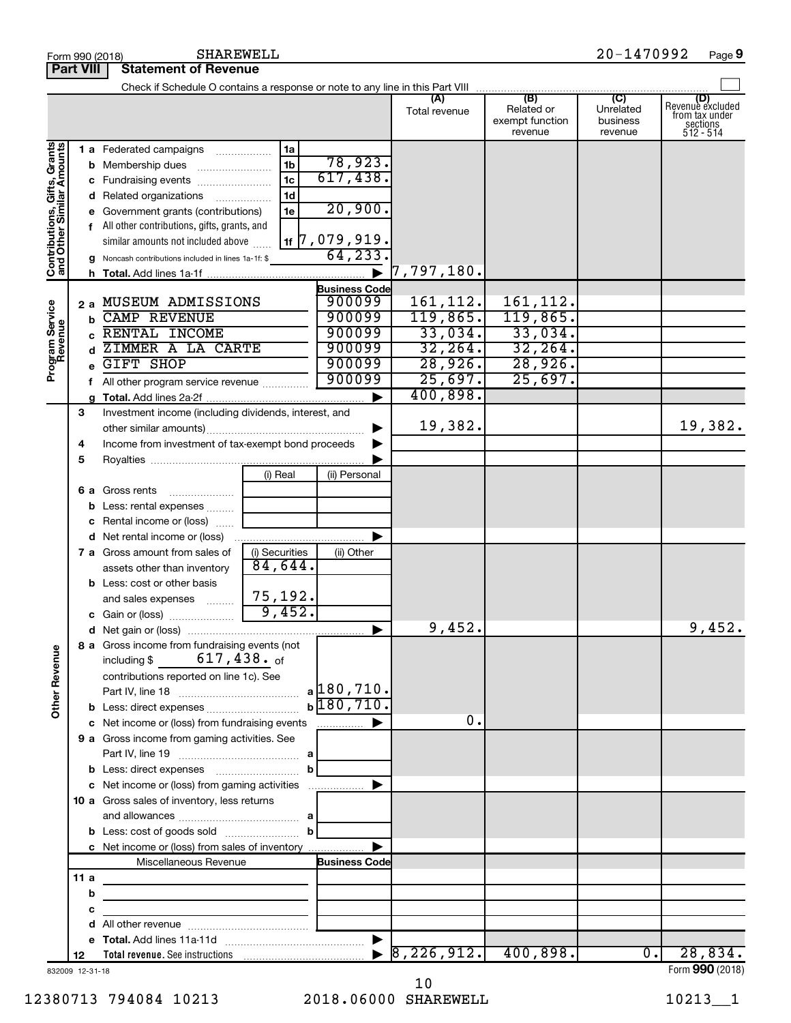|                                                           |                  | SHAREWELL<br>Form 990 (2018)                                             |                |                       |                             |                                                 | 20-1470992                                         | Page 9                                                             |
|-----------------------------------------------------------|------------------|--------------------------------------------------------------------------|----------------|-----------------------|-----------------------------|-------------------------------------------------|----------------------------------------------------|--------------------------------------------------------------------|
|                                                           | <b>Part VIII</b> | <b>Statement of Revenue</b>                                              |                |                       |                             |                                                 |                                                    |                                                                    |
|                                                           |                  |                                                                          |                |                       |                             |                                                 |                                                    |                                                                    |
|                                                           |                  |                                                                          |                |                       | (A)<br>Total revenue        | (B)<br>Related or<br>exempt function<br>revenue | $\overline{C}$<br>Unrelated<br>business<br>revenue | (D)<br>Revenue excluded<br>from tax under<br>sections<br>512 - 514 |
| Contributions, Gifts, Grants<br>and Other Similar Amounts |                  | 1 a Federated campaigns                                                  | 1a             |                       |                             |                                                 |                                                    |                                                                    |
|                                                           |                  | <b>b</b> Membership dues                                                 | 1 <sub>b</sub> | 78,923.               |                             |                                                 |                                                    |                                                                    |
|                                                           |                  | c Fundraising events                                                     | 1 <sub>c</sub> | 617,438.              |                             |                                                 |                                                    |                                                                    |
|                                                           |                  | d Related organizations                                                  | 1 <sub>d</sub> |                       |                             |                                                 |                                                    |                                                                    |
|                                                           |                  | e Government grants (contributions)                                      | 1e             | 20,900.               |                             |                                                 |                                                    |                                                                    |
|                                                           |                  | f All other contributions, gifts, grants, and                            |                |                       |                             |                                                 |                                                    |                                                                    |
|                                                           |                  | similar amounts not included above                                       |                | $1$ 1   $7,079,919$ . |                             |                                                 |                                                    |                                                                    |
|                                                           |                  | g Noncash contributions included in lines 1a-1f: \$                      |                | 64, 233.              |                             |                                                 |                                                    |                                                                    |
|                                                           |                  |                                                                          |                | $\blacktriangleright$ | $\vert 7$ ,797,180.         |                                                 |                                                    |                                                                    |
|                                                           |                  |                                                                          |                | <b>Business Code</b>  |                             |                                                 |                                                    |                                                                    |
|                                                           |                  | 2 a MUSEUM ADMISSIONS                                                    |                | 900099                | 161, 112.                   | 161,112.                                        |                                                    |                                                                    |
|                                                           |                  | <b>b</b> CAMP REVENUE                                                    |                | 900099                | 119,865.                    | 119,865.                                        |                                                    |                                                                    |
|                                                           |                  | RENTAL INCOME                                                            |                | 900099                | 33,034.                     | 33,034.                                         |                                                    |                                                                    |
|                                                           |                  | ZIMMER A LA CARTE<br>$\mathbf d$                                         |                | 900099                | 32, 264.                    | 32, 264.                                        |                                                    |                                                                    |
| Program Service<br>Revenue                                |                  | <b>GIFT SHOP</b>                                                         |                | 900099                | 28,926.                     | 28,926.                                         |                                                    |                                                                    |
|                                                           |                  | f All other program service revenue                                      |                | 900099                | 25,697.                     | 25,697.                                         |                                                    |                                                                    |
|                                                           |                  | a                                                                        |                | ▶                     | 400,898.                    |                                                 |                                                    |                                                                    |
|                                                           | 3                | Investment income (including dividends, interest, and                    |                |                       |                             |                                                 |                                                    |                                                                    |
|                                                           |                  |                                                                          |                |                       | 19,382.                     |                                                 |                                                    | 19,382.                                                            |
|                                                           | 4                | Income from investment of tax-exempt bond proceeds                       |                |                       |                             |                                                 |                                                    |                                                                    |
|                                                           | 5                |                                                                          |                |                       |                             |                                                 |                                                    |                                                                    |
|                                                           |                  |                                                                          | (i) Real       | (ii) Personal         |                             |                                                 |                                                    |                                                                    |
|                                                           |                  | 6 a Gross rents                                                          |                |                       |                             |                                                 |                                                    |                                                                    |
|                                                           |                  | <b>b</b> Less: rental expenses                                           |                |                       |                             |                                                 |                                                    |                                                                    |
|                                                           |                  | c Rental income or (loss)                                                |                |                       |                             |                                                 |                                                    |                                                                    |
|                                                           |                  |                                                                          |                | ▶                     |                             |                                                 |                                                    |                                                                    |
|                                                           |                  | 7 a Gross amount from sales of                                           | (i) Securities | (ii) Other            |                             |                                                 |                                                    |                                                                    |
|                                                           |                  | assets other than inventory                                              | 84,644.        |                       |                             |                                                 |                                                    |                                                                    |
|                                                           |                  | <b>b</b> Less: cost or other basis                                       |                |                       |                             |                                                 |                                                    |                                                                    |
|                                                           |                  | and sales expenses                                                       | 75,192.        |                       |                             |                                                 |                                                    |                                                                    |
|                                                           |                  |                                                                          | 9,452.         |                       |                             |                                                 |                                                    |                                                                    |
|                                                           |                  | c Gain or (loss)                                                         |                |                       | 9,452.                      |                                                 |                                                    | 9,452.                                                             |
|                                                           |                  | 8 a Gross income from fundraising events (not                            |                |                       |                             |                                                 |                                                    |                                                                    |
| <b>Other Revenue</b>                                      |                  | including \$ $617,438.$ of                                               |                |                       |                             |                                                 |                                                    |                                                                    |
|                                                           |                  | contributions reported on line 1c). See                                  |                |                       |                             |                                                 |                                                    |                                                                    |
|                                                           |                  |                                                                          |                | a 180,710.            |                             |                                                 |                                                    |                                                                    |
|                                                           |                  |                                                                          |                | $b\sqrt{180, 710}$ .  |                             |                                                 |                                                    |                                                                    |
|                                                           |                  |                                                                          |                |                       | 0.                          |                                                 |                                                    |                                                                    |
|                                                           |                  | 9 a Gross income from gaming activities. See                             |                |                       |                             |                                                 |                                                    |                                                                    |
|                                                           |                  |                                                                          |                |                       |                             |                                                 |                                                    |                                                                    |
|                                                           |                  |                                                                          | $\mathbf b$    |                       |                             |                                                 |                                                    |                                                                    |
|                                                           |                  | c Net income or (loss) from gaming activities                            |                |                       |                             |                                                 |                                                    |                                                                    |
|                                                           |                  | 10 a Gross sales of inventory, less returns                              |                |                       |                             |                                                 |                                                    |                                                                    |
|                                                           |                  |                                                                          |                |                       |                             |                                                 |                                                    |                                                                    |
|                                                           |                  | <b>b</b> Less: cost of goods sold $\ldots$ <b>b</b>                      |                |                       |                             |                                                 |                                                    |                                                                    |
|                                                           |                  | c Net income or (loss) from sales of inventory                           |                | ▶                     |                             |                                                 |                                                    |                                                                    |
|                                                           |                  | Miscellaneous Revenue                                                    |                | <b>Business Code</b>  |                             |                                                 |                                                    |                                                                    |
|                                                           | 11 a             |                                                                          |                |                       |                             |                                                 |                                                    |                                                                    |
|                                                           |                  | b<br><u> 1980 - Johann Stein, mars an deus Amerikaansk kommunister (</u> |                |                       |                             |                                                 |                                                    |                                                                    |
|                                                           |                  | c                                                                        |                |                       |                             |                                                 |                                                    |                                                                    |
|                                                           |                  | d                                                                        |                |                       |                             |                                                 |                                                    |                                                                    |
|                                                           |                  |                                                                          |                |                       | $\triangleright$ 8,226,912. | 400,898.                                        | $\overline{\overline{\phantom{0}}\!\!\!}$          | 28,834.                                                            |
|                                                           | 12               |                                                                          |                |                       |                             |                                                 |                                                    | Form 990 (2018)                                                    |
| 832009 12-31-18                                           |                  |                                                                          |                |                       |                             |                                                 |                                                    |                                                                    |

832009 12-31-18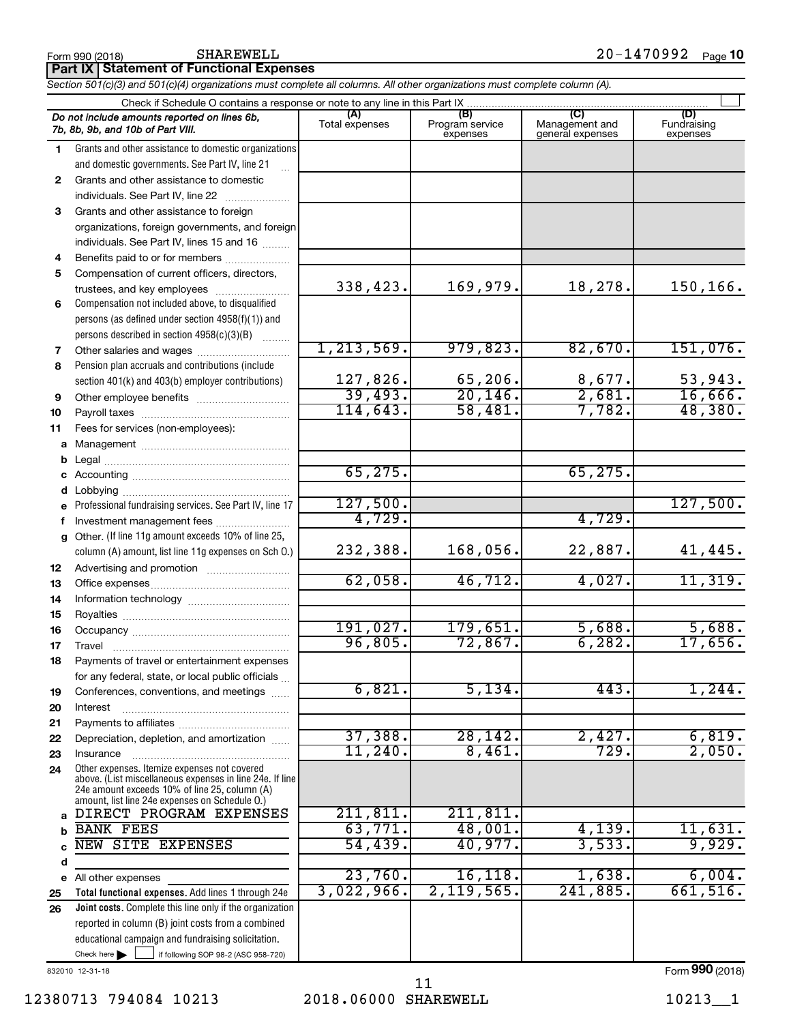|              | Do not include amounts reported on lines 6b,<br>7b, 8b, 9b, and 10b of Part VIII.               | (A)<br>Total expenses | (B)<br>Program service<br>expenses | $\overline{C}$<br>Management and<br>general expenses | (D)<br>Fundraising<br>expenses |
|--------------|-------------------------------------------------------------------------------------------------|-----------------------|------------------------------------|------------------------------------------------------|--------------------------------|
| 1.           | Grants and other assistance to domestic organizations                                           |                       |                                    |                                                      |                                |
|              | and domestic governments. See Part IV, line 21                                                  |                       |                                    |                                                      |                                |
| $\mathbf{2}$ | Grants and other assistance to domestic                                                         |                       |                                    |                                                      |                                |
|              | individuals. See Part IV, line 22                                                               |                       |                                    |                                                      |                                |
| 3            | Grants and other assistance to foreign                                                          |                       |                                    |                                                      |                                |
|              | organizations, foreign governments, and foreign                                                 |                       |                                    |                                                      |                                |
|              | individuals. See Part IV, lines 15 and 16                                                       |                       |                                    |                                                      |                                |
| 4            | Benefits paid to or for members                                                                 |                       |                                    |                                                      |                                |
| 5            | Compensation of current officers, directors,                                                    |                       |                                    |                                                      |                                |
|              | trustees, and key employees                                                                     | 338,423.              | 169,979.                           | 18,278.                                              | 150,166.                       |
| 6            | Compensation not included above, to disqualified                                                |                       |                                    |                                                      |                                |
|              | persons (as defined under section 4958(f)(1)) and                                               |                       |                                    |                                                      |                                |
|              | persons described in section 4958(c)(3)(B)<br>1.1.1.1.1.1.1                                     |                       |                                    |                                                      |                                |
| 7            | Other salaries and wages                                                                        | 1, 213, 569.          | 979,823.                           | 82,670.                                              | 151,076.                       |
| 8            | Pension plan accruals and contributions (include                                                |                       |                                    |                                                      |                                |
|              | section 401(k) and 403(b) employer contributions)                                               | 127,826.              | 65,206.                            | 8,677.                                               | 53,943.                        |
| 9            | Other employee benefits                                                                         | 39,493.               | 20, 146.                           | 2,681.                                               | 16,666.                        |
| 10           |                                                                                                 | 114,643.              | 58,481.                            | 7,782.                                               | 48,380.                        |
| 11           | Fees for services (non-employees):                                                              |                       |                                    |                                                      |                                |
| a            |                                                                                                 |                       |                                    |                                                      |                                |
| b            |                                                                                                 |                       |                                    |                                                      |                                |
| с            |                                                                                                 | 65, 275.              |                                    | 65, 275.                                             |                                |
| d            |                                                                                                 |                       |                                    |                                                      |                                |
| e            | Professional fundraising services. See Part IV, line 17                                         | 127,500.              |                                    |                                                      | 127,500.                       |
| f            | Investment management fees                                                                      | 4,729.                |                                    | 4,729.                                               |                                |
| a            | Other. (If line 11g amount exceeds 10% of line 25,                                              |                       |                                    |                                                      |                                |
|              | column (A) amount, list line 11g expenses on Sch O.)                                            | 232,388.              | 168,056.                           | 22,887.                                              | 41,445.                        |
| 12           |                                                                                                 |                       |                                    |                                                      |                                |
| 13           |                                                                                                 | 62,058.               | 46,712.                            | 4,027.                                               | 11,319.                        |
| 14           |                                                                                                 |                       |                                    |                                                      |                                |
| 15           |                                                                                                 | 191,027.              | 179,651.                           | 5,688.                                               | 5,688.                         |
| 16           |                                                                                                 | 96,805.               | 72,867.                            | 6, 282.                                              | 17,656.                        |
| 17           | Travel                                                                                          |                       |                                    |                                                      |                                |
| 18           | Payments of travel or entertainment expenses                                                    |                       |                                    |                                                      |                                |
|              | for any federal, state, or local public officials                                               | 6,821.                | 5,134.                             | 443.                                                 | 1,244.                         |
| 19           | Conferences, conventions, and meetings                                                          |                       |                                    |                                                      |                                |
| 20           | Interest                                                                                        |                       |                                    |                                                      |                                |
| 21<br>22     | Depreciation, depletion, and amortization                                                       | 37,388.               | 28, 142.                           | 2,427.                                               | 6,819.                         |
| 23           | Insurance                                                                                       | $11,240$ .            | 8,461.                             | 729.                                                 | 2,050.                         |
| 24           | Other expenses. Itemize expenses not covered                                                    |                       |                                    |                                                      |                                |
|              | above. (List miscellaneous expenses in line 24e. If line                                        |                       |                                    |                                                      |                                |
|              | 24e amount exceeds 10% of line 25, column (A)<br>amount, list line 24e expenses on Schedule O.) |                       |                                    |                                                      |                                |
| a            | DIRECT PROGRAM EXPENSES                                                                         | 211,811.              | 211,811.                           |                                                      |                                |
| b            | <b>BANK FEES</b>                                                                                | 63,771.               | 48,001.                            | 4,139.                                               | 11,631.                        |
| C            | NEW SITE EXPENSES                                                                               | 54,439.               | 40,977.                            | 3,533.                                               | 9,929.                         |
| d            |                                                                                                 |                       |                                    |                                                      |                                |
| е            | All other expenses                                                                              | $23,760$ .            | 16, 118.                           | 1,638.                                               | 6,004.                         |
| 25           | Total functional expenses. Add lines 1 through 24e                                              | 3,022,966.            | 2,119,565.                         | 241,885.                                             | 661,516.                       |
| 26           | Joint costs. Complete this line only if the organization                                        |                       |                                    |                                                      |                                |
|              | reported in column (B) joint costs from a combined                                              |                       |                                    |                                                      |                                |
|              | educational campaign and fundraising solicitation.                                              |                       |                                    |                                                      |                                |
|              | Check here $\blacktriangleright$<br>if following SOP 98-2 (ASC 958-720)                         |                       |                                    |                                                      |                                |

*Section 501(c)(3) and 501(c)(4) organizations must complete all columns. All other organizations must complete column (A).*

 $\Box$ 

832010 12-31-18

Form (2018) **990**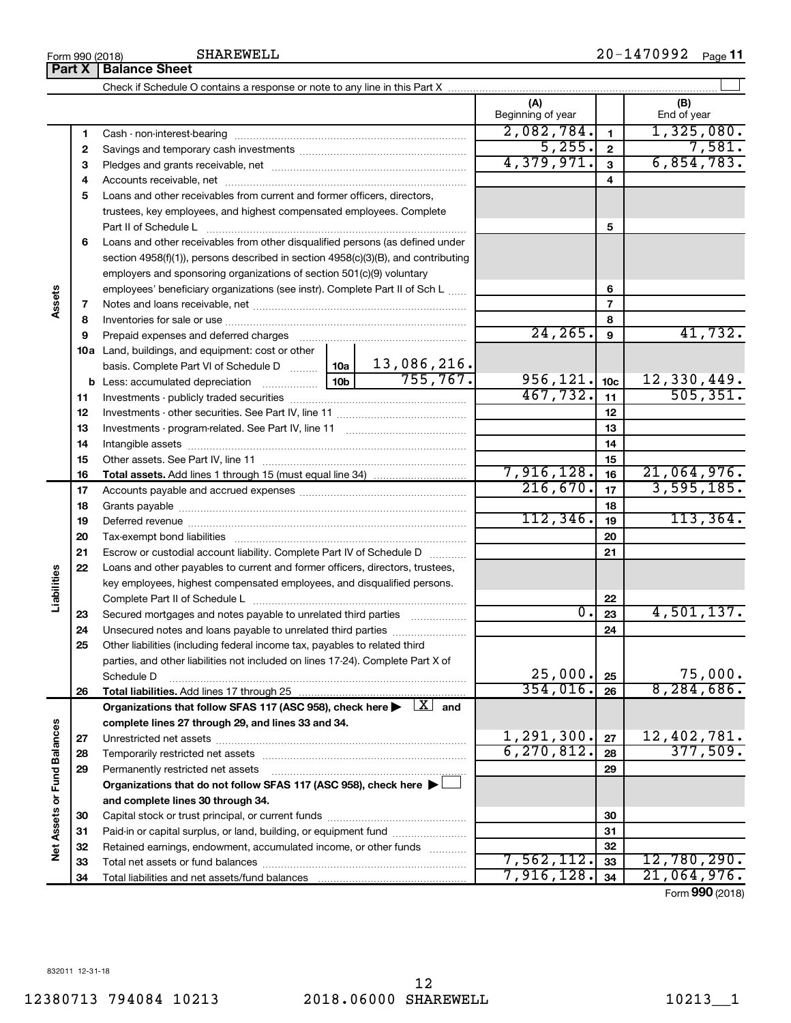12

| Form 990 (2018) |                      | SHAREWELL | $20 -$<br><br>Vフフム | Page |
|-----------------|----------------------|-----------|--------------------|------|
| Part X          | <b>Balance Sheet</b> |           |                    |      |

|                      | Part X   | <b>Balance Sheet</b>                                                                                                         |            |                               |                 |                              |
|----------------------|----------|------------------------------------------------------------------------------------------------------------------------------|------------|-------------------------------|-----------------|------------------------------|
|                      |          |                                                                                                                              |            |                               |                 |                              |
|                      |          |                                                                                                                              |            | (A)<br>Beginning of year      |                 | (B)<br>End of year           |
|                      | 1        |                                                                                                                              |            | 2,082,784.                    | 1               | 1,325,080.                   |
|                      | 2        |                                                                                                                              | 5,255.     | $\mathbf{2}$                  | 7,581.          |                              |
|                      | З        |                                                                                                                              | 4,379,971. | 3                             | 6,854,783.      |                              |
|                      | 4        |                                                                                                                              |            |                               | 4               |                              |
|                      | 5        | Loans and other receivables from current and former officers, directors,                                                     |            |                               |                 |                              |
|                      |          | trustees, key employees, and highest compensated employees. Complete                                                         |            |                               |                 |                              |
|                      |          | Part II of Schedule L                                                                                                        |            |                               | 5               |                              |
|                      | 6        | Loans and other receivables from other disqualified persons (as defined under                                                |            |                               |                 |                              |
|                      |          | section $4958(f)(1)$ , persons described in section $4958(c)(3)(B)$ , and contributing                                       |            |                               |                 |                              |
|                      |          | employers and sponsoring organizations of section 501(c)(9) voluntary                                                        |            |                               |                 |                              |
|                      |          | employees' beneficiary organizations (see instr). Complete Part II of Sch L                                                  |            |                               | 6               |                              |
| Assets               | 7        |                                                                                                                              |            |                               | 7               |                              |
|                      | 8        |                                                                                                                              |            |                               | 8               |                              |
|                      | 9        |                                                                                                                              |            | 24, 265.                      | 9               | 41,732.                      |
|                      |          | 10a Land, buildings, and equipment: cost or other                                                                            |            |                               |                 |                              |
|                      |          | basis. Complete Part VI of Schedule D  10a 13,086,216.                                                                       |            |                               |                 |                              |
|                      |          |                                                                                                                              |            | 956,121.                      | 10 <sub>c</sub> | 12,330,449.                  |
|                      | 11       |                                                                                                                              |            | 467,732.                      | 11              | 505, 351.                    |
|                      | 12       |                                                                                                                              |            |                               | 12              |                              |
|                      | 13       |                                                                                                                              |            | 13                            |                 |                              |
|                      | 14       |                                                                                                                              |            | 14                            |                 |                              |
|                      | 15       |                                                                                                                              |            | 7,916,128.                    | 15              | 21,064,976.                  |
|                      | 16       |                                                                                                                              |            | 216,670.                      | 16              | 3,595,185.                   |
|                      | 17       |                                                                                                                              |            |                               | 17              |                              |
|                      | 18       |                                                                                                                              |            | 112, 346.                     | 18<br>19        | 113,364.                     |
|                      | 19<br>20 |                                                                                                                              |            |                               | 20              |                              |
|                      | 21       | Escrow or custodial account liability. Complete Part IV of Schedule D                                                        |            |                               | 21              |                              |
|                      | 22       | Loans and other payables to current and former officers, directors, trustees,                                                |            |                               |                 |                              |
| Liabilities          |          | key employees, highest compensated employees, and disqualified persons.                                                      |            |                               |                 |                              |
|                      |          |                                                                                                                              |            |                               | 22              |                              |
|                      | 23       | Secured mortgages and notes payable to unrelated third parties                                                               |            | 0.                            | 23              | 4,501,137.                   |
|                      | 24       | Unsecured notes and loans payable to unrelated third parties                                                                 |            |                               | 24              |                              |
|                      | 25       | Other liabilities (including federal income tax, payables to related third                                                   |            |                               |                 |                              |
|                      |          | parties, and other liabilities not included on lines 17-24). Complete Part X of                                              |            |                               |                 |                              |
|                      |          | Schedule D                                                                                                                   |            | 25,000.                       | 25              | 75,000.                      |
|                      | 26       | Total liabilities. Add lines 17 through 25                                                                                   |            | 354,016.                      | 26              | 8, 284, 686.                 |
|                      |          | Organizations that follow SFAS 117 (ASC 958), check here $\blacktriangleright \begin{array}{c} \boxed{X} \\ \end{array}$ and |            |                               |                 |                              |
|                      |          | complete lines 27 through 29, and lines 33 and 34.                                                                           |            |                               |                 |                              |
|                      | 27       |                                                                                                                              |            | $\frac{1,291,300}{6,270,812}$ | 27              | $\frac{12,402,781}{377,509}$ |
| <b>Fund Balances</b> | 28       |                                                                                                                              |            |                               | 28              |                              |
|                      | 29       | Permanently restricted net assets                                                                                            |            |                               | 29              |                              |
|                      |          | Organizations that do not follow SFAS 117 (ASC 958), check here $\blacktriangleright$                                        |            |                               |                 |                              |
|                      |          | and complete lines 30 through 34.                                                                                            |            |                               |                 |                              |
| Net Assets or        | 30       |                                                                                                                              |            |                               | 30              |                              |
|                      | 31       | Paid-in or capital surplus, or land, building, or equipment fund                                                             |            |                               | 31              |                              |
|                      | 32       | Retained earnings, endowment, accumulated income, or other funds                                                             |            |                               | 32              |                              |
|                      | 33       |                                                                                                                              |            | 7,562,112.                    | 33              | 12,780,290.                  |
|                      | 34       |                                                                                                                              |            | 7,916,128.                    | 34              | 21,064,976.                  |

Form (2018) **990**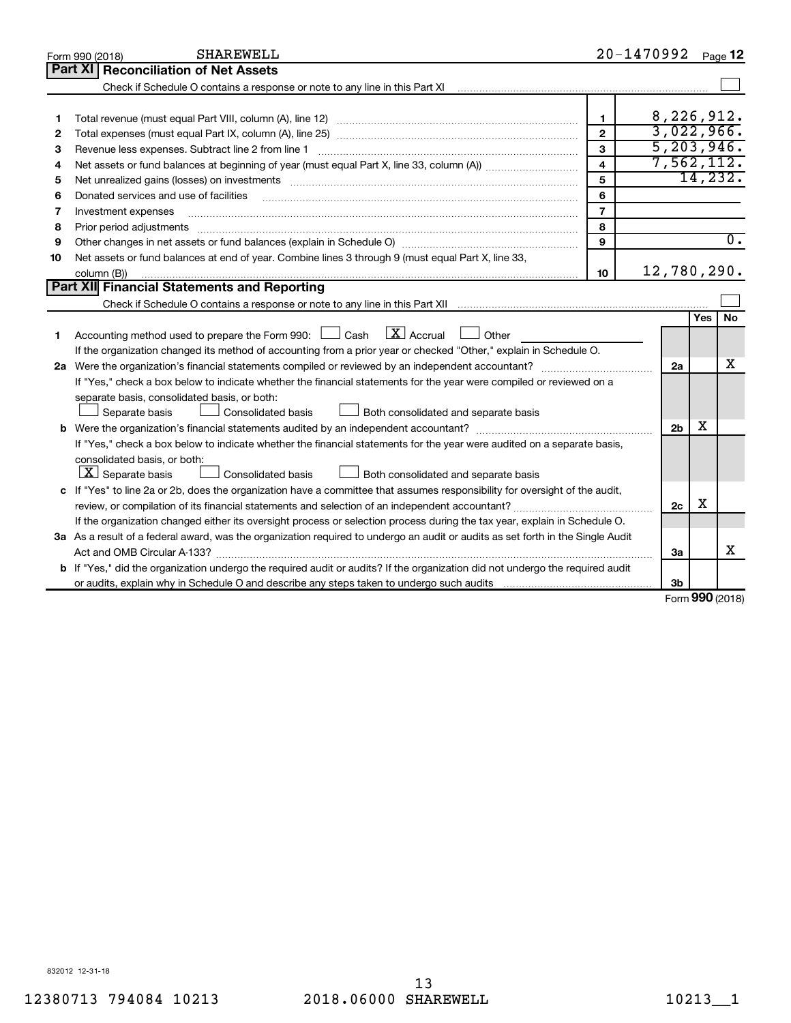|    | <b>SHAREWELL</b><br>Form 990 (2018)                                                                                                                               |                         | 20-1470992 Page 12 |            |                  |
|----|-------------------------------------------------------------------------------------------------------------------------------------------------------------------|-------------------------|--------------------|------------|------------------|
|    | Part XI<br><b>Reconciliation of Net Assets</b>                                                                                                                    |                         |                    |            |                  |
|    | Check if Schedule O contains a response or note to any line in this Part XI [11] [12] Check if Schedule O contains a response or note to any line in this Part XI |                         |                    |            |                  |
|    |                                                                                                                                                                   |                         |                    |            |                  |
| 1  |                                                                                                                                                                   | $\mathbf{1}$            | 8,226,912.         |            |                  |
| 2  |                                                                                                                                                                   | $\mathfrak{p}$          | 3,022,966.         |            |                  |
| 3  | Revenue less expenses. Subtract line 2 from line 1                                                                                                                | $\overline{3}$          | 5, 203, 946.       |            |                  |
| 4  |                                                                                                                                                                   | $\overline{\mathbf{4}}$ | 7,562,112.         |            |                  |
| 5  |                                                                                                                                                                   | 5                       |                    | 14,232.    |                  |
| 6  | Donated services and use of facilities                                                                                                                            | 6                       |                    |            |                  |
| 7  | Investment expenses                                                                                                                                               | $\overline{7}$          |                    |            |                  |
| 8  | Prior period adjustments                                                                                                                                          | 8                       |                    |            |                  |
| 9  |                                                                                                                                                                   | 9                       |                    |            | $\overline{0}$ . |
| 10 | Net assets or fund balances at end of year. Combine lines 3 through 9 (must equal Part X, line 33,                                                                |                         |                    |            |                  |
|    | column (B))                                                                                                                                                       | 10                      | 12,780,290.        |            |                  |
|    | Part XII Financial Statements and Reporting                                                                                                                       |                         |                    |            |                  |
|    |                                                                                                                                                                   |                         |                    |            |                  |
|    |                                                                                                                                                                   |                         |                    | Yes        | <b>No</b>        |
| 1  | $\mathbf{X}$ Accrual<br>Accounting method used to prepare the Form 990: $\Box$ Cash<br>Other                                                                      |                         |                    |            |                  |
|    | If the organization changed its method of accounting from a prior year or checked "Other," explain in Schedule O.                                                 |                         |                    |            |                  |
|    |                                                                                                                                                                   |                         | 2a                 |            | x                |
|    | If "Yes," check a box below to indicate whether the financial statements for the year were compiled or reviewed on a                                              |                         |                    |            |                  |
|    | separate basis, consolidated basis, or both:                                                                                                                      |                         |                    |            |                  |
|    | Both consolidated and separate basis<br>Separate basis<br><b>Consolidated basis</b>                                                                               |                         |                    |            |                  |
|    | <b>b</b> Were the organization's financial statements audited by an independent accountant?                                                                       |                         | 2 <sub>b</sub>     | х          |                  |
|    | If "Yes," check a box below to indicate whether the financial statements for the year were audited on a separate basis,                                           |                         |                    |            |                  |
|    | consolidated basis, or both:                                                                                                                                      |                         |                    |            |                  |
|    | $\lfloor \underline{X} \rfloor$ Separate basis<br>Consolidated basis<br>Both consolidated and separate basis                                                      |                         |                    |            |                  |
|    | c If "Yes" to line 2a or 2b, does the organization have a committee that assumes responsibility for oversight of the audit,                                       |                         |                    |            |                  |
|    | review, or compilation of its financial statements and selection of an independent accountant?                                                                    |                         | 2c                 | X          |                  |
|    | If the organization changed either its oversight process or selection process during the tax year, explain in Schedule O.                                         |                         |                    |            |                  |
|    | 3a As a result of a federal award, was the organization required to undergo an audit or audits as set forth in the Single Audit                                   |                         |                    |            |                  |
|    |                                                                                                                                                                   |                         | За                 |            | x                |
|    | b If "Yes," did the organization undergo the required audit or audits? If the organization did not undergo the required audit                                     |                         |                    |            |                  |
|    |                                                                                                                                                                   |                         | 3b                 | <b>000</b> |                  |

Form (2018) **990**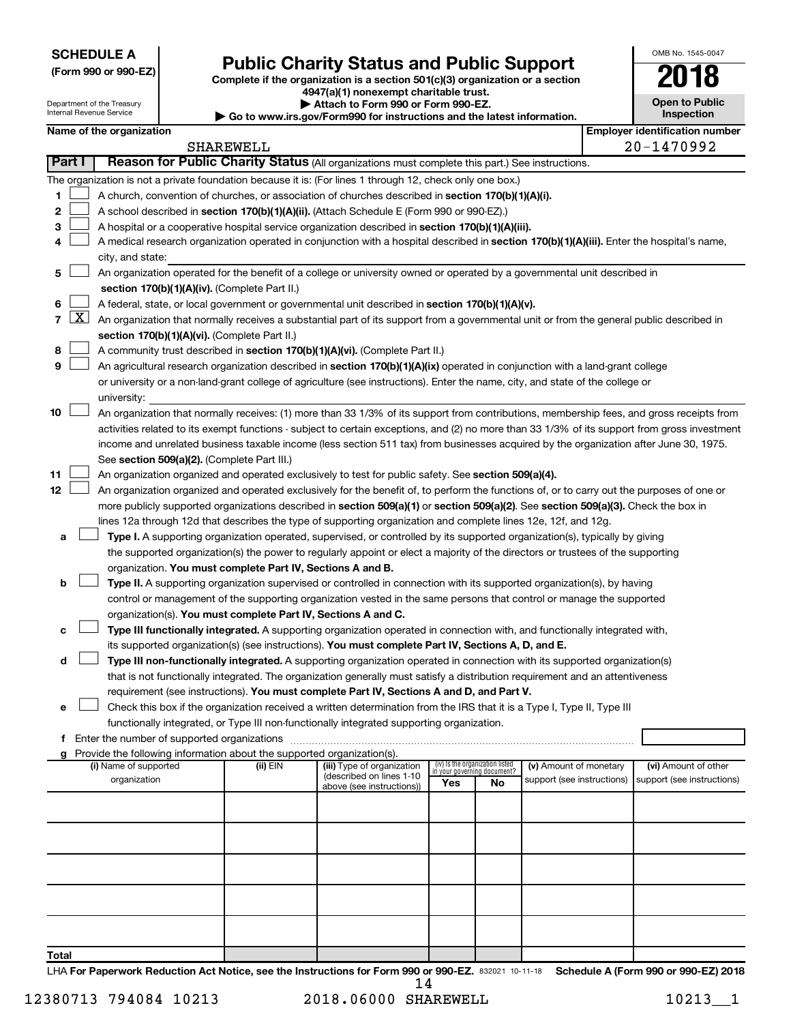| <b>SCHEDULE A</b> |  |
|-------------------|--|
|-------------------|--|

| (Form 990 or 990-EZ) |  |  |  |  |
|----------------------|--|--|--|--|
|----------------------|--|--|--|--|

Department of the Treasury Internal Revenue Service

# Form 990 or 990-EZ)<br>
Complete if the organization is a section 501(c)(3) organization or a section<br> **Public Charity Status and Public Support**

**4947(a)(1) nonexempt charitable trust. | Attach to Form 990 or Form 990-EZ.** 

**| Go to www.irs.gov/Form990 for instructions and the latest information.**

| <b>Open to Public</b><br>Inspection |  |  |  |  |  |
|-------------------------------------|--|--|--|--|--|
| r identification numbe              |  |  |  |  |  |

OMB No. 1545-0047

| Name of the organization<br><b>SHAREWELL</b> |       |                                                                                                                                               |          |                            |     | <b>Employer identification number</b> |                            |  |                                                    |
|----------------------------------------------|-------|-----------------------------------------------------------------------------------------------------------------------------------------------|----------|----------------------------|-----|---------------------------------------|----------------------------|--|----------------------------------------------------|
|                                              |       |                                                                                                                                               |          |                            |     |                                       |                            |  | 20-1470992                                         |
| Part I                                       |       | Reason for Public Charity Status (All organizations must complete this part.) See instructions.                                               |          |                            |     |                                       |                            |  |                                                    |
|                                              |       | The organization is not a private foundation because it is: (For lines 1 through 12, check only one box.)                                     |          |                            |     |                                       |                            |  |                                                    |
| 1                                            |       | A church, convention of churches, or association of churches described in section 170(b)(1)(A)(i).                                            |          |                            |     |                                       |                            |  |                                                    |
| 2                                            |       | A school described in section 170(b)(1)(A)(ii). (Attach Schedule E (Form 990 or 990-EZ).)                                                     |          |                            |     |                                       |                            |  |                                                    |
| 3                                            |       | A hospital or a cooperative hospital service organization described in section 170(b)(1)(A)(iii).                                             |          |                            |     |                                       |                            |  |                                                    |
| 4                                            |       | A medical research organization operated in conjunction with a hospital described in section 170(b)(1)(A)(iii). Enter the hospital's name,    |          |                            |     |                                       |                            |  |                                                    |
|                                              |       | city, and state:                                                                                                                              |          |                            |     |                                       |                            |  |                                                    |
| 5                                            |       | An organization operated for the benefit of a college or university owned or operated by a governmental unit described in                     |          |                            |     |                                       |                            |  |                                                    |
|                                              |       | section 170(b)(1)(A)(iv). (Complete Part II.)                                                                                                 |          |                            |     |                                       |                            |  |                                                    |
| 6                                            |       | A federal, state, or local government or governmental unit described in section 170(b)(1)(A)(v).                                              |          |                            |     |                                       |                            |  |                                                    |
|                                              | 7   X | An organization that normally receives a substantial part of its support from a governmental unit or from the general public described in     |          |                            |     |                                       |                            |  |                                                    |
|                                              |       | section 170(b)(1)(A)(vi). (Complete Part II.)                                                                                                 |          |                            |     |                                       |                            |  |                                                    |
| 8                                            |       | A community trust described in section 170(b)(1)(A)(vi). (Complete Part II.)                                                                  |          |                            |     |                                       |                            |  |                                                    |
| 9                                            |       | An agricultural research organization described in section 170(b)(1)(A)(ix) operated in conjunction with a land-grant college                 |          |                            |     |                                       |                            |  |                                                    |
|                                              |       | or university or a non-land-grant college of agriculture (see instructions). Enter the name, city, and state of the college or                |          |                            |     |                                       |                            |  |                                                    |
|                                              |       | university:                                                                                                                                   |          |                            |     |                                       |                            |  |                                                    |
| 10                                           |       | An organization that normally receives: (1) more than 33 1/3% of its support from contributions, membership fees, and gross receipts from     |          |                            |     |                                       |                            |  |                                                    |
|                                              |       | activities related to its exempt functions - subject to certain exceptions, and (2) no more than 33 1/3% of its support from gross investment |          |                            |     |                                       |                            |  |                                                    |
|                                              |       | income and unrelated business taxable income (less section 511 tax) from businesses acquired by the organization after June 30, 1975.         |          |                            |     |                                       |                            |  |                                                    |
|                                              |       | See section 509(a)(2). (Complete Part III.)                                                                                                   |          |                            |     |                                       |                            |  |                                                    |
| 11                                           |       | An organization organized and operated exclusively to test for public safety. See section 509(a)(4).                                          |          |                            |     |                                       |                            |  |                                                    |
| 12                                           |       | An organization organized and operated exclusively for the benefit of, to perform the functions of, or to carry out the purposes of one or    |          |                            |     |                                       |                            |  |                                                    |
|                                              |       | more publicly supported organizations described in section 509(a)(1) or section 509(a)(2). See section 509(a)(3). Check the box in            |          |                            |     |                                       |                            |  |                                                    |
|                                              |       | lines 12a through 12d that describes the type of supporting organization and complete lines 12e, 12f, and 12g.                                |          |                            |     |                                       |                            |  |                                                    |
| a                                            |       | Type I. A supporting organization operated, supervised, or controlled by its supported organization(s), typically by giving                   |          |                            |     |                                       |                            |  |                                                    |
|                                              |       | the supported organization(s) the power to regularly appoint or elect a majority of the directors or trustees of the supporting               |          |                            |     |                                       |                            |  |                                                    |
|                                              |       | organization. You must complete Part IV, Sections A and B.                                                                                    |          |                            |     |                                       |                            |  |                                                    |
| b                                            |       | Type II. A supporting organization supervised or controlled in connection with its supported organization(s), by having                       |          |                            |     |                                       |                            |  |                                                    |
|                                              |       | control or management of the supporting organization vested in the same persons that control or manage the supported                          |          |                            |     |                                       |                            |  |                                                    |
|                                              |       | organization(s). You must complete Part IV, Sections A and C.                                                                                 |          |                            |     |                                       |                            |  |                                                    |
| с                                            |       | Type III functionally integrated. A supporting organization operated in connection with, and functionally integrated with,                    |          |                            |     |                                       |                            |  |                                                    |
|                                              |       | its supported organization(s) (see instructions). You must complete Part IV, Sections A, D, and E.                                            |          |                            |     |                                       |                            |  |                                                    |
| d                                            |       | Type III non-functionally integrated. A supporting organization operated in connection with its supported organization(s)                     |          |                            |     |                                       |                            |  |                                                    |
|                                              |       | that is not functionally integrated. The organization generally must satisfy a distribution requirement and an attentiveness                  |          |                            |     |                                       |                            |  |                                                    |
|                                              |       | requirement (see instructions). You must complete Part IV, Sections A and D, and Part V.                                                      |          |                            |     |                                       |                            |  |                                                    |
|                                              |       | Check this box if the organization received a written determination from the IRS that it is a Type I, Type II, Type III                       |          |                            |     |                                       |                            |  |                                                    |
|                                              |       | functionally integrated, or Type III non-functionally integrated supporting organization.                                                     |          |                            |     |                                       |                            |  |                                                    |
|                                              |       | f Enter the number of supported organizations                                                                                                 |          |                            |     |                                       |                            |  |                                                    |
|                                              |       | g Provide the following information about the supported organization(s).<br>(i) Name of supported                                             | (ii) EIN | (iii) Type of organization |     | (iv) Is the organization listed       | (v) Amount of monetary     |  |                                                    |
|                                              |       | organization                                                                                                                                  |          | (described on lines 1-10   |     | in your governing document?           | support (see instructions) |  | (vi) Amount of other<br>support (see instructions) |
|                                              |       |                                                                                                                                               |          | above (see instructions))  | Yes | No                                    |                            |  |                                                    |
|                                              |       |                                                                                                                                               |          |                            |     |                                       |                            |  |                                                    |
|                                              |       |                                                                                                                                               |          |                            |     |                                       |                            |  |                                                    |
|                                              |       |                                                                                                                                               |          |                            |     |                                       |                            |  |                                                    |
|                                              |       |                                                                                                                                               |          |                            |     |                                       |                            |  |                                                    |
|                                              |       |                                                                                                                                               |          |                            |     |                                       |                            |  |                                                    |
|                                              |       |                                                                                                                                               |          |                            |     |                                       |                            |  |                                                    |
|                                              |       |                                                                                                                                               |          |                            |     |                                       |                            |  |                                                    |
|                                              |       |                                                                                                                                               |          |                            |     |                                       |                            |  |                                                    |
|                                              |       |                                                                                                                                               |          |                            |     |                                       |                            |  |                                                    |
| Total                                        |       |                                                                                                                                               |          |                            |     |                                       |                            |  |                                                    |

LHA For Paperwork Reduction Act Notice, see the Instructions for Form 990 or 990-EZ. 832021 10-11-18 Schedule A (Form 990 or 990-EZ) 2018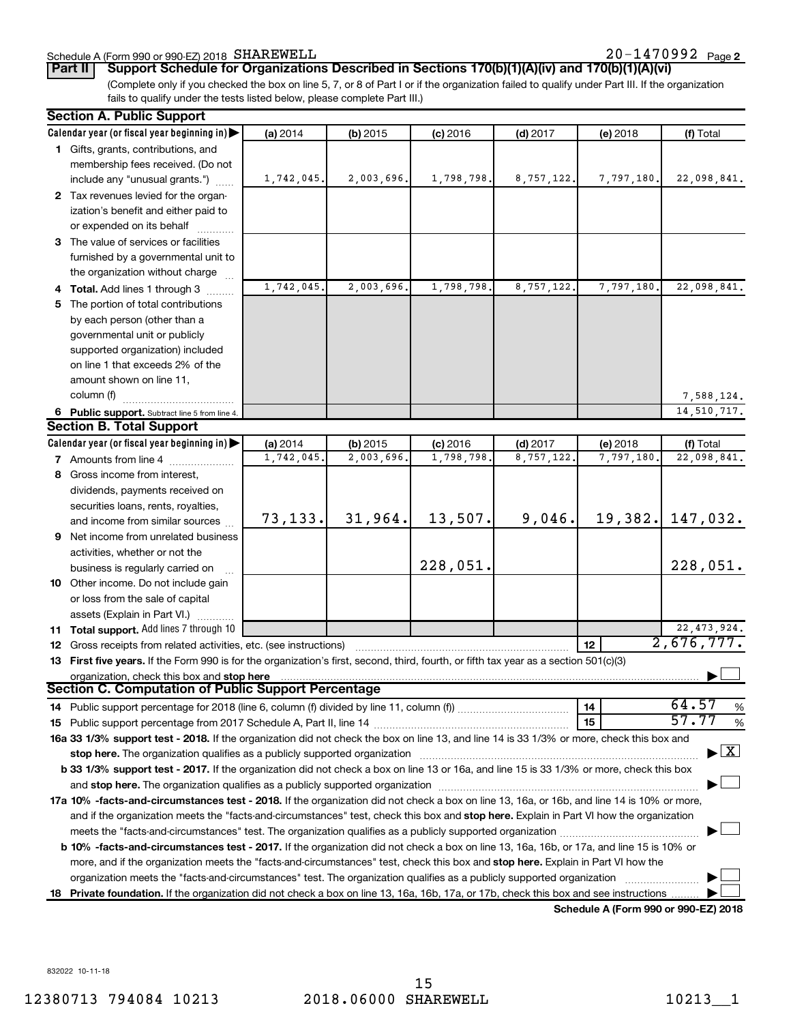### Schedule A (Form 990 or 990-EZ) 2018 SHAREWELL

(Complete only if you checked the box on line 5, 7, or 8 of Part I or if the organization failed to qualify under Part III. If the organization fails to qualify under the tests listed below, please complete Part III.) **Part II Support Schedule for Organizations Described in Sections 170(b)(1)(A)(iv) and 170(b)(1)(A)(vi)**

| <b>Section A. Public Support</b>                                                                                                                |            |            |            |            |                 |                                    |  |
|-------------------------------------------------------------------------------------------------------------------------------------------------|------------|------------|------------|------------|-----------------|------------------------------------|--|
| Calendar year (or fiscal year beginning in)                                                                                                     | (a) 2014   | (b) 2015   | $(c)$ 2016 | $(d)$ 2017 | (e) 2018        | (f) Total                          |  |
| 1 Gifts, grants, contributions, and                                                                                                             |            |            |            |            |                 |                                    |  |
| membership fees received. (Do not                                                                                                               |            |            |            |            |                 |                                    |  |
| include any "unusual grants.")                                                                                                                  | 1,742,045. | 2,003,696. | 1,798,798. | 8,757,122. | 7,797,180.      | 22,098,841.                        |  |
| 2 Tax revenues levied for the organ-                                                                                                            |            |            |            |            |                 |                                    |  |
| ization's benefit and either paid to                                                                                                            |            |            |            |            |                 |                                    |  |
| or expended on its behalf                                                                                                                       |            |            |            |            |                 |                                    |  |
| 3 The value of services or facilities                                                                                                           |            |            |            |            |                 |                                    |  |
| furnished by a governmental unit to                                                                                                             |            |            |            |            |                 |                                    |  |
| the organization without charge                                                                                                                 |            |            |            |            |                 |                                    |  |
| 4 Total. Add lines 1 through 3                                                                                                                  | 1,742,045. | 2,003,696. | 1,798,798. | 8,757,122. | 7,797,180.      | 22,098,841.                        |  |
| 5 The portion of total contributions                                                                                                            |            |            |            |            |                 |                                    |  |
| by each person (other than a                                                                                                                    |            |            |            |            |                 |                                    |  |
| governmental unit or publicly                                                                                                                   |            |            |            |            |                 |                                    |  |
| supported organization) included                                                                                                                |            |            |            |            |                 |                                    |  |
| on line 1 that exceeds 2% of the                                                                                                                |            |            |            |            |                 |                                    |  |
| amount shown on line 11,                                                                                                                        |            |            |            |            |                 |                                    |  |
| column (f)                                                                                                                                      |            |            |            |            |                 | 7,588,124.                         |  |
| 6 Public support. Subtract line 5 from line 4.                                                                                                  |            |            |            |            |                 | 14,510,717.                        |  |
| <b>Section B. Total Support</b>                                                                                                                 |            |            |            |            |                 |                                    |  |
| Calendar year (or fiscal year beginning in)                                                                                                     | (a) 2014   | $(b)$ 2015 | $(c)$ 2016 | $(d)$ 2017 | (e) 2018        | (f) Total                          |  |
| 7 Amounts from line 4                                                                                                                           | 1,742,045. | 2,003,696. | 1,798,798  | 8,757,122  | 7,797,180.      | 22,098,841.                        |  |
| 8 Gross income from interest,                                                                                                                   |            |            |            |            |                 |                                    |  |
| dividends, payments received on                                                                                                                 |            |            |            |            |                 |                                    |  |
| securities loans, rents, royalties,                                                                                                             |            |            |            |            |                 |                                    |  |
| and income from similar sources                                                                                                                 | 73, 133.   | 31,964.    | 13,507.    | 9,046.     |                 | 19,382. 147,032.                   |  |
| <b>9</b> Net income from unrelated business                                                                                                     |            |            |            |            |                 |                                    |  |
| activities, whether or not the                                                                                                                  |            |            |            |            |                 |                                    |  |
| business is regularly carried on                                                                                                                |            |            | 228,051.   |            |                 | 228,051.                           |  |
| 10 Other income. Do not include gain                                                                                                            |            |            |            |            |                 |                                    |  |
| or loss from the sale of capital                                                                                                                |            |            |            |            |                 |                                    |  |
| assets (Explain in Part VI.)                                                                                                                    |            |            |            |            |                 |                                    |  |
| 11 Total support. Add lines 7 through 10                                                                                                        |            |            |            |            |                 | 22, 473, 924.                      |  |
| 12 Gross receipts from related activities, etc. (see instructions)                                                                              |            |            |            |            | 12 <sup>2</sup> | 2,676,777.                         |  |
| 13 First five years. If the Form 990 is for the organization's first, second, third, fourth, or fifth tax year as a section 501(c)(3)           |            |            |            |            |                 |                                    |  |
| organization, check this box and stop here                                                                                                      |            |            |            |            |                 |                                    |  |
| Section C. Computation of Public Support Percentage                                                                                             |            |            |            |            |                 |                                    |  |
|                                                                                                                                                 |            |            |            |            | 14              | 64.57<br>%                         |  |
|                                                                                                                                                 |            |            |            |            | 15              | 57.77<br>$\%$                      |  |
| 16a 33 1/3% support test - 2018. If the organization did not check the box on line 13, and line 14 is 33 1/3% or more, check this box and       |            |            |            |            |                 |                                    |  |
|                                                                                                                                                 |            |            |            |            |                 | $\blacktriangleright$ $\mathbf{X}$ |  |
| <b>b 33 1/3% support test - 2017.</b> If the organization did not check a box on line 13 or 16a, and line 15 is 33 1/3% or more, check this box |            |            |            |            |                 |                                    |  |
|                                                                                                                                                 |            |            |            |            |                 |                                    |  |
| 17a 10% -facts-and-circumstances test - 2018. If the organization did not check a box on line 13, 16a, or 16b, and line 14 is 10% or more,      |            |            |            |            |                 |                                    |  |
| and if the organization meets the "facts-and-circumstances" test, check this box and stop here. Explain in Part VI how the organization         |            |            |            |            |                 |                                    |  |
|                                                                                                                                                 |            |            |            |            |                 |                                    |  |
| b 10% -facts-and-circumstances test - 2017. If the organization did not check a box on line 13, 16a, 16b, or 17a, and line 15 is 10% or         |            |            |            |            |                 |                                    |  |
| more, and if the organization meets the "facts-and-circumstances" test, check this box and stop here. Explain in Part VI how the                |            |            |            |            |                 |                                    |  |
| organization meets the "facts-and-circumstances" test. The organization qualifies as a publicly supported organization                          |            |            |            |            |                 |                                    |  |
| 18 Private foundation. If the organization did not check a box on line 13, 16a, 16b, 17a, or 17b, check this box and see instructions           |            |            |            |            |                 |                                    |  |

**Schedule A (Form 990 or 990-EZ) 2018**

832022 10-11-18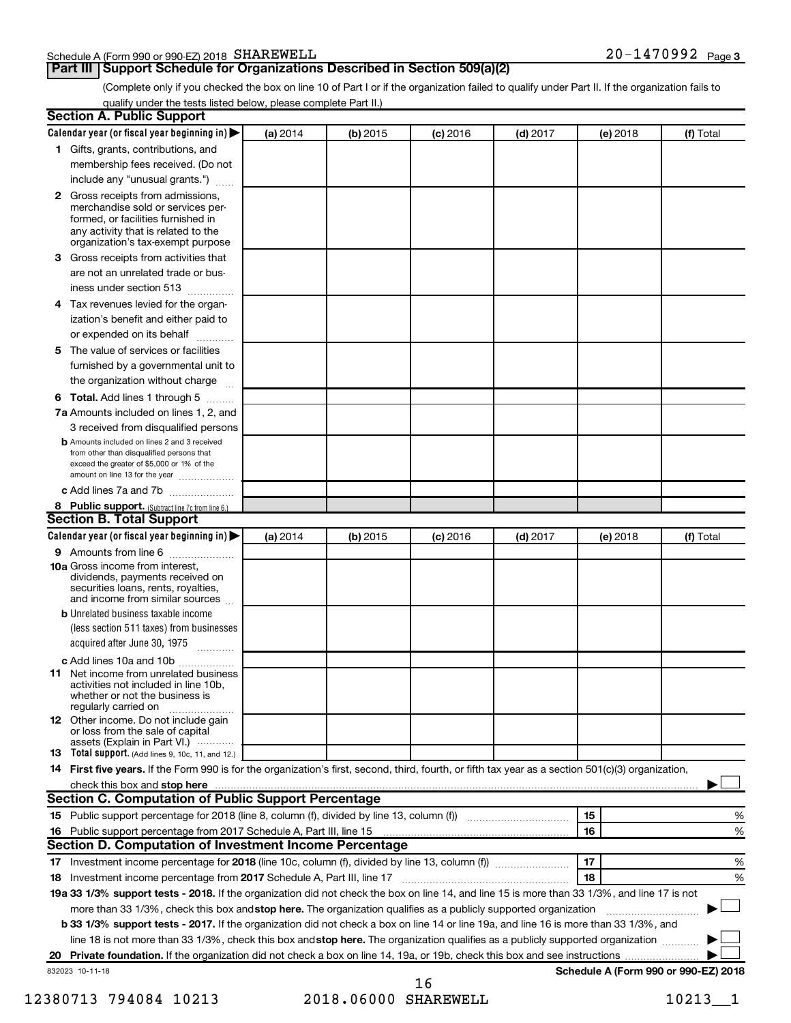#### Schedule A (Form 990 or 990-EZ) 2018 SHAREWELL

#### **Part III Support Schedule for Organizations Described in Section 509(a)(2)**

(Complete only if you checked the box on line 10 of Part I or if the organization failed to qualify under Part II. If the organization fails to qualify under the tests listed below, please complete Part II.)

| <b>Section A. Public Support</b>                                                                                                                                                                                                        |          |            |            |            |          |                                      |
|-----------------------------------------------------------------------------------------------------------------------------------------------------------------------------------------------------------------------------------------|----------|------------|------------|------------|----------|--------------------------------------|
| Calendar year (or fiscal year beginning in)                                                                                                                                                                                             | (a) 2014 | (b) 2015   | $(c)$ 2016 | $(d)$ 2017 | (e) 2018 | (f) Total                            |
| 1 Gifts, grants, contributions, and                                                                                                                                                                                                     |          |            |            |            |          |                                      |
| membership fees received. (Do not                                                                                                                                                                                                       |          |            |            |            |          |                                      |
| include any "unusual grants.")                                                                                                                                                                                                          |          |            |            |            |          |                                      |
| <b>2</b> Gross receipts from admissions,<br>merchandise sold or services per-<br>formed, or facilities furnished in<br>any activity that is related to the<br>organization's tax-exempt purpose                                         |          |            |            |            |          |                                      |
| 3 Gross receipts from activities that<br>are not an unrelated trade or bus-                                                                                                                                                             |          |            |            |            |          |                                      |
| iness under section 513                                                                                                                                                                                                                 |          |            |            |            |          |                                      |
| 4 Tax revenues levied for the organ-                                                                                                                                                                                                    |          |            |            |            |          |                                      |
| ization's benefit and either paid to<br>or expended on its behalf                                                                                                                                                                       |          |            |            |            |          |                                      |
| 5 The value of services or facilities                                                                                                                                                                                                   |          |            |            |            |          |                                      |
| furnished by a governmental unit to                                                                                                                                                                                                     |          |            |            |            |          |                                      |
| the organization without charge                                                                                                                                                                                                         |          |            |            |            |          |                                      |
| 6 Total. Add lines 1 through 5                                                                                                                                                                                                          |          |            |            |            |          |                                      |
| 7a Amounts included on lines 1, 2, and                                                                                                                                                                                                  |          |            |            |            |          |                                      |
| 3 received from disqualified persons                                                                                                                                                                                                    |          |            |            |            |          |                                      |
| <b>b</b> Amounts included on lines 2 and 3 received<br>from other than disqualified persons that<br>exceed the greater of \$5,000 or 1% of the<br>amount on line 13 for the year                                                        |          |            |            |            |          |                                      |
| c Add lines 7a and 7b                                                                                                                                                                                                                   |          |            |            |            |          |                                      |
| 8 Public support. (Subtract line 7c from line 6.)                                                                                                                                                                                       |          |            |            |            |          |                                      |
| <b>Section B. Total Support</b>                                                                                                                                                                                                         |          |            |            |            |          |                                      |
| Calendar year (or fiscal year beginning in)                                                                                                                                                                                             | (a) 2014 | $(b)$ 2015 | $(c)$ 2016 | $(d)$ 2017 | (e) 2018 | (f) Total                            |
| 9 Amounts from line 6                                                                                                                                                                                                                   |          |            |            |            |          |                                      |
| <b>10a</b> Gross income from interest,<br>dividends, payments received on<br>securities loans, rents, royalties,<br>and income from similar sources                                                                                     |          |            |            |            |          |                                      |
| <b>b</b> Unrelated business taxable income                                                                                                                                                                                              |          |            |            |            |          |                                      |
| (less section 511 taxes) from businesses                                                                                                                                                                                                |          |            |            |            |          |                                      |
| acquired after June 30, 1975                                                                                                                                                                                                            |          |            |            |            |          |                                      |
| c Add lines 10a and 10b<br><b>11</b> Net income from unrelated business<br>activities not included in line 10b.<br>whether or not the business is<br>regularly carried on                                                               |          |            |            |            |          |                                      |
| 12 Other income. Do not include gain<br>or loss from the sale of capital<br>assets (Explain in Part VI.)                                                                                                                                |          |            |            |            |          |                                      |
| <b>13</b> Total support. (Add lines 9, 10c, 11, and 12.)                                                                                                                                                                                |          |            |            |            |          |                                      |
| 14 First five years. If the Form 990 is for the organization's first, second, third, fourth, or fifth tax year as a section 501(c)(3) organization,                                                                                     |          |            |            |            |          |                                      |
| check this box and stop here <b>contained and the contained and stop here</b> check this box and stop here <b>contained and the contained and stop here</b> contained and stop here contained and and stop here contained and stop here |          |            |            |            |          |                                      |
| Section C. Computation of Public Support Percentage                                                                                                                                                                                     |          |            |            |            |          |                                      |
| 15 Public support percentage for 2018 (line 8, column (f), divided by line 13, column (f) <i></i>                                                                                                                                       |          |            |            |            | 15       | ℅                                    |
| 16 Public support percentage from 2017 Schedule A, Part III, line 15                                                                                                                                                                    |          |            |            |            | 16       | %                                    |
| Section D. Computation of Investment Income Percentage                                                                                                                                                                                  |          |            |            |            |          |                                      |
|                                                                                                                                                                                                                                         |          |            |            |            | 17       | %                                    |
| 18 Investment income percentage from 2017 Schedule A, Part III, line 17                                                                                                                                                                 |          |            |            |            | 18       | %                                    |
| 19a 33 1/3% support tests - 2018. If the organization did not check the box on line 14, and line 15 is more than 33 1/3%, and line 17 is not                                                                                            |          |            |            |            |          |                                      |
| more than 33 1/3%, check this box and stop here. The organization qualifies as a publicly supported organization                                                                                                                        |          |            |            |            |          |                                      |
| b 33 1/3% support tests - 2017. If the organization did not check a box on line 14 or line 19a, and line 16 is more than 33 1/3%, and                                                                                                   |          |            |            |            |          |                                      |
| line 18 is not more than 33 1/3%, check this box and stop here. The organization qualifies as a publicly supported organization                                                                                                         |          |            |            |            |          |                                      |
|                                                                                                                                                                                                                                         |          |            |            |            |          |                                      |
| 832023 10-11-18                                                                                                                                                                                                                         |          |            |            |            |          | Schedule A (Form 990 or 990-EZ) 2018 |

<sup>12380713 794084 10213 2018.06000</sup> SHAREWELL 10213\_1 16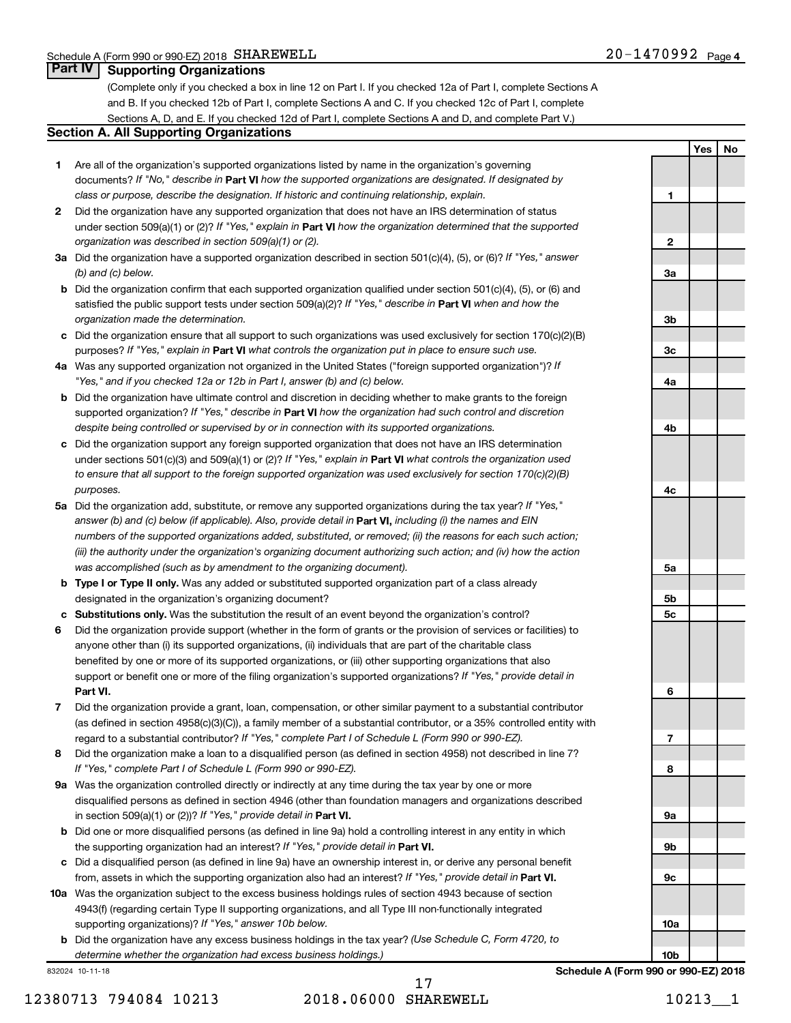**Yes No**

#### **Part IV Supporting Organizations**

(Complete only if you checked a box in line 12 on Part I. If you checked 12a of Part I, complete Sections A and B. If you checked 12b of Part I, complete Sections A and C. If you checked 12c of Part I, complete Sections A, D, and E. If you checked 12d of Part I, complete Sections A and D, and complete Part V.)

#### **Section A. All Supporting Organizations**

- **1** Are all of the organization's supported organizations listed by name in the organization's governing documents? If "No," describe in Part VI how the supported organizations are designated. If designated by *class or purpose, describe the designation. If historic and continuing relationship, explain.*
- **2** Did the organization have any supported organization that does not have an IRS determination of status under section 509(a)(1) or (2)? If "Yes," explain in Part **VI** how the organization determined that the supported *organization was described in section 509(a)(1) or (2).*
- **3a** Did the organization have a supported organization described in section 501(c)(4), (5), or (6)? If "Yes," answer *(b) and (c) below.*
- **b** Did the organization confirm that each supported organization qualified under section 501(c)(4), (5), or (6) and satisfied the public support tests under section 509(a)(2)? If "Yes," describe in Part VI when and how the *organization made the determination.*
- **c** Did the organization ensure that all support to such organizations was used exclusively for section 170(c)(2)(B) purposes? If "Yes," explain in Part VI what controls the organization put in place to ensure such use.
- **4 a** *If* Was any supported organization not organized in the United States ("foreign supported organization")? *"Yes," and if you checked 12a or 12b in Part I, answer (b) and (c) below.*
- **b** Did the organization have ultimate control and discretion in deciding whether to make grants to the foreign supported organization? If "Yes," describe in Part VI how the organization had such control and discretion *despite being controlled or supervised by or in connection with its supported organizations.*
- **c** Did the organization support any foreign supported organization that does not have an IRS determination under sections 501(c)(3) and 509(a)(1) or (2)? If "Yes," explain in Part VI what controls the organization used *to ensure that all support to the foreign supported organization was used exclusively for section 170(c)(2)(B) purposes.*
- **5a** Did the organization add, substitute, or remove any supported organizations during the tax year? If "Yes," answer (b) and (c) below (if applicable). Also, provide detail in **Part VI,** including (i) the names and EIN *numbers of the supported organizations added, substituted, or removed; (ii) the reasons for each such action; (iii) the authority under the organization's organizing document authorizing such action; and (iv) how the action was accomplished (such as by amendment to the organizing document).*
- **b** Type I or Type II only. Was any added or substituted supported organization part of a class already designated in the organization's organizing document?
- **c Substitutions only.**  Was the substitution the result of an event beyond the organization's control?
- **6** Did the organization provide support (whether in the form of grants or the provision of services or facilities) to **Part VI.** support or benefit one or more of the filing organization's supported organizations? If "Yes," provide detail in anyone other than (i) its supported organizations, (ii) individuals that are part of the charitable class benefited by one or more of its supported organizations, or (iii) other supporting organizations that also
- **7** Did the organization provide a grant, loan, compensation, or other similar payment to a substantial contributor regard to a substantial contributor? If "Yes," complete Part I of Schedule L (Form 990 or 990-EZ). (as defined in section 4958(c)(3)(C)), a family member of a substantial contributor, or a 35% controlled entity with
- **8** Did the organization make a loan to a disqualified person (as defined in section 4958) not described in line 7? *If "Yes," complete Part I of Schedule L (Form 990 or 990-EZ).*
- **9 a** Was the organization controlled directly or indirectly at any time during the tax year by one or more in section 509(a)(1) or (2))? If "Yes," provide detail in **Part VI.** disqualified persons as defined in section 4946 (other than foundation managers and organizations described
- **b** Did one or more disqualified persons (as defined in line 9a) hold a controlling interest in any entity in which the supporting organization had an interest? If "Yes," provide detail in Part VI.
- **c** Did a disqualified person (as defined in line 9a) have an ownership interest in, or derive any personal benefit from, assets in which the supporting organization also had an interest? If "Yes," provide detail in Part VI.
- **10 a** Was the organization subject to the excess business holdings rules of section 4943 because of section supporting organizations)? If "Yes," answer 10b below. 4943(f) (regarding certain Type II supporting organizations, and all Type III non-functionally integrated
	- **b** Did the organization have any excess business holdings in the tax year? (Use Schedule C, Form 4720, to *determine whether the organization had excess business holdings.)*

832024 10-11-18

12380713 794084 10213 2018.06000 SHAREWELL 10213 1

17

**1 2 3a 3b 3c 4a 4b 4c 5a 5b 5c 6 7 8 9a 9b 9c 10a 10b**

**Schedule A (Form 990 or 990-EZ) 2018**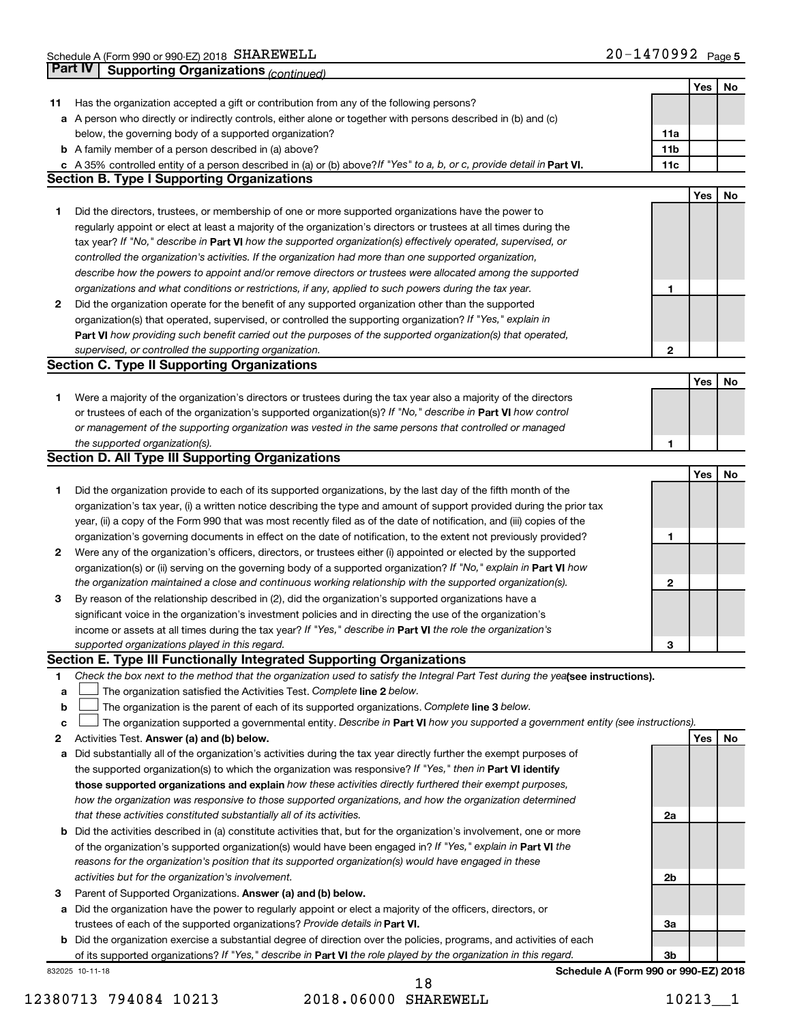|             | Part IV<br><b>Supporting Organizations (continued)</b>                                                                          |                 |     |    |
|-------------|---------------------------------------------------------------------------------------------------------------------------------|-----------------|-----|----|
|             |                                                                                                                                 |                 | Yes | No |
| 11          | Has the organization accepted a gift or contribution from any of the following persons?                                         |                 |     |    |
|             | a A person who directly or indirectly controls, either alone or together with persons described in (b) and (c)                  |                 |     |    |
|             | below, the governing body of a supported organization?                                                                          | 11a             |     |    |
|             | <b>b</b> A family member of a person described in (a) above?                                                                    | 11 <sub>b</sub> |     |    |
|             | c A 35% controlled entity of a person described in (a) or (b) above? If "Yes" to a, b, or c, provide detail in Part VI.         | 11c             |     |    |
|             | <b>Section B. Type I Supporting Organizations</b>                                                                               |                 |     |    |
|             |                                                                                                                                 |                 | Yes | No |
| 1           | Did the directors, trustees, or membership of one or more supported organizations have the power to                             |                 |     |    |
|             | regularly appoint or elect at least a majority of the organization's directors or trustees at all times during the              |                 |     |    |
|             | tax year? If "No," describe in Part VI how the supported organization(s) effectively operated, supervised, or                   |                 |     |    |
|             | controlled the organization's activities. If the organization had more than one supported organization,                         |                 |     |    |
|             | describe how the powers to appoint and/or remove directors or trustees were allocated among the supported                       |                 |     |    |
|             | organizations and what conditions or restrictions, if any, applied to such powers during the tax year.                          | 1               |     |    |
| 2           | Did the organization operate for the benefit of any supported organization other than the supported                             |                 |     |    |
|             | organization(s) that operated, supervised, or controlled the supporting organization? If "Yes," explain in                      |                 |     |    |
|             | Part VI how providing such benefit carried out the purposes of the supported organization(s) that operated,                     |                 |     |    |
|             | supervised, or controlled the supporting organization.                                                                          | 2               |     |    |
|             | <b>Section C. Type II Supporting Organizations</b>                                                                              |                 |     |    |
|             |                                                                                                                                 |                 | Yes | No |
| 1           | Were a majority of the organization's directors or trustees during the tax year also a majority of the directors                |                 |     |    |
|             | or trustees of each of the organization's supported organization(s)? If "No," describe in Part VI how control                   |                 |     |    |
|             | or management of the supporting organization was vested in the same persons that controlled or managed                          |                 |     |    |
|             | the supported organization(s).                                                                                                  | 1               |     |    |
|             | <b>Section D. All Type III Supporting Organizations</b>                                                                         |                 |     |    |
|             |                                                                                                                                 |                 | Yes | No |
| 1           | Did the organization provide to each of its supported organizations, by the last day of the fifth month of the                  |                 |     |    |
|             | organization's tax year, (i) a written notice describing the type and amount of support provided during the prior tax           |                 |     |    |
|             | year, (ii) a copy of the Form 990 that was most recently filed as of the date of notification, and (iii) copies of the          |                 |     |    |
|             | organization's governing documents in effect on the date of notification, to the extent not previously provided?                | 1               |     |    |
| 2           | Were any of the organization's officers, directors, or trustees either (i) appointed or elected by the supported                |                 |     |    |
|             | organization(s) or (ii) serving on the governing body of a supported organization? If "No," explain in Part VI how              |                 |     |    |
|             | the organization maintained a close and continuous working relationship with the supported organization(s).                     | $\mathbf{2}$    |     |    |
| 3           | By reason of the relationship described in (2), did the organization's supported organizations have a                           |                 |     |    |
|             | significant voice in the organization's investment policies and in directing the use of the organization's                      |                 |     |    |
|             | income or assets at all times during the tax year? If "Yes," describe in Part VI the role the organization's                    |                 |     |    |
|             | supported organizations played in this regard.                                                                                  | з               |     |    |
|             | Section E. Type III Functionally Integrated Supporting Organizations                                                            |                 |     |    |
| 1           | Check the box next to the method that the organization used to satisfy the Integral Part Test during the yealsee instructions). |                 |     |    |
| a           | The organization satisfied the Activities Test. Complete line 2 below.                                                          |                 |     |    |
| $\mathbf b$ | The organization is the parent of each of its supported organizations. Complete line 3 below.                                   |                 |     |    |
| c           | The organization supported a governmental entity. Describe in Part VI how you supported a government entity (see instructions). |                 |     |    |
| 2           | Activities Test. Answer (a) and (b) below.                                                                                      |                 | Yes | No |
| а           | Did substantially all of the organization's activities during the tax year directly further the exempt purposes of              |                 |     |    |
|             | the supported organization(s) to which the organization was responsive? If "Yes," then in Part VI identify                      |                 |     |    |
|             | those supported organizations and explain how these activities directly furthered their exempt purposes,                        |                 |     |    |
|             | how the organization was responsive to those supported organizations, and how the organization determined                       |                 |     |    |
|             | that these activities constituted substantially all of its activities.                                                          | 2a              |     |    |
|             | <b>b</b> Did the activities described in (a) constitute activities that, but for the organization's involvement, one or more    |                 |     |    |
|             | of the organization's supported organization(s) would have been engaged in? If "Yes," explain in Part VI the                    |                 |     |    |
|             | reasons for the organization's position that its supported organization(s) would have engaged in these                          |                 |     |    |
|             | activities but for the organization's involvement.                                                                              | 2b              |     |    |
| З           | Parent of Supported Organizations. Answer (a) and (b) below.                                                                    |                 |     |    |
|             | a Did the organization have the power to regularly appoint or elect a majority of the officers, directors, or                   |                 |     |    |
|             | trustees of each of the supported organizations? Provide details in Part VI.                                                    | За              |     |    |
|             | <b>b</b> Did the organization exercise a substantial degree of direction over the policies, programs, and activities of each    |                 |     |    |
|             | of its supported organizations? If "Yes," describe in Part VI the role played by the organization in this regard.               | 3b              |     |    |
|             | Schedule A (Form 990 or 990-EZ) 2018<br>832025 10-11-18                                                                         |                 |     |    |

12380713 794084 10213 2018.06000 SHAREWELL 10213\_1 18

**Schedule A (Form 990 or 990-EZ) 2018**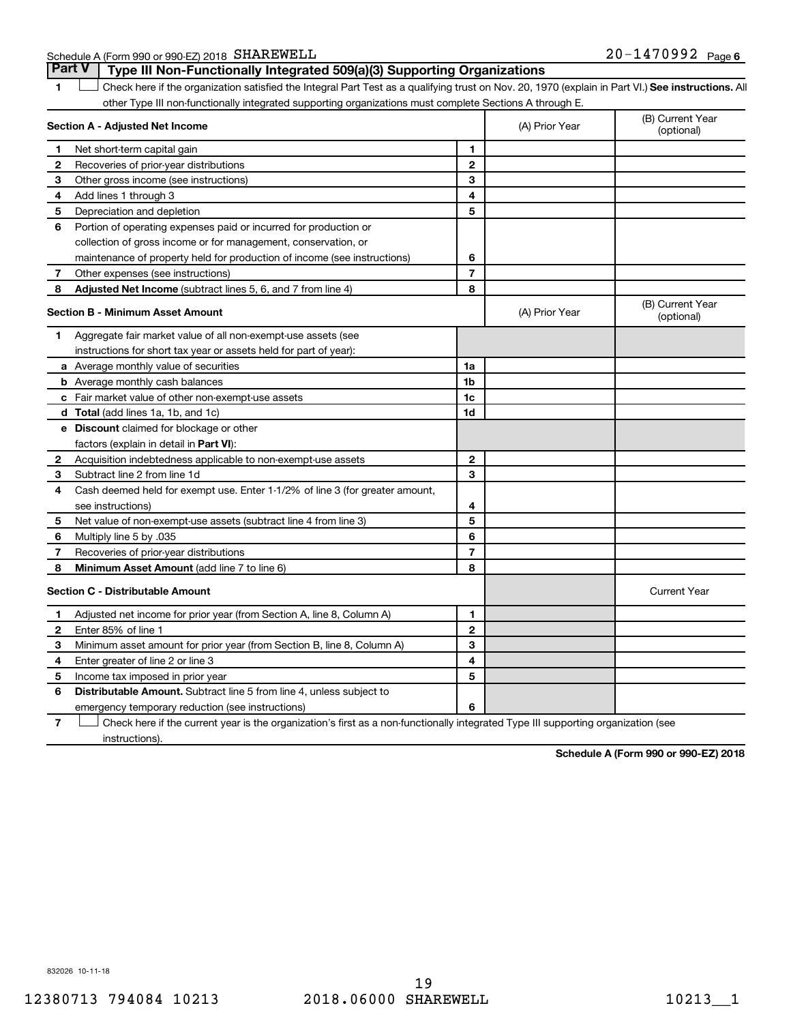Schedule A (Form 990 or 990-EZ) 2018 SHAREWELL

1 **Letter See instructions.** All Check here if the organization satisfied the Integral Part Test as a qualifying trust on Nov. 20, 1970 (explain in Part VI.) See instructions. All other Type III non-functionally integrated supporting organizations must complete Sections A through E. **Part V Type III Non-Functionally Integrated 509(a)(3) Supporting Organizations** 

|                | Section A - Adjusted Net Income                                              |                | (A) Prior Year | (B) Current Year<br>(optional) |
|----------------|------------------------------------------------------------------------------|----------------|----------------|--------------------------------|
| 1.             | Net short-term capital gain                                                  | 1              |                |                                |
| 2              | Recoveries of prior-year distributions                                       | $\overline{2}$ |                |                                |
| З              | Other gross income (see instructions)                                        | 3              |                |                                |
| 4              | Add lines 1 through 3                                                        | 4              |                |                                |
| 5              | Depreciation and depletion                                                   | 5              |                |                                |
| 6              | Portion of operating expenses paid or incurred for production or             |                |                |                                |
|                | collection of gross income or for management, conservation, or               |                |                |                                |
|                | maintenance of property held for production of income (see instructions)     | 6              |                |                                |
| 7              | Other expenses (see instructions)                                            | $\overline{7}$ |                |                                |
| 8              | Adjusted Net Income (subtract lines 5, 6, and 7 from line 4)                 | 8              |                |                                |
|                | <b>Section B - Minimum Asset Amount</b>                                      |                | (A) Prior Year | (B) Current Year<br>(optional) |
| 1              | Aggregate fair market value of all non-exempt-use assets (see                |                |                |                                |
|                | instructions for short tax year or assets held for part of year):            |                |                |                                |
|                | a Average monthly value of securities                                        | 1a             |                |                                |
|                | <b>b</b> Average monthly cash balances                                       | 1b             |                |                                |
|                | c Fair market value of other non-exempt-use assets                           | 1c             |                |                                |
|                | d Total (add lines 1a, 1b, and 1c)                                           | 1 <sub>d</sub> |                |                                |
|                | e Discount claimed for blockage or other                                     |                |                |                                |
|                | factors (explain in detail in <b>Part VI</b> ):                              |                |                |                                |
| 2              | Acquisition indebtedness applicable to non-exempt-use assets                 | $\mathbf{2}$   |                |                                |
| З              | Subtract line 2 from line 1d                                                 | 3              |                |                                |
| 4              | Cash deemed held for exempt use. Enter 1-1/2% of line 3 (for greater amount, |                |                |                                |
|                | see instructions)                                                            | 4              |                |                                |
| 5              | Net value of non-exempt-use assets (subtract line 4 from line 3)             | 5              |                |                                |
| 6              | Multiply line 5 by .035                                                      | 6              |                |                                |
| $\overline{7}$ | Recoveries of prior-year distributions                                       | 7              |                |                                |
| 8              | <b>Minimum Asset Amount (add line 7 to line 6)</b>                           | 8              |                |                                |
|                | <b>Section C - Distributable Amount</b>                                      |                |                | <b>Current Year</b>            |
| 1              | Adjusted net income for prior year (from Section A, line 8, Column A)        | 1              |                |                                |
| $\mathbf{2}$   | Enter 85% of line 1                                                          | $\mathbf{2}$   |                |                                |
| 3              | Minimum asset amount for prior year (from Section B, line 8, Column A)       | 3              |                |                                |
| 4              | Enter greater of line 2 or line 3                                            | 4              |                |                                |
| 5              | Income tax imposed in prior year                                             | 5              |                |                                |
| 6              | <b>Distributable Amount.</b> Subtract line 5 from line 4, unless subject to  |                |                |                                |
|                | emergency temporary reduction (see instructions)                             | 6              |                |                                |
|                |                                                                              |                |                |                                |

**7** Check here if the current year is the organization's first as a non-functionally integrated Type III supporting organization (see † instructions).

**Schedule A (Form 990 or 990-EZ) 2018**

832026 10-11-18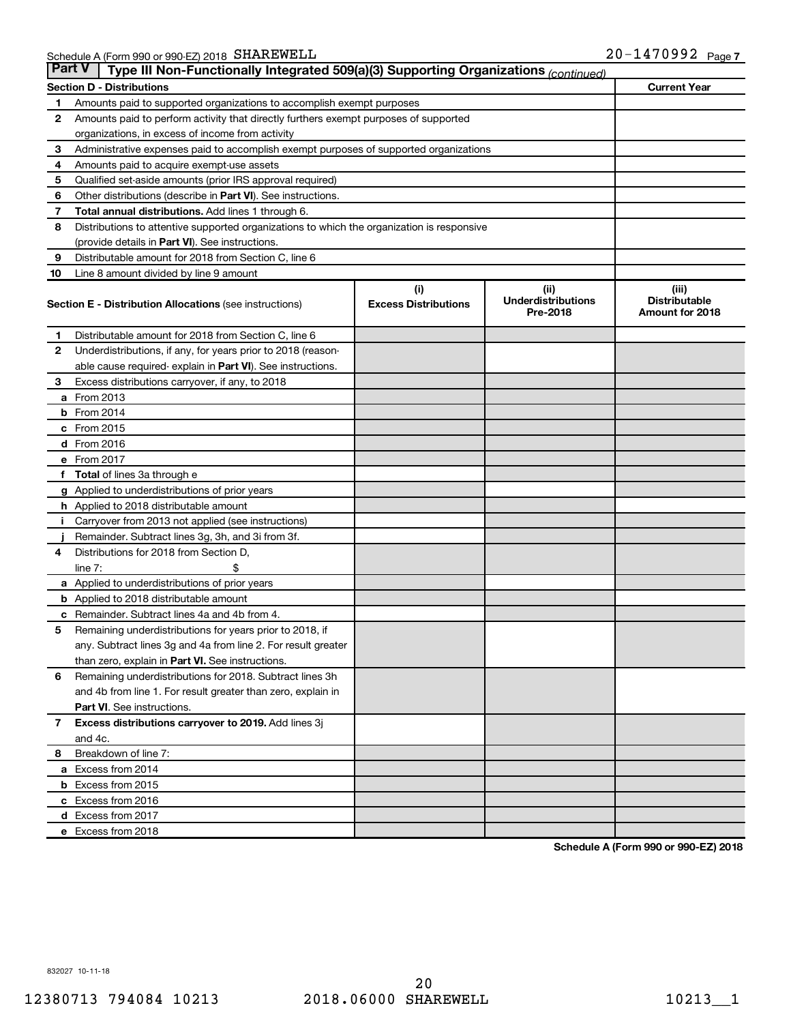| <b>Part V</b><br>Type III Non-Functionally Integrated 509(a)(3) Supporting Organizations (continued) |                                                                                            |                             |                                       |                                         |  |  |  |
|------------------------------------------------------------------------------------------------------|--------------------------------------------------------------------------------------------|-----------------------------|---------------------------------------|-----------------------------------------|--|--|--|
|                                                                                                      | <b>Current Year</b><br><b>Section D - Distributions</b>                                    |                             |                                       |                                         |  |  |  |
| 1                                                                                                    | Amounts paid to supported organizations to accomplish exempt purposes                      |                             |                                       |                                         |  |  |  |
| $\mathbf{2}$                                                                                         | Amounts paid to perform activity that directly furthers exempt purposes of supported       |                             |                                       |                                         |  |  |  |
|                                                                                                      | organizations, in excess of income from activity                                           |                             |                                       |                                         |  |  |  |
| 3                                                                                                    | Administrative expenses paid to accomplish exempt purposes of supported organizations      |                             |                                       |                                         |  |  |  |
| 4                                                                                                    | Amounts paid to acquire exempt-use assets                                                  |                             |                                       |                                         |  |  |  |
| 5                                                                                                    | Qualified set-aside amounts (prior IRS approval required)                                  |                             |                                       |                                         |  |  |  |
| 6                                                                                                    | Other distributions (describe in <b>Part VI</b> ). See instructions.                       |                             |                                       |                                         |  |  |  |
| 7                                                                                                    | Total annual distributions. Add lines 1 through 6.                                         |                             |                                       |                                         |  |  |  |
| 8                                                                                                    | Distributions to attentive supported organizations to which the organization is responsive |                             |                                       |                                         |  |  |  |
|                                                                                                      | (provide details in Part VI). See instructions.                                            |                             |                                       |                                         |  |  |  |
| 9                                                                                                    | Distributable amount for 2018 from Section C, line 6                                       |                             |                                       |                                         |  |  |  |
| 10                                                                                                   | Line 8 amount divided by line 9 amount                                                     |                             |                                       |                                         |  |  |  |
|                                                                                                      |                                                                                            | (i)                         | (ii)                                  | (iii)                                   |  |  |  |
|                                                                                                      | <b>Section E - Distribution Allocations (see instructions)</b>                             | <b>Excess Distributions</b> | <b>Underdistributions</b><br>Pre-2018 | <b>Distributable</b><br>Amount for 2018 |  |  |  |
| 1                                                                                                    | Distributable amount for 2018 from Section C, line 6                                       |                             |                                       |                                         |  |  |  |
| $\mathbf{2}$                                                                                         | Underdistributions, if any, for years prior to 2018 (reason-                               |                             |                                       |                                         |  |  |  |
|                                                                                                      | able cause required-explain in Part VI). See instructions.                                 |                             |                                       |                                         |  |  |  |
| 3                                                                                                    | Excess distributions carryover, if any, to 2018                                            |                             |                                       |                                         |  |  |  |
|                                                                                                      | <b>a</b> From 2013                                                                         |                             |                                       |                                         |  |  |  |
|                                                                                                      | <b>b</b> From 2014                                                                         |                             |                                       |                                         |  |  |  |
|                                                                                                      | c From 2015                                                                                |                             |                                       |                                         |  |  |  |
|                                                                                                      | d From 2016                                                                                |                             |                                       |                                         |  |  |  |
|                                                                                                      | e From 2017                                                                                |                             |                                       |                                         |  |  |  |
|                                                                                                      | f Total of lines 3a through e                                                              |                             |                                       |                                         |  |  |  |
|                                                                                                      | g Applied to underdistributions of prior years                                             |                             |                                       |                                         |  |  |  |
|                                                                                                      | h Applied to 2018 distributable amount                                                     |                             |                                       |                                         |  |  |  |
| Ť.                                                                                                   | Carryover from 2013 not applied (see instructions)                                         |                             |                                       |                                         |  |  |  |
|                                                                                                      | Remainder. Subtract lines 3g, 3h, and 3i from 3f.                                          |                             |                                       |                                         |  |  |  |
| 4                                                                                                    | Distributions for 2018 from Section D,                                                     |                             |                                       |                                         |  |  |  |
|                                                                                                      | line $7:$                                                                                  |                             |                                       |                                         |  |  |  |
|                                                                                                      | a Applied to underdistributions of prior years                                             |                             |                                       |                                         |  |  |  |
|                                                                                                      | <b>b</b> Applied to 2018 distributable amount                                              |                             |                                       |                                         |  |  |  |
| с                                                                                                    | Remainder. Subtract lines 4a and 4b from 4.                                                |                             |                                       |                                         |  |  |  |
| 5                                                                                                    | Remaining underdistributions for years prior to 2018, if                                   |                             |                                       |                                         |  |  |  |
|                                                                                                      | any. Subtract lines 3g and 4a from line 2. For result greater                              |                             |                                       |                                         |  |  |  |
|                                                                                                      | than zero, explain in Part VI. See instructions.                                           |                             |                                       |                                         |  |  |  |
| 6                                                                                                    | Remaining underdistributions for 2018. Subtract lines 3h                                   |                             |                                       |                                         |  |  |  |
|                                                                                                      | and 4b from line 1. For result greater than zero, explain in                               |                             |                                       |                                         |  |  |  |
|                                                                                                      | <b>Part VI.</b> See instructions.                                                          |                             |                                       |                                         |  |  |  |
| $\mathbf{7}$                                                                                         | Excess distributions carryover to 2019. Add lines 3j                                       |                             |                                       |                                         |  |  |  |
|                                                                                                      | and 4c.                                                                                    |                             |                                       |                                         |  |  |  |
| 8                                                                                                    | Breakdown of line 7:                                                                       |                             |                                       |                                         |  |  |  |
|                                                                                                      | a Excess from 2014                                                                         |                             |                                       |                                         |  |  |  |
|                                                                                                      | <b>b</b> Excess from 2015                                                                  |                             |                                       |                                         |  |  |  |
|                                                                                                      | c Excess from 2016                                                                         |                             |                                       |                                         |  |  |  |
|                                                                                                      | d Excess from 2017                                                                         |                             |                                       |                                         |  |  |  |
|                                                                                                      | e Excess from 2018                                                                         |                             |                                       |                                         |  |  |  |

**Schedule A (Form 990 or 990-EZ) 2018**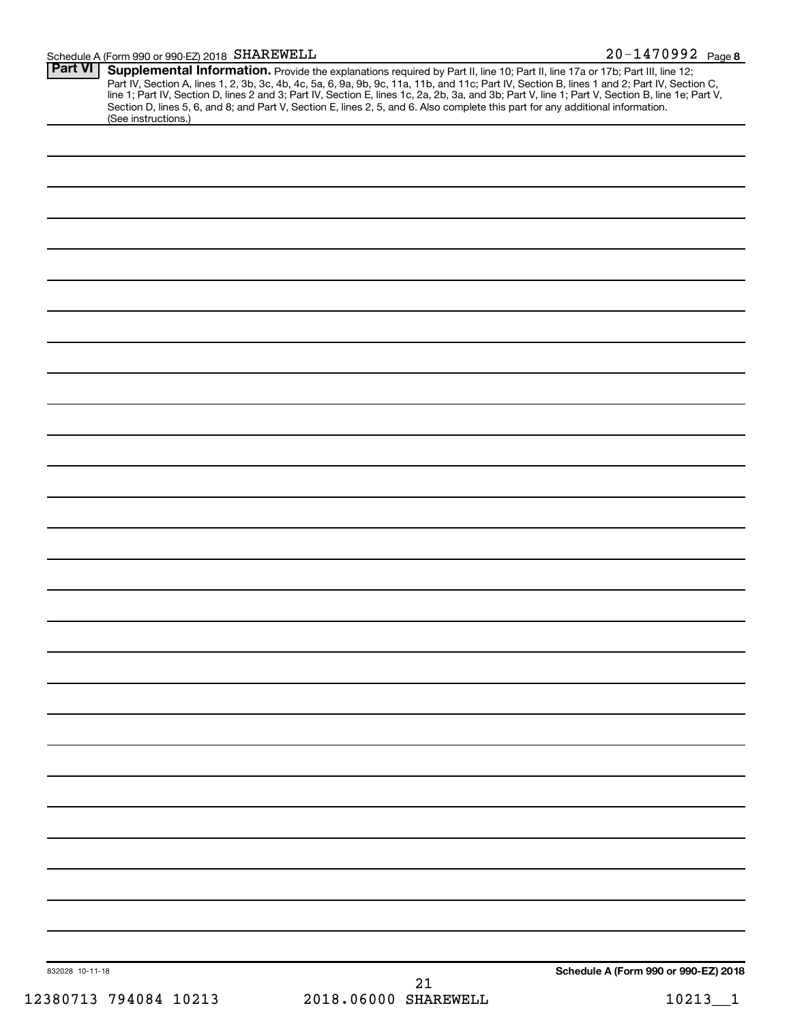### Schedule A (Form 990 or 990-EZ) 2018 SHAREWELL

| <b>Part VI</b>  |                                                                                                                                                                                                                                        |    |                                      |
|-----------------|----------------------------------------------------------------------------------------------------------------------------------------------------------------------------------------------------------------------------------------|----|--------------------------------------|
|                 | <b>Supplemental Information.</b> Provide the explanations required by Part II, line 10; Part II, line 17a or 17b; Part III, line 12;<br>Part IV, Section A, lines 1, 2, 3b, 3c, 4b, 4c, 5a, 6, 9a, 9b, 9c, 11a, 11b, and 11c; Part IV, |    |                                      |
|                 | Section D, lines 5, 6, and 8; and Part V, Section E, lines 2, 5, and 6. Also complete this part for any additional information.<br>(See instructions.)                                                                                 |    |                                      |
|                 |                                                                                                                                                                                                                                        |    |                                      |
|                 |                                                                                                                                                                                                                                        |    |                                      |
|                 |                                                                                                                                                                                                                                        |    |                                      |
|                 |                                                                                                                                                                                                                                        |    |                                      |
|                 |                                                                                                                                                                                                                                        |    |                                      |
|                 |                                                                                                                                                                                                                                        |    |                                      |
|                 |                                                                                                                                                                                                                                        |    |                                      |
|                 |                                                                                                                                                                                                                                        |    |                                      |
|                 |                                                                                                                                                                                                                                        |    |                                      |
|                 |                                                                                                                                                                                                                                        |    |                                      |
|                 |                                                                                                                                                                                                                                        |    |                                      |
|                 |                                                                                                                                                                                                                                        |    |                                      |
|                 |                                                                                                                                                                                                                                        |    |                                      |
|                 |                                                                                                                                                                                                                                        |    |                                      |
|                 |                                                                                                                                                                                                                                        |    |                                      |
|                 |                                                                                                                                                                                                                                        |    |                                      |
|                 |                                                                                                                                                                                                                                        |    |                                      |
|                 |                                                                                                                                                                                                                                        |    |                                      |
|                 |                                                                                                                                                                                                                                        |    |                                      |
|                 |                                                                                                                                                                                                                                        |    |                                      |
|                 |                                                                                                                                                                                                                                        |    |                                      |
|                 |                                                                                                                                                                                                                                        |    |                                      |
|                 |                                                                                                                                                                                                                                        |    |                                      |
|                 |                                                                                                                                                                                                                                        |    |                                      |
|                 |                                                                                                                                                                                                                                        |    |                                      |
|                 |                                                                                                                                                                                                                                        |    |                                      |
|                 |                                                                                                                                                                                                                                        |    |                                      |
|                 |                                                                                                                                                                                                                                        |    |                                      |
|                 |                                                                                                                                                                                                                                        |    |                                      |
|                 |                                                                                                                                                                                                                                        |    |                                      |
|                 |                                                                                                                                                                                                                                        |    |                                      |
|                 |                                                                                                                                                                                                                                        |    |                                      |
|                 |                                                                                                                                                                                                                                        |    |                                      |
| 832028 10-11-18 |                                                                                                                                                                                                                                        |    | Schedule A (Form 990 or 990-EZ) 2018 |
|                 |                                                                                                                                                                                                                                        | 21 |                                      |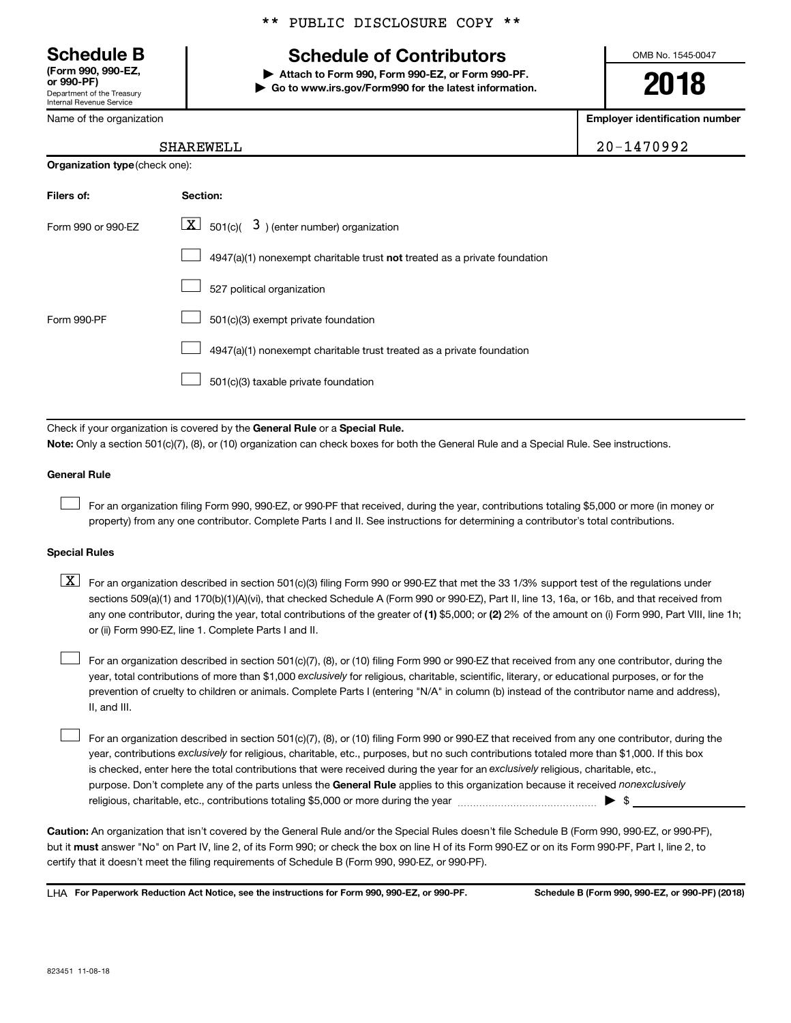Department of the Treasury Internal Revenue Service **(Form 990, 990-EZ,**

Name of the organization

#### \*\* PUBLIC DISCLOSURE COPY \*\*

## **Schedule B Schedule of Contributors**

**or 990-PF) | Attach to Form 990, Form 990-EZ, or Form 990-PF. | Go to www.irs.gov/Form990 for the latest information.** OMB No. 1545-0047

**2018**

**Employer identification number**

| SHAREWELL | 1470992<br>20 U |
|-----------|-----------------|
|-----------|-----------------|

| SHAREWELL |  |  |  |
|-----------|--|--|--|
|           |  |  |  |

| <b>Organization type (check one):</b> |                                                                                    |  |  |  |
|---------------------------------------|------------------------------------------------------------------------------------|--|--|--|
| Filers of:                            | Section:                                                                           |  |  |  |
| Form 990 or 990-EZ                    | $ \underline{X} $ 501(c)( 3) (enter number) organization                           |  |  |  |
|                                       | $4947(a)(1)$ nonexempt charitable trust <b>not</b> treated as a private foundation |  |  |  |
|                                       | 527 political organization                                                         |  |  |  |
| Form 990-PF                           | 501(c)(3) exempt private foundation                                                |  |  |  |
|                                       | 4947(a)(1) nonexempt charitable trust treated as a private foundation              |  |  |  |
|                                       | 501(c)(3) taxable private foundation                                               |  |  |  |

Check if your organization is covered by the General Rule or a Special Rule. **Note:**  Only a section 501(c)(7), (8), or (10) organization can check boxes for both the General Rule and a Special Rule. See instructions.

#### **General Rule**

 $\Box$ 

For an organization filing Form 990, 990-EZ, or 990-PF that received, during the year, contributions totaling \$5,000 or more (in money or property) from any one contributor. Complete Parts I and II. See instructions for determining a contributor's total contributions.

#### **Special Rules**

any one contributor, during the year, total contributions of the greater of (1) \$5,000; or (2) 2% of the amount on (i) Form 990, Part VIII, line 1h;  $\boxed{\text{X}}$  For an organization described in section 501(c)(3) filing Form 990 or 990-EZ that met the 33 1/3% support test of the regulations under sections 509(a)(1) and 170(b)(1)(A)(vi), that checked Schedule A (Form 990 or 990-EZ), Part II, line 13, 16a, or 16b, and that received from or (ii) Form 990-EZ, line 1. Complete Parts I and II.

year, total contributions of more than \$1,000 *exclusively* for religious, charitable, scientific, literary, or educational purposes, or for the For an organization described in section 501(c)(7), (8), or (10) filing Form 990 or 990-EZ that received from any one contributor, during the prevention of cruelty to children or animals. Complete Parts I (entering "N/A" in column (b) instead of the contributor name and address), II, and III.  $\Box$ 

purpose. Don't complete any of the parts unless the General Rule applies to this organization because it received nonexclusively year, contributions exclusively for religious, charitable, etc., purposes, but no such contributions totaled more than \$1,000. If this box is checked, enter here the total contributions that were received during the year for an exclusively religious, charitable, etc., For an organization described in section 501(c)(7), (8), or (10) filing Form 990 or 990-EZ that received from any one contributor, during the religious, charitable, etc., contributions totaling \$5,000 or more during the year  $\ldots$  $\ldots$  $\ldots$  $\ldots$  $\ldots$  $\ldots$  $\Box$ 

**Caution:**  An organization that isn't covered by the General Rule and/or the Special Rules doesn't file Schedule B (Form 990, 990-EZ, or 990-PF),  **must** but it answer "No" on Part IV, line 2, of its Form 990; or check the box on line H of its Form 990-EZ or on its Form 990-PF, Part I, line 2, to certify that it doesn't meet the filing requirements of Schedule B (Form 990, 990-EZ, or 990-PF).

**For Paperwork Reduction Act Notice, see the instructions for Form 990, 990-EZ, or 990-PF. Schedule B (Form 990, 990-EZ, or 990-PF) (2018)** LHA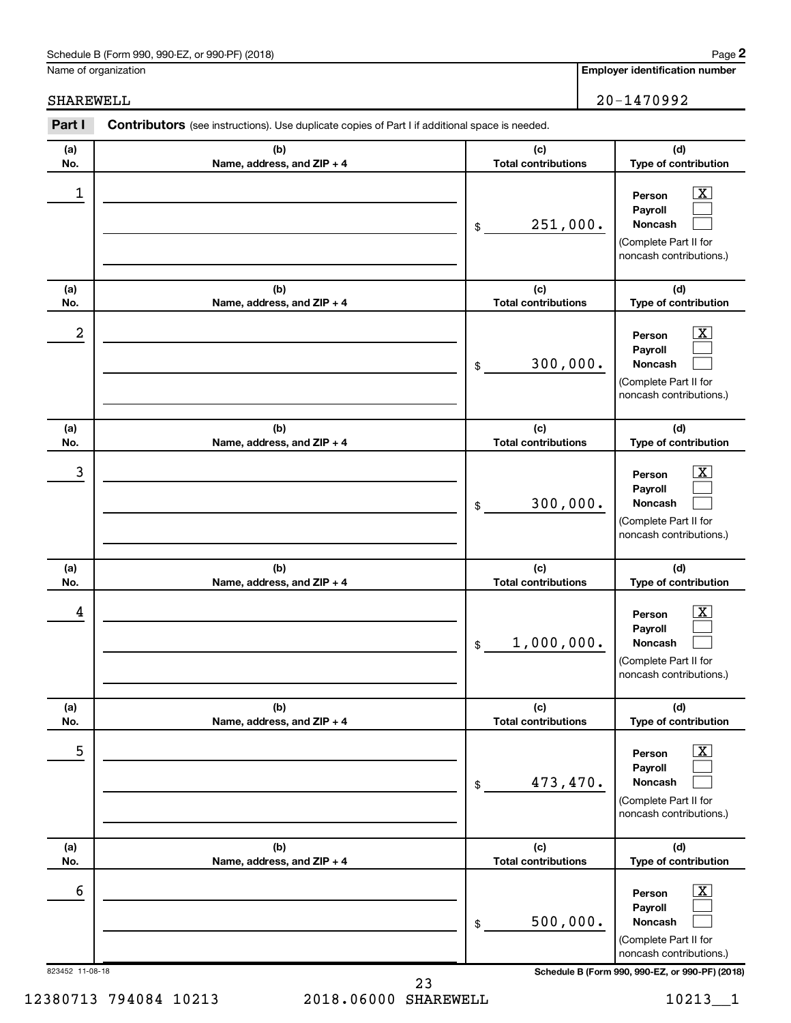#### Schedule B (Form 990, 990-EZ, or 990-PF) (2018)

Name of organization

**Employer identification number**

SHAREWELL 20-1470992

| (b)<br>(c)<br>(d)<br>(a)<br><b>Total contributions</b><br>Type of contribution<br>No.<br>Name, address, and ZIP + 4<br>1<br>$\overline{\text{X}}$<br>Person<br>Payroll<br>251,000.<br>Noncash<br>$\$$<br>(Complete Part II for<br>noncash contributions.)<br>(b)<br>(c)<br>(d)<br>(a)<br><b>Total contributions</b><br>Type of contribution<br>No.<br>Name, address, and ZIP + 4<br>2<br>$\overline{\text{X}}$<br>Person<br>Payroll<br>300,000.<br>Noncash<br>$\$$<br>(Complete Part II for<br>noncash contributions.)<br>(b)<br>(c)<br>(d)<br>(a)<br><b>Total contributions</b><br>Type of contribution<br>No.<br>Name, address, and ZIP + 4<br>3<br>X<br>Person<br>Payroll<br>300,000.<br>Noncash<br>$\$$<br>(Complete Part II for<br>noncash contributions.)<br>(c)<br>(b)<br>(d)<br>(a)<br><b>Total contributions</b><br>Type of contribution<br>No.<br>Name, address, and ZIP + 4<br>4<br>X<br>Person<br>Payroll<br>1,000,000.<br>Noncash<br>$\$$<br>(Complete Part II for<br>noncash contributions.)<br>(b)<br>(c)<br>(d)<br>(a)<br><b>Total contributions</b><br>Type of contribution<br>No.<br>Name, address, and ZIP + 4<br>5<br>х<br>Person<br>Payroll<br>473,470.<br>Noncash<br>\$<br>(Complete Part II for<br>noncash contributions.)<br>(d)<br>(b)<br>(c)<br>(a)<br><b>Total contributions</b><br>Name, address, and ZIP + 4<br>Type of contribution<br>No.<br>6<br>х<br>Person<br>Payroll<br>500,000.<br>Noncash<br>\$<br>(Complete Part II for<br>noncash contributions.)<br>Schedule B (Form 990, 990-EZ, or 990-PF) (2018) | Part I | Contributors (see instructions). Use duplicate copies of Part I if additional space is needed. |  |
|---------------------------------------------------------------------------------------------------------------------------------------------------------------------------------------------------------------------------------------------------------------------------------------------------------------------------------------------------------------------------------------------------------------------------------------------------------------------------------------------------------------------------------------------------------------------------------------------------------------------------------------------------------------------------------------------------------------------------------------------------------------------------------------------------------------------------------------------------------------------------------------------------------------------------------------------------------------------------------------------------------------------------------------------------------------------------------------------------------------------------------------------------------------------------------------------------------------------------------------------------------------------------------------------------------------------------------------------------------------------------------------------------------------------------------------------------------------------------------------------------------------------------------------------|--------|------------------------------------------------------------------------------------------------|--|
| 823452 11-08-18                                                                                                                                                                                                                                                                                                                                                                                                                                                                                                                                                                                                                                                                                                                                                                                                                                                                                                                                                                                                                                                                                                                                                                                                                                                                                                                                                                                                                                                                                                                             |        |                                                                                                |  |
|                                                                                                                                                                                                                                                                                                                                                                                                                                                                                                                                                                                                                                                                                                                                                                                                                                                                                                                                                                                                                                                                                                                                                                                                                                                                                                                                                                                                                                                                                                                                             |        |                                                                                                |  |
|                                                                                                                                                                                                                                                                                                                                                                                                                                                                                                                                                                                                                                                                                                                                                                                                                                                                                                                                                                                                                                                                                                                                                                                                                                                                                                                                                                                                                                                                                                                                             |        |                                                                                                |  |
|                                                                                                                                                                                                                                                                                                                                                                                                                                                                                                                                                                                                                                                                                                                                                                                                                                                                                                                                                                                                                                                                                                                                                                                                                                                                                                                                                                                                                                                                                                                                             |        |                                                                                                |  |
|                                                                                                                                                                                                                                                                                                                                                                                                                                                                                                                                                                                                                                                                                                                                                                                                                                                                                                                                                                                                                                                                                                                                                                                                                                                                                                                                                                                                                                                                                                                                             |        |                                                                                                |  |
|                                                                                                                                                                                                                                                                                                                                                                                                                                                                                                                                                                                                                                                                                                                                                                                                                                                                                                                                                                                                                                                                                                                                                                                                                                                                                                                                                                                                                                                                                                                                             |        |                                                                                                |  |
|                                                                                                                                                                                                                                                                                                                                                                                                                                                                                                                                                                                                                                                                                                                                                                                                                                                                                                                                                                                                                                                                                                                                                                                                                                                                                                                                                                                                                                                                                                                                             |        |                                                                                                |  |
|                                                                                                                                                                                                                                                                                                                                                                                                                                                                                                                                                                                                                                                                                                                                                                                                                                                                                                                                                                                                                                                                                                                                                                                                                                                                                                                                                                                                                                                                                                                                             |        |                                                                                                |  |
|                                                                                                                                                                                                                                                                                                                                                                                                                                                                                                                                                                                                                                                                                                                                                                                                                                                                                                                                                                                                                                                                                                                                                                                                                                                                                                                                                                                                                                                                                                                                             |        |                                                                                                |  |
|                                                                                                                                                                                                                                                                                                                                                                                                                                                                                                                                                                                                                                                                                                                                                                                                                                                                                                                                                                                                                                                                                                                                                                                                                                                                                                                                                                                                                                                                                                                                             |        |                                                                                                |  |
|                                                                                                                                                                                                                                                                                                                                                                                                                                                                                                                                                                                                                                                                                                                                                                                                                                                                                                                                                                                                                                                                                                                                                                                                                                                                                                                                                                                                                                                                                                                                             |        |                                                                                                |  |
|                                                                                                                                                                                                                                                                                                                                                                                                                                                                                                                                                                                                                                                                                                                                                                                                                                                                                                                                                                                                                                                                                                                                                                                                                                                                                                                                                                                                                                                                                                                                             |        |                                                                                                |  |

12380713 794084 10213 2018.06000 SHAREWELL 10213\_1 23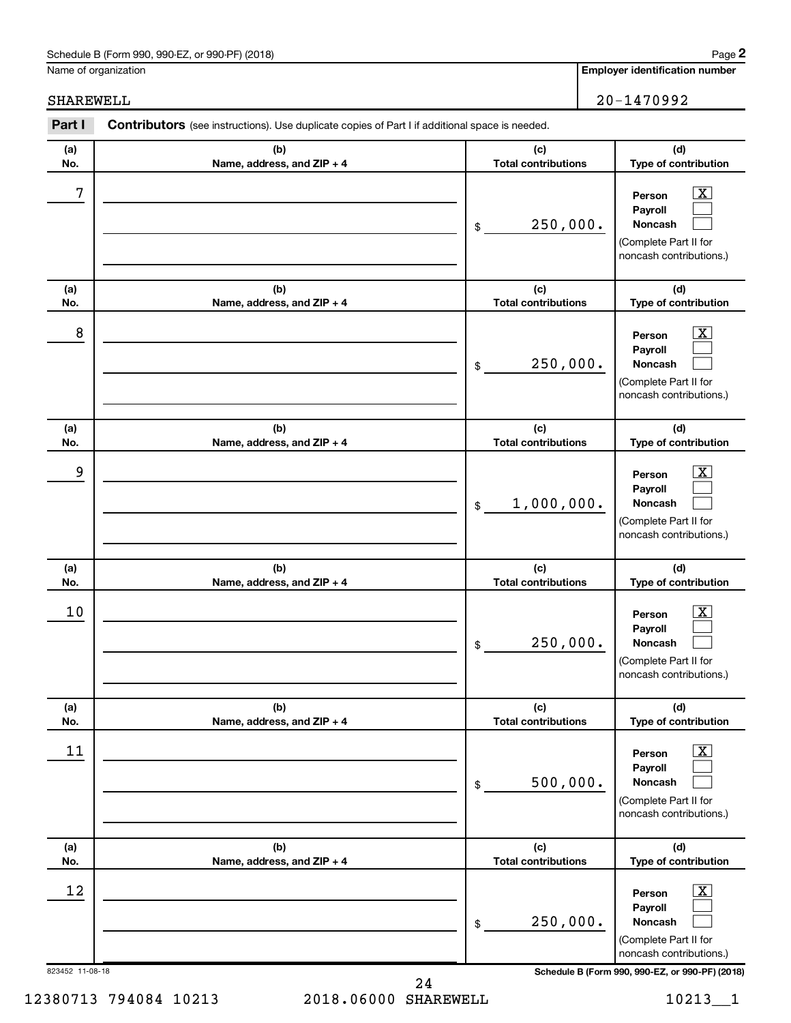#### Schedule B (Form 990, 990-EZ, or 990-PF) (2018)

Name of organization

**Employer identification number**

| Part I          | Contributors (see instructions). Use duplicate copies of Part I if additional space is needed. |                                   |                                                                                                           |
|-----------------|------------------------------------------------------------------------------------------------|-----------------------------------|-----------------------------------------------------------------------------------------------------------|
| (a)<br>No.      | (b)<br>Name, address, and ZIP + 4                                                              | (c)<br><b>Total contributions</b> | (d)<br>Type of contribution                                                                               |
| 7               |                                                                                                | 250,000.<br>$\$$                  | $\overline{\text{X}}$<br>Person<br>Payroll<br>Noncash<br>(Complete Part II for<br>noncash contributions.) |
| (a)<br>No.      | (b)<br>Name, address, and ZIP + 4                                                              | (c)<br><b>Total contributions</b> | (d)<br>Type of contribution                                                                               |
| 8               |                                                                                                | 250,000.<br>$\$$                  | $\overline{\text{X}}$<br>Person<br>Payroll<br>Noncash<br>(Complete Part II for<br>noncash contributions.) |
| (a)<br>No.      | (b)<br>Name, address, and ZIP + 4                                                              | (c)<br><b>Total contributions</b> | (d)<br>Type of contribution                                                                               |
| 9               |                                                                                                | 1,000,000.<br>$\$$                | X<br>Person<br>Payroll<br>Noncash<br>(Complete Part II for<br>noncash contributions.)                     |
| (a)<br>No.      | (b)<br>Name, address, and ZIP + 4                                                              | (c)<br><b>Total contributions</b> | (d)<br>Type of contribution                                                                               |
| 10              |                                                                                                | 250,000.<br>$\,$                  | X<br>Person<br>Payroll<br>Noncash<br>(Complete Part II for<br>noncash contributions.)                     |
| (a)<br>No.      | (b)<br>Name, address, and ZIP + 4                                                              | (c)<br><b>Total contributions</b> | (d)<br>Type of contribution                                                                               |
| 11              |                                                                                                | 500,000.<br>\$                    | х<br>Person<br>Payroll<br>Noncash<br>(Complete Part II for<br>noncash contributions.)                     |
| (a)<br>No.      | (b)<br>Name, address, and ZIP + 4                                                              | (c)<br><b>Total contributions</b> | (d)<br>Type of contribution                                                                               |
| 12              |                                                                                                | 250,000.<br>\$                    | х<br>Person<br>Payroll<br>Noncash<br>(Complete Part II for<br>noncash contributions.)                     |
| 823452 11-08-18 |                                                                                                |                                   | Schedule B (Form 990, 990-EZ, or 990-PF) (2018)                                                           |

12380713 794084 10213 2018.06000 SHAREWELL 10213\_1 24

SHAREWELL 20-1470992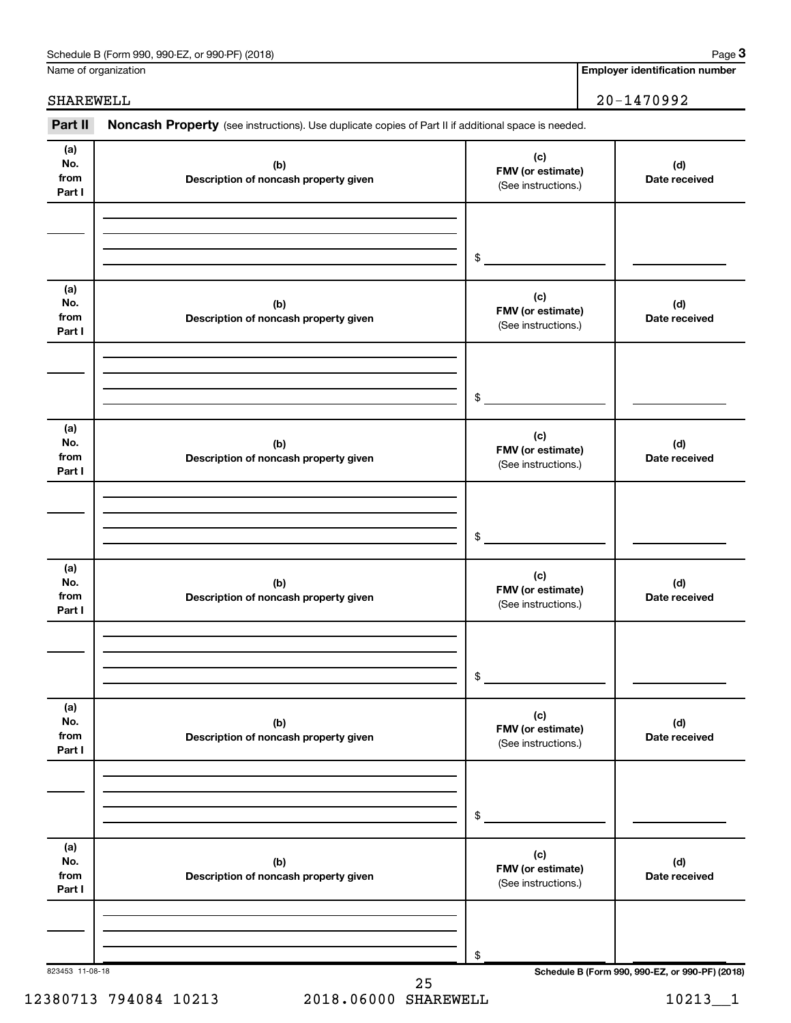| Schedule B (Form 990, 990-EZ, or 990-PF) (2018) | Page |
|-------------------------------------------------|------|
|-------------------------------------------------|------|

Name of organization

**Employer identification number**

#### 823453 11-08-18 **Schedule B (Form 990, 990-EZ, or 990-PF) (2018) (a) No. from Part I (c) FMV (or estimate) (b) Description of noncash property given (d) Date received (a) No. from Part I (c) FMV (or estimate) (b) Description of noncash property given (d) Date received (a) No. from Part I (c) FMV (or estimate) (b) Description of noncash property given (d) Date received (a) No. from Part I (c) FMV (or estimate) (b) Description of noncash property given (d) Date received (a) No. from Part I (c) FMV (or estimate) (b) Description of noncash property given (d) Date received (a) No. from Part I (c) FMV (or estimate) (b) Description of noncash property given (d) Date received** Part II Noncash Property (see instructions). Use duplicate copies of Part II if additional space is needed. (See instructions.) \$ (See instructions.) \$ (See instructions.) \$ (See instructions.) \$ (See instructions.) \$ (See instructions.) \$ SHAREWELL 20-1470992

12380713 794084 10213 2018.06000 SHAREWELL 10213 10213 25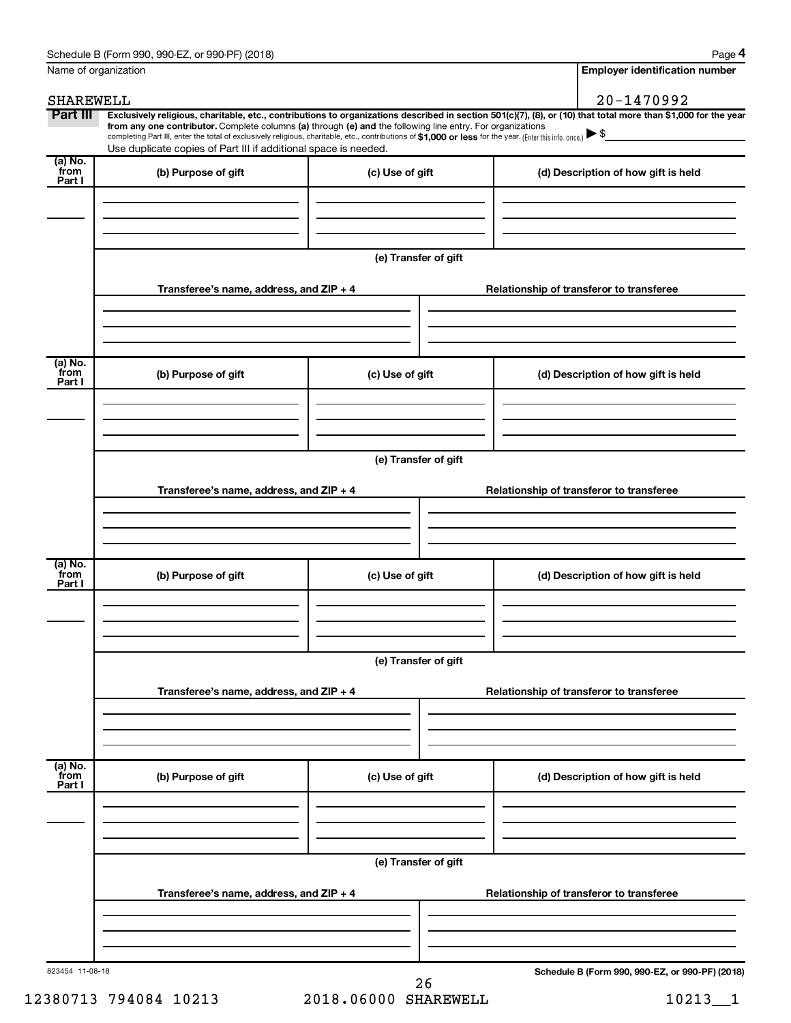| Schedule B (Form 990, 990-EZ, or 990-PF) (2018) | Page |
|-------------------------------------------------|------|
|-------------------------------------------------|------|

**4**

| Name of organization      |                                                                                                                                                                                                                                                                                                                                                                                                                                                                                                                  |                      |                                          | <b>Employer identification number</b>           |  |
|---------------------------|------------------------------------------------------------------------------------------------------------------------------------------------------------------------------------------------------------------------------------------------------------------------------------------------------------------------------------------------------------------------------------------------------------------------------------------------------------------------------------------------------------------|----------------------|------------------------------------------|-------------------------------------------------|--|
| SHAREWELL                 |                                                                                                                                                                                                                                                                                                                                                                                                                                                                                                                  |                      |                                          | 20-1470992                                      |  |
| Part III                  | Exclusively religious, charitable, etc., contributions to organizations described in section 501(c)(7), (8), or (10) that total more than \$1,000 for the year<br>from any one contributor. Complete columns (a) through (e) and the following line entry. For organizations<br>completing Part III, enter the total of exclusively religious, charitable, etc., contributions of \$1,000 or less for the year. (Enter this info. once.) ▶ \$<br>Use duplicate copies of Part III if additional space is needed. |                      |                                          |                                                 |  |
| (a) No.<br>from<br>Part I | (b) Purpose of gift                                                                                                                                                                                                                                                                                                                                                                                                                                                                                              | (c) Use of gift      |                                          | (d) Description of how gift is held             |  |
|                           |                                                                                                                                                                                                                                                                                                                                                                                                                                                                                                                  |                      |                                          |                                                 |  |
|                           |                                                                                                                                                                                                                                                                                                                                                                                                                                                                                                                  | (e) Transfer of gift |                                          |                                                 |  |
|                           | Transferee's name, address, and ZIP + 4                                                                                                                                                                                                                                                                                                                                                                                                                                                                          |                      |                                          | Relationship of transferor to transferee        |  |
| (a) No.<br>from           | (b) Purpose of gift                                                                                                                                                                                                                                                                                                                                                                                                                                                                                              | (c) Use of gift      |                                          | (d) Description of how gift is held             |  |
| Part I                    |                                                                                                                                                                                                                                                                                                                                                                                                                                                                                                                  |                      |                                          |                                                 |  |
|                           |                                                                                                                                                                                                                                                                                                                                                                                                                                                                                                                  | (e) Transfer of gift |                                          |                                                 |  |
|                           | Transferee's name, address, and ZIP + 4                                                                                                                                                                                                                                                                                                                                                                                                                                                                          |                      |                                          | Relationship of transferor to transferee        |  |
|                           |                                                                                                                                                                                                                                                                                                                                                                                                                                                                                                                  |                      |                                          |                                                 |  |
| (a) No.<br>from<br>Part I | (b) Purpose of gift                                                                                                                                                                                                                                                                                                                                                                                                                                                                                              | (c) Use of gift      |                                          | (d) Description of how gift is held             |  |
|                           |                                                                                                                                                                                                                                                                                                                                                                                                                                                                                                                  |                      |                                          |                                                 |  |
|                           | (e) Transfer of gift<br>Transferee's name, address, and ZIP + 4                                                                                                                                                                                                                                                                                                                                                                                                                                                  |                      | Relationship of transferor to transferee |                                                 |  |
|                           |                                                                                                                                                                                                                                                                                                                                                                                                                                                                                                                  |                      |                                          |                                                 |  |
| (a) No.<br>from<br>Part I | (b) Purpose of gift                                                                                                                                                                                                                                                                                                                                                                                                                                                                                              | (c) Use of gift      |                                          | (d) Description of how gift is held             |  |
|                           |                                                                                                                                                                                                                                                                                                                                                                                                                                                                                                                  |                      |                                          |                                                 |  |
|                           | (e) Transfer of gift                                                                                                                                                                                                                                                                                                                                                                                                                                                                                             |                      |                                          |                                                 |  |
|                           | Transferee's name, address, and ZIP + 4                                                                                                                                                                                                                                                                                                                                                                                                                                                                          |                      |                                          | Relationship of transferor to transferee        |  |
|                           |                                                                                                                                                                                                                                                                                                                                                                                                                                                                                                                  |                      |                                          |                                                 |  |
| 823454 11-08-18           |                                                                                                                                                                                                                                                                                                                                                                                                                                                                                                                  | 26                   |                                          | Schedule B (Form 990, 990-EZ, or 990-PF) (2018) |  |

 $12380713$  794084 10213  $2018.06000$  SHAREWELL  $10213\_1$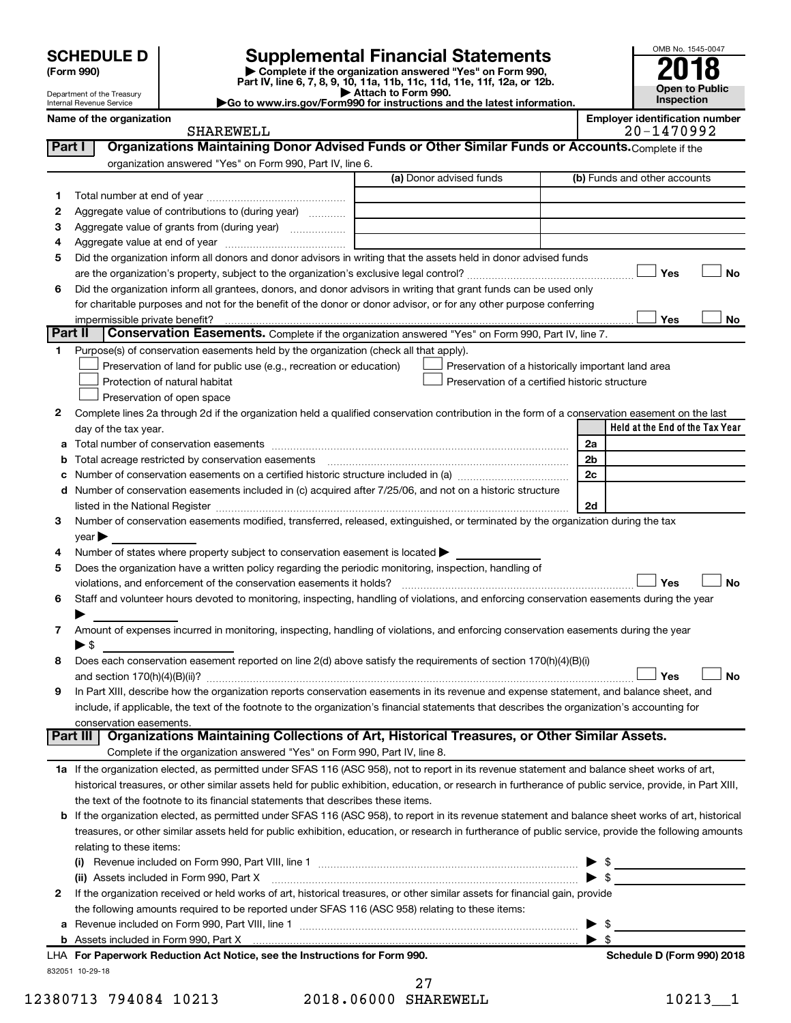Department of the Treasury Internal Revenue Service

| (Form 990) |  |
|------------|--|
|------------|--|

# **SCHEDULE D Supplemental Financial Statements**<br> **Form 990 2018**<br> **Part IV** line 6.7.8.9.10, 11a, 11b, 11d, 11d, 11d, 11d, 11d, 12a, 0r, 12b

**(Form 990) | Complete if the organization answered "Yes" on Form 990, Part IV, line 6, 7, 8, 9, 10, 11a, 11b, 11c, 11d, 11e, 11f, 12a, or 12b.**

**| Attach to Form 990. |Go to www.irs.gov/Form990 for instructions and the latest information.**



**Name of the organization Employer identification number** SHAREWELL 20-1470992

| Part I  | Organizations Maintaining Donor Advised Funds or Other Similar Funds or Accounts. Complete if the                                                                                                                             |                                                    |                                 |
|---------|-------------------------------------------------------------------------------------------------------------------------------------------------------------------------------------------------------------------------------|----------------------------------------------------|---------------------------------|
|         | organization answered "Yes" on Form 990, Part IV, line 6.                                                                                                                                                                     |                                                    |                                 |
|         |                                                                                                                                                                                                                               | (a) Donor advised funds                            | (b) Funds and other accounts    |
| 1.      |                                                                                                                                                                                                                               |                                                    |                                 |
| 2       | Aggregate value of contributions to (during year)                                                                                                                                                                             |                                                    |                                 |
| 3       | Aggregate value of grants from (during year)                                                                                                                                                                                  |                                                    |                                 |
| 4       |                                                                                                                                                                                                                               |                                                    |                                 |
| 5       | Did the organization inform all donors and donor advisors in writing that the assets held in donor advised funds                                                                                                              |                                                    |                                 |
|         |                                                                                                                                                                                                                               |                                                    | Yes<br>No                       |
| 6       | Did the organization inform all grantees, donors, and donor advisors in writing that grant funds can be used only                                                                                                             |                                                    |                                 |
|         | for charitable purposes and not for the benefit of the donor or donor advisor, or for any other purpose conferring                                                                                                            |                                                    |                                 |
|         | impermissible private benefit?                                                                                                                                                                                                |                                                    | Yes<br>No                       |
| Part II | Conservation Easements. Complete if the organization answered "Yes" on Form 990, Part IV, line 7.                                                                                                                             |                                                    |                                 |
| 1.      | Purpose(s) of conservation easements held by the organization (check all that apply).                                                                                                                                         |                                                    |                                 |
|         | Preservation of land for public use (e.g., recreation or education)                                                                                                                                                           | Preservation of a historically important land area |                                 |
|         | Protection of natural habitat                                                                                                                                                                                                 | Preservation of a certified historic structure     |                                 |
|         | Preservation of open space                                                                                                                                                                                                    |                                                    |                                 |
| 2       | Complete lines 2a through 2d if the organization held a qualified conservation contribution in the form of a conservation easement on the last                                                                                |                                                    |                                 |
|         | day of the tax year.                                                                                                                                                                                                          |                                                    | Held at the End of the Tax Year |
|         |                                                                                                                                                                                                                               |                                                    | 2a                              |
| b       | Total acreage restricted by conservation easements                                                                                                                                                                            |                                                    | 2b                              |
| с       |                                                                                                                                                                                                                               |                                                    | 2c                              |
| d       | Number of conservation easements included in (c) acquired after 7/25/06, and not on a historic structure                                                                                                                      |                                                    |                                 |
|         | listed in the National Register [111] Marshall Register [11] Marshall Register [11] Marshall Register [11] Marshall Register [11] Marshall Register [11] Marshall Register [11] Marshall Register [11] Marshall Register [11] |                                                    | 2d                              |
| 3       | Number of conservation easements modified, transferred, released, extinguished, or terminated by the organization during the tax                                                                                              |                                                    |                                 |
|         | year                                                                                                                                                                                                                          |                                                    |                                 |
| 4       | Number of states where property subject to conservation easement is located >                                                                                                                                                 |                                                    |                                 |
| 5       | Does the organization have a written policy regarding the periodic monitoring, inspection, handling of                                                                                                                        |                                                    |                                 |
|         | violations, and enforcement of the conservation easements it holds?                                                                                                                                                           |                                                    | Yes<br>No                       |
| 6       | Staff and volunteer hours devoted to monitoring, inspecting, handling of violations, and enforcing conservation easements during the year                                                                                     |                                                    |                                 |
|         |                                                                                                                                                                                                                               |                                                    |                                 |
| 7       | Amount of expenses incurred in monitoring, inspecting, handling of violations, and enforcing conservation easements during the year                                                                                           |                                                    |                                 |
|         | $\blacktriangleright$ \$                                                                                                                                                                                                      |                                                    |                                 |
| 8       | Does each conservation easement reported on line 2(d) above satisfy the requirements of section 170(h)(4)(B)(i)                                                                                                               |                                                    |                                 |
|         |                                                                                                                                                                                                                               |                                                    | <b>No</b><br>Yes                |
| 9       | In Part XIII, describe how the organization reports conservation easements in its revenue and expense statement, and balance sheet, and                                                                                       |                                                    |                                 |
|         | include, if applicable, the text of the footnote to the organization's financial statements that describes the organization's accounting for                                                                                  |                                                    |                                 |
|         | conservation easements.                                                                                                                                                                                                       |                                                    |                                 |
|         | Organizations Maintaining Collections of Art, Historical Treasures, or Other Similar Assets.<br>Part III                                                                                                                      |                                                    |                                 |
|         | Complete if the organization answered "Yes" on Form 990, Part IV, line 8.                                                                                                                                                     |                                                    |                                 |
|         | 1a If the organization elected, as permitted under SFAS 116 (ASC 958), not to report in its revenue statement and balance sheet works of art,                                                                                 |                                                    |                                 |
|         | historical treasures, or other similar assets held for public exhibition, education, or research in furtherance of public service, provide, in Part XIII,                                                                     |                                                    |                                 |
|         | the text of the footnote to its financial statements that describes these items.                                                                                                                                              |                                                    |                                 |
| b       | If the organization elected, as permitted under SFAS 116 (ASC 958), to report in its revenue statement and balance sheet works of art, historical                                                                             |                                                    |                                 |
|         | treasures, or other similar assets held for public exhibition, education, or research in furtherance of public service, provide the following amounts                                                                         |                                                    |                                 |
|         | relating to these items:                                                                                                                                                                                                      |                                                    |                                 |
|         | (i)                                                                                                                                                                                                                           |                                                    | $\triangleright$ \$             |
|         | (ii) Assets included in Form 990, Part X [11] [12] Assets included in Form 990, Part X                                                                                                                                        |                                                    | $\blacktriangleright$ \$        |
| 2       | If the organization received or held works of art, historical treasures, or other similar assets for financial gain, provide                                                                                                  |                                                    |                                 |
|         | the following amounts required to be reported under SFAS 116 (ASC 958) relating to these items:                                                                                                                               |                                                    |                                 |
| а       |                                                                                                                                                                                                                               |                                                    | \$<br>▶                         |
|         |                                                                                                                                                                                                                               |                                                    | \$<br>▶                         |
|         | LHA For Paperwork Reduction Act Notice, see the Instructions for Form 990.                                                                                                                                                    |                                                    | Schedule D (Form 990) 2018      |

832051 10-29-18

12380713 794084 10213 2018.06000 SHAREWELL 10213\_1 27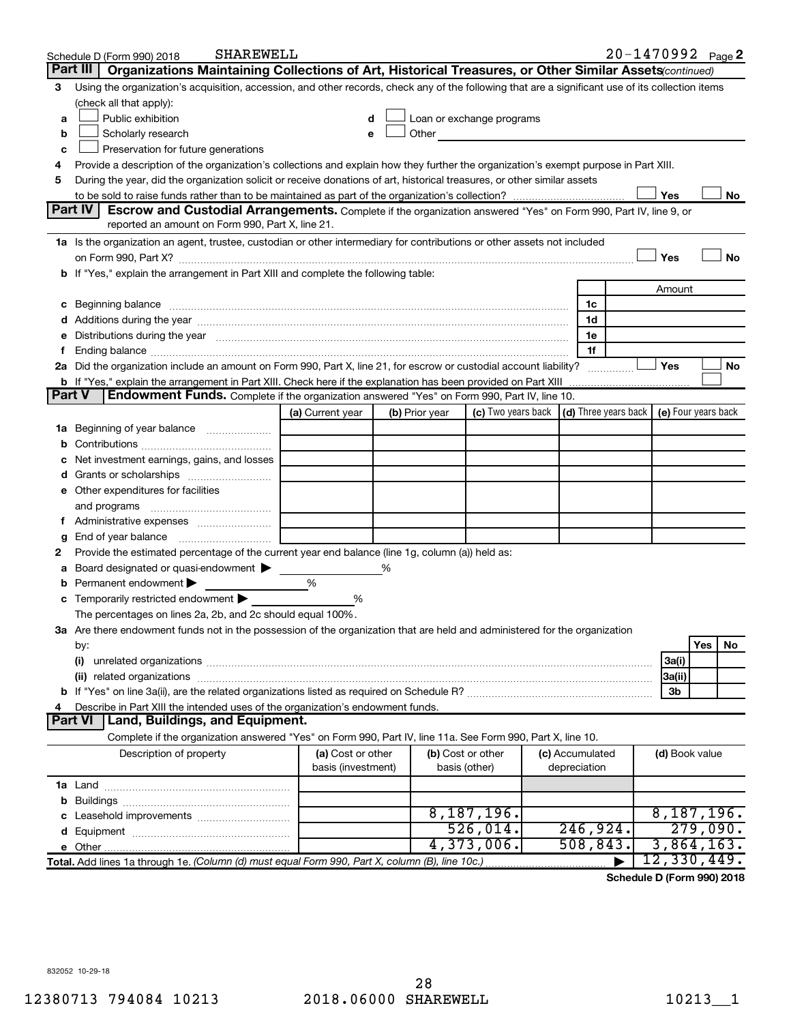|        | <b>SHAREWELL</b><br>Schedule D (Form 990) 2018                                                                                                                                                                                 |                                         |   |                |                                                                                                                                                                                                                               |                                 |                | $20 - 1470992$ Page 2                      |
|--------|--------------------------------------------------------------------------------------------------------------------------------------------------------------------------------------------------------------------------------|-----------------------------------------|---|----------------|-------------------------------------------------------------------------------------------------------------------------------------------------------------------------------------------------------------------------------|---------------------------------|----------------|--------------------------------------------|
|        | Part III<br>Organizations Maintaining Collections of Art, Historical Treasures, or Other Similar Assets (continued)                                                                                                            |                                         |   |                |                                                                                                                                                                                                                               |                                 |                |                                            |
| з      | Using the organization's acquisition, accession, and other records, check any of the following that are a significant use of its collection items                                                                              |                                         |   |                |                                                                                                                                                                                                                               |                                 |                |                                            |
|        | (check all that apply):                                                                                                                                                                                                        |                                         |   |                |                                                                                                                                                                                                                               |                                 |                |                                            |
| a      | Public exhibition                                                                                                                                                                                                              | d                                       |   |                | Loan or exchange programs                                                                                                                                                                                                     |                                 |                |                                            |
| b      | Scholarly research                                                                                                                                                                                                             | е                                       |   |                | Other and the contract of the contract of the contract of the contract of the contract of the contract of the contract of the contract of the contract of the contract of the contract of the contract of the contract of the |                                 |                |                                            |
| c      | Preservation for future generations                                                                                                                                                                                            |                                         |   |                |                                                                                                                                                                                                                               |                                 |                |                                            |
| 4      | Provide a description of the organization's collections and explain how they further the organization's exempt purpose in Part XIII.                                                                                           |                                         |   |                |                                                                                                                                                                                                                               |                                 |                |                                            |
| 5      | During the year, did the organization solicit or receive donations of art, historical treasures, or other similar assets                                                                                                       |                                         |   |                |                                                                                                                                                                                                                               |                                 |                |                                            |
|        |                                                                                                                                                                                                                                |                                         |   |                |                                                                                                                                                                                                                               |                                 | Yes            | No                                         |
|        | Part IV<br>Escrow and Custodial Arrangements. Complete if the organization answered "Yes" on Form 990, Part IV, line 9, or                                                                                                     |                                         |   |                |                                                                                                                                                                                                                               |                                 |                |                                            |
|        | reported an amount on Form 990, Part X, line 21.                                                                                                                                                                               |                                         |   |                |                                                                                                                                                                                                                               |                                 |                |                                            |
|        | 1a Is the organization an agent, trustee, custodian or other intermediary for contributions or other assets not included                                                                                                       |                                         |   |                |                                                                                                                                                                                                                               |                                 |                |                                            |
|        | on Form 990, Part X? <b>William Constitution Constitution</b> Construction Construction Construction Constitution Cons                                                                                                         |                                         |   |                |                                                                                                                                                                                                                               |                                 | Yes            | No                                         |
| b      | If "Yes," explain the arrangement in Part XIII and complete the following table:                                                                                                                                               |                                         |   |                |                                                                                                                                                                                                                               |                                 |                |                                            |
|        |                                                                                                                                                                                                                                |                                         |   |                |                                                                                                                                                                                                                               |                                 | Amount         |                                            |
| c      | Beginning balance measurements and contain the contract of the contract of the contract of the contract of the                                                                                                                 |                                         |   |                |                                                                                                                                                                                                                               | 1c                              |                |                                            |
|        |                                                                                                                                                                                                                                |                                         |   |                |                                                                                                                                                                                                                               | 1d                              |                |                                            |
|        | Distributions during the year manufactured and continuum control of the year manufactured and the year manufactured and the year manufactured and the year manufactured and the year manufactured and the state of the state o |                                         |   |                |                                                                                                                                                                                                                               | 1e                              |                |                                            |
|        |                                                                                                                                                                                                                                |                                         |   |                |                                                                                                                                                                                                                               | 1f                              |                |                                            |
|        | 2a Did the organization include an amount on Form 990, Part X, line 21, for escrow or custodial account liability?                                                                                                             |                                         |   |                |                                                                                                                                                                                                                               |                                 | Yes            | No                                         |
| Part V | <b>b</b> If "Yes," explain the arrangement in Part XIII. Check here if the explanation has been provided on Part XIII                                                                                                          |                                         |   |                |                                                                                                                                                                                                                               |                                 |                |                                            |
|        | Endowment Funds. Complete if the organization answered "Yes" on Form 990, Part IV, line 10.                                                                                                                                    |                                         |   |                | (c) Two years back                                                                                                                                                                                                            |                                 |                |                                            |
|        |                                                                                                                                                                                                                                | (a) Current year                        |   | (b) Prior year |                                                                                                                                                                                                                               |                                 |                | (d) Three years back   (e) Four years back |
| 1a     | Beginning of year balance                                                                                                                                                                                                      |                                         |   |                |                                                                                                                                                                                                                               |                                 |                |                                            |
|        |                                                                                                                                                                                                                                |                                         |   |                |                                                                                                                                                                                                                               |                                 |                |                                            |
|        | Net investment earnings, gains, and losses                                                                                                                                                                                     |                                         |   |                |                                                                                                                                                                                                                               |                                 |                |                                            |
|        |                                                                                                                                                                                                                                |                                         |   |                |                                                                                                                                                                                                                               |                                 |                |                                            |
|        | e Other expenditures for facilities                                                                                                                                                                                            |                                         |   |                |                                                                                                                                                                                                                               |                                 |                |                                            |
|        | and programs                                                                                                                                                                                                                   |                                         |   |                |                                                                                                                                                                                                                               |                                 |                |                                            |
|        |                                                                                                                                                                                                                                |                                         |   |                |                                                                                                                                                                                                                               |                                 |                |                                            |
| g      | End of year balance<br>Provide the estimated percentage of the current year end balance (line 1g, column (a)) held as:                                                                                                         |                                         |   |                |                                                                                                                                                                                                                               |                                 |                |                                            |
| 2      | Board designated or quasi-endowment >                                                                                                                                                                                          |                                         | ℅ |                |                                                                                                                                                                                                                               |                                 |                |                                            |
| b      | Permanent endowment                                                                                                                                                                                                            | %                                       |   |                |                                                                                                                                                                                                                               |                                 |                |                                            |
| с      | Temporarily restricted endowment                                                                                                                                                                                               | %                                       |   |                |                                                                                                                                                                                                                               |                                 |                |                                            |
|        | The percentages on lines 2a, 2b, and 2c should equal 100%.                                                                                                                                                                     |                                         |   |                |                                                                                                                                                                                                                               |                                 |                |                                            |
|        | ${\bf 3a}$ Are there endowment funds not in the possession of the organization that are held and administered for the organization                                                                                             |                                         |   |                |                                                                                                                                                                                                                               |                                 |                |                                            |
|        | by:                                                                                                                                                                                                                            |                                         |   |                |                                                                                                                                                                                                                               |                                 |                | Yes<br>No                                  |
|        | (i)                                                                                                                                                                                                                            |                                         |   |                |                                                                                                                                                                                                                               |                                 | 3a(i)          |                                            |
|        |                                                                                                                                                                                                                                |                                         |   |                |                                                                                                                                                                                                                               |                                 | 3a(ii)         |                                            |
|        |                                                                                                                                                                                                                                |                                         |   |                |                                                                                                                                                                                                                               |                                 | 3b             |                                            |
|        | Describe in Part XIII the intended uses of the organization's endowment funds.                                                                                                                                                 |                                         |   |                |                                                                                                                                                                                                                               |                                 |                |                                            |
|        | Land, Buildings, and Equipment.<br><b>Part VI</b>                                                                                                                                                                              |                                         |   |                |                                                                                                                                                                                                                               |                                 |                |                                            |
|        | Complete if the organization answered "Yes" on Form 990, Part IV, line 11a. See Form 990, Part X, line 10.                                                                                                                     |                                         |   |                |                                                                                                                                                                                                                               |                                 |                |                                            |
|        | Description of property                                                                                                                                                                                                        | (a) Cost or other<br>basis (investment) |   |                | (b) Cost or other<br>basis (other)                                                                                                                                                                                            | (c) Accumulated<br>depreciation | (d) Book value |                                            |
|        |                                                                                                                                                                                                                                |                                         |   |                |                                                                                                                                                                                                                               |                                 |                |                                            |
|        |                                                                                                                                                                                                                                |                                         |   |                |                                                                                                                                                                                                                               |                                 |                |                                            |
|        |                                                                                                                                                                                                                                |                                         |   |                | 8,187,196.                                                                                                                                                                                                                    |                                 |                | 8,187,196.                                 |
|        |                                                                                                                                                                                                                                |                                         |   |                | 526,014.                                                                                                                                                                                                                      | 246,924.                        |                | 279,090.                                   |
|        |                                                                                                                                                                                                                                |                                         |   |                | 4,373,006.                                                                                                                                                                                                                    | 508, 843.                       |                | 3,864,163.                                 |
|        | Total. Add lines 1a through 1e. (Column (d) must equal Form 990, Part X, column (B), line 10c.)                                                                                                                                |                                         |   |                |                                                                                                                                                                                                                               |                                 |                | 12,330,449.                                |

**Schedule D (Form 990) 2018**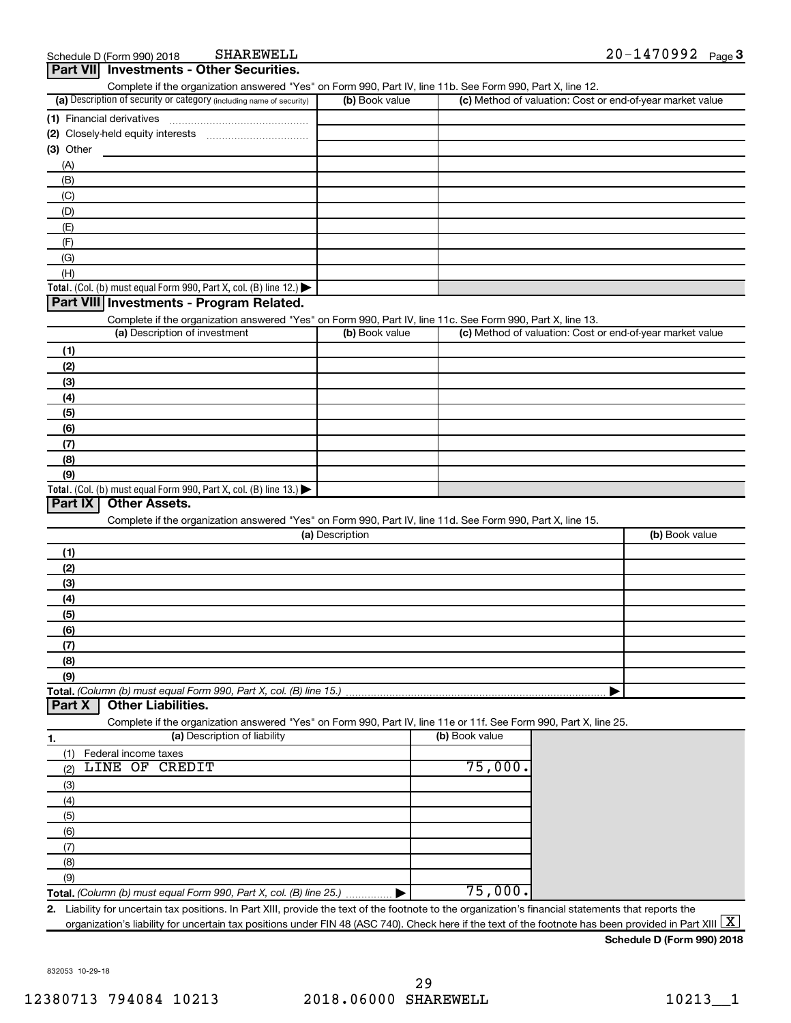| (a) Description of security or category (including name of security)                                                                              | (b) Book value  |                | (c) Method of valuation: Cost or end-of-year market value |
|---------------------------------------------------------------------------------------------------------------------------------------------------|-----------------|----------------|-----------------------------------------------------------|
|                                                                                                                                                   |                 |                |                                                           |
| (2) Closely-held equity interests                                                                                                                 |                 |                |                                                           |
| (3) Other                                                                                                                                         |                 |                |                                                           |
| (A)                                                                                                                                               |                 |                |                                                           |
| (B)                                                                                                                                               |                 |                |                                                           |
| (C)                                                                                                                                               |                 |                |                                                           |
| (D)                                                                                                                                               |                 |                |                                                           |
| (E)                                                                                                                                               |                 |                |                                                           |
| (F)                                                                                                                                               |                 |                |                                                           |
| (G)                                                                                                                                               |                 |                |                                                           |
| (H)                                                                                                                                               |                 |                |                                                           |
| Total. (Col. (b) must equal Form 990, Part X, col. (B) line 12.) $\blacktriangleright$                                                            |                 |                |                                                           |
| Part VIII Investments - Program Related.                                                                                                          |                 |                |                                                           |
|                                                                                                                                                   |                 |                |                                                           |
| Complete if the organization answered "Yes" on Form 990, Part IV, line 11c. See Form 990, Part X, line 13.<br>(a) Description of investment       | (b) Book value  |                | (c) Method of valuation: Cost or end-of-year market value |
|                                                                                                                                                   |                 |                |                                                           |
| (1)                                                                                                                                               |                 |                |                                                           |
| (2)                                                                                                                                               |                 |                |                                                           |
| (3)                                                                                                                                               |                 |                |                                                           |
| (4)                                                                                                                                               |                 |                |                                                           |
| (5)                                                                                                                                               |                 |                |                                                           |
| (6)                                                                                                                                               |                 |                |                                                           |
| (7)                                                                                                                                               |                 |                |                                                           |
|                                                                                                                                                   |                 |                |                                                           |
| (8)                                                                                                                                               |                 |                |                                                           |
| (9)                                                                                                                                               |                 |                |                                                           |
| Total. (Col. (b) must equal Form 990, Part X, col. (B) line 13.) $\blacktriangleright$                                                            |                 |                |                                                           |
| <b>Other Assets.</b><br>Part IX                                                                                                                   |                 |                |                                                           |
| Complete if the organization answered "Yes" on Form 990, Part IV, line 11d. See Form 990, Part X, line 15.                                        |                 |                |                                                           |
|                                                                                                                                                   | (a) Description |                | (b) Book value                                            |
| (1)                                                                                                                                               |                 |                |                                                           |
| (2)                                                                                                                                               |                 |                |                                                           |
| (3)                                                                                                                                               |                 |                |                                                           |
| (4)                                                                                                                                               |                 |                |                                                           |
| (5)                                                                                                                                               |                 |                |                                                           |
| (6)                                                                                                                                               |                 |                |                                                           |
| (7)                                                                                                                                               |                 |                |                                                           |
|                                                                                                                                                   |                 |                |                                                           |
| (8)<br>(9)                                                                                                                                        |                 |                |                                                           |
| Total. (Column (b) must equal Form 990, Part X, col. (B) line 15.)                                                                                |                 |                |                                                           |
| <b>Other Liabilities.</b><br>Part X                                                                                                               |                 |                |                                                           |
|                                                                                                                                                   |                 |                |                                                           |
| Complete if the organization answered "Yes" on Form 990, Part IV, line 11e or 11f. See Form 990, Part X, line 25.<br>(a) Description of liability |                 | (b) Book value |                                                           |
| 1.                                                                                                                                                |                 |                |                                                           |
| Federal income taxes<br>(1)                                                                                                                       |                 |                |                                                           |
| LINE OF CREDIT<br>(2)                                                                                                                             |                 | 75,000.        |                                                           |
| (3)                                                                                                                                               |                 |                |                                                           |
| (4)                                                                                                                                               |                 |                |                                                           |
| (5)                                                                                                                                               |                 |                |                                                           |
| (6)                                                                                                                                               |                 |                |                                                           |
| (7)                                                                                                                                               |                 |                |                                                           |
| (8)                                                                                                                                               |                 |                |                                                           |
| (9)<br>Total. (Column (b) must equal Form 990, Part X, col. (B) line 25.)                                                                         | ▶               | 75,000.        |                                                           |

organization's liability for uncertain tax positions under FIN 48 (ASC 740). Check here if the text of the footnote has been provided in Part XIII  $\boxed{\text{X}}$ 

**Schedule D (Form 990) 2018**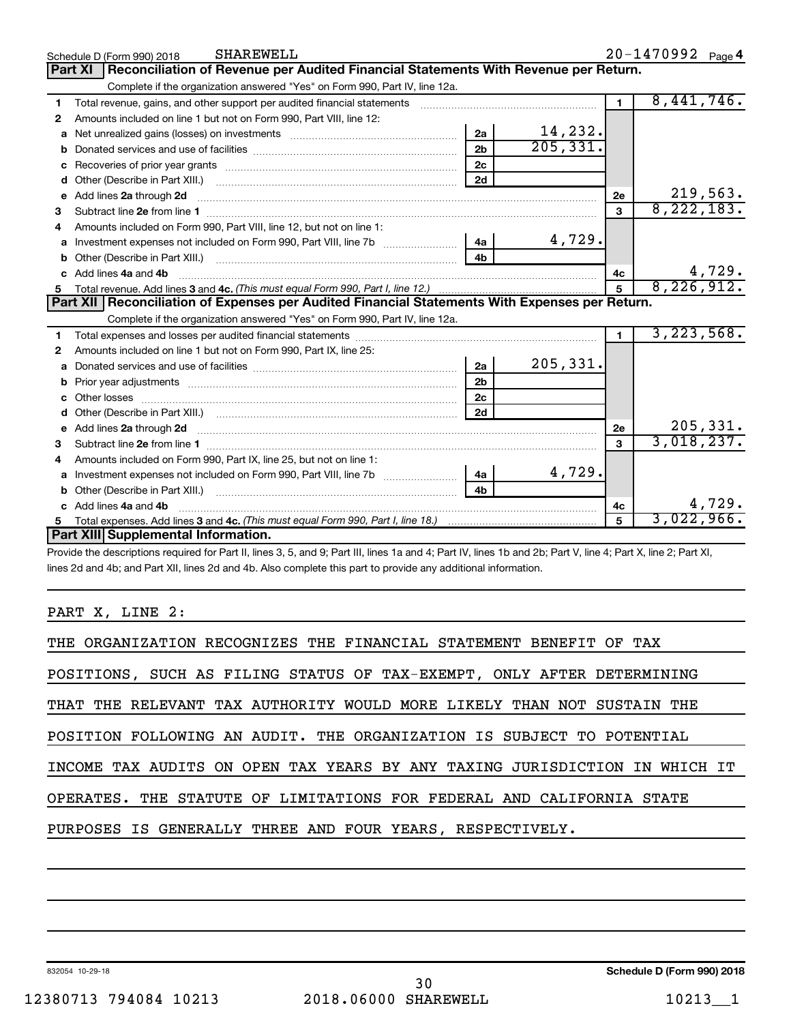|    | <b>SHAREWELL</b><br>Schedule D (Form 990) 2018                                                                                                                                                                                     |                | 20-1470992 Page 4 |                |                            |
|----|------------------------------------------------------------------------------------------------------------------------------------------------------------------------------------------------------------------------------------|----------------|-------------------|----------------|----------------------------|
|    | Part XI   Reconciliation of Revenue per Audited Financial Statements With Revenue per Return.                                                                                                                                      |                |                   |                |                            |
|    | Complete if the organization answered "Yes" on Form 990, Part IV, line 12a.                                                                                                                                                        |                |                   |                |                            |
| 1  | Total revenue, gains, and other support per audited financial statements [11] [11] Total revenue, gains, and other support per audited financial statements                                                                        |                |                   | $\blacksquare$ | 8,441,746.                 |
| 2  | Amounts included on line 1 but not on Form 990, Part VIII, line 12:                                                                                                                                                                |                |                   |                |                            |
| a  |                                                                                                                                                                                                                                    | 2a             | 14,232.           |                |                            |
| b  |                                                                                                                                                                                                                                    | 2 <sub>b</sub> | 205, 331.         |                |                            |
| c  |                                                                                                                                                                                                                                    | 2c             |                   |                |                            |
| d  | Other (Describe in Part XIII.) <b>Construction Contract Construction</b> Chemistry Chemistry Chemistry Chemistry Chemistry                                                                                                         | 2d             |                   |                |                            |
| e  | Add lines 2a through 2d <b>must be a constructed as the constant of the constant of the constant of the construction</b>                                                                                                           |                |                   | 2e             | 219,563.                   |
| 3  |                                                                                                                                                                                                                                    |                |                   | 3              | 8, 222, 183.               |
|    | Amounts included on Form 990, Part VIII, line 12, but not on line 1:                                                                                                                                                               |                |                   |                |                            |
| a  | Investment expenses not included on Form 990, Part VIII, line 7b [11, 11, 11, 11, 11]                                                                                                                                              | 4a             | 4,729.            |                |                            |
|    |                                                                                                                                                                                                                                    | 4b             |                   |                |                            |
|    | Add lines 4a and 4b                                                                                                                                                                                                                |                |                   | 4c             | $\frac{4,729}{8,226,912.}$ |
| 5  |                                                                                                                                                                                                                                    |                |                   | 5              |                            |
|    |                                                                                                                                                                                                                                    |                |                   |                |                            |
|    | Part XII   Reconciliation of Expenses per Audited Financial Statements With Expenses per Return.                                                                                                                                   |                |                   |                |                            |
|    | Complete if the organization answered "Yes" on Form 990, Part IV, line 12a.                                                                                                                                                        |                |                   |                |                            |
| 1. |                                                                                                                                                                                                                                    |                |                   | $\blacksquare$ | 3, 223, 568.               |
| 2  | Amounts included on line 1 but not on Form 990, Part IX, line 25:                                                                                                                                                                  |                |                   |                |                            |
| a  |                                                                                                                                                                                                                                    | 2a             | 205, 331.         |                |                            |
|    |                                                                                                                                                                                                                                    | 2 <sub>b</sub> |                   |                |                            |
| c  |                                                                                                                                                                                                                                    | 2c             |                   |                |                            |
|    |                                                                                                                                                                                                                                    | 2d             |                   |                |                            |
|    | e Add lines 2a through 2d <b>contained a control and a control and a</b> control and a control and a control and a control and a control and a control and a control and a control and a control and a control and a control and a |                |                   | 2e             | 205, 331.                  |
| 3  |                                                                                                                                                                                                                                    |                |                   | $\mathbf{a}$   | 3,018,237.                 |
| 4  | Amounts included on Form 990, Part IX, line 25, but not on line 1:                                                                                                                                                                 |                |                   |                |                            |
| a  |                                                                                                                                                                                                                                    | 4a             | 4,729.            |                |                            |
|    |                                                                                                                                                                                                                                    | 4 <sub>h</sub> |                   |                |                            |
|    | c Add lines 4a and 4b                                                                                                                                                                                                              |                |                   | 4c             | 4,729.                     |
|    | Part XIII Supplemental Information.                                                                                                                                                                                                |                |                   | 5              | 3,022,966.                 |

Provide the descriptions required for Part II, lines 3, 5, and 9; Part III, lines 1a and 4; Part IV, lines 1b and 2b; Part V, line 4; Part X, line 2; Part XI, lines 2d and 4b; and Part XII, lines 2d and 4b. Also complete this part to provide any additional information.

#### PART X, LINE 2:

| THE ORGANIZATION RECOGNIZES THE FINANCIAL STATEMENT BENEFIT OF TAX         |
|----------------------------------------------------------------------------|
| POSITIONS, SUCH AS FILING STATUS OF TAX-EXEMPT, ONLY AFTER DETERMINING     |
| THAT THE RELEVANT TAX AUTHORITY WOULD MORE LIKELY THAN NOT SUSTAIN THE     |
| POSITION FOLLOWING AN AUDIT. THE ORGANIZATION IS SUBJECT TO POTENTIAL      |
| INCOME TAX AUDITS ON OPEN TAX YEARS BY ANY TAXING JURISDICTION IN WHICH IT |
| OPERATES. THE STATUTE OF LIMITATIONS FOR FEDERAL AND CALIFORNIA STATE      |
| PURPOSES IS GENERALLY THREE AND FOUR YEARS, RESPECTIVELY.                  |
|                                                                            |

832054 10-29-18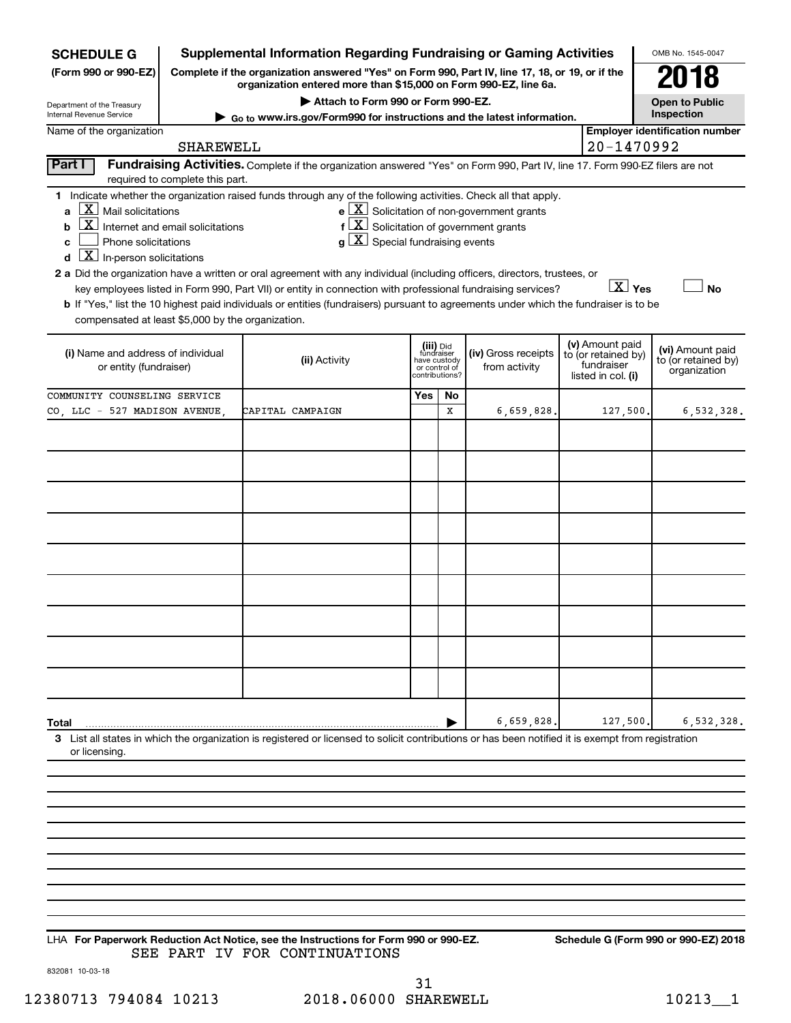| <b>SCHEDULE G</b>                                             |                                                                                                                                                                     | <b>Supplemental Information Regarding Fundraising or Gaming Activities</b>                                                                                                                                                                |     |                                         |                                                              |  |                                        | OMB No. 1545-0047                                   |
|---------------------------------------------------------------|---------------------------------------------------------------------------------------------------------------------------------------------------------------------|-------------------------------------------------------------------------------------------------------------------------------------------------------------------------------------------------------------------------------------------|-----|-----------------------------------------|--------------------------------------------------------------|--|----------------------------------------|-----------------------------------------------------|
| (Form 990 or 990-EZ)                                          | Complete if the organization answered "Yes" on Form 990, Part IV, line 17, 18, or 19, or if the<br>organization entered more than \$15,000 on Form 990-EZ, line 6a. |                                                                                                                                                                                                                                           |     |                                         |                                                              |  |                                        | 018                                                 |
| Department of the Treasury                                    |                                                                                                                                                                     | Attach to Form 990 or Form 990-EZ.                                                                                                                                                                                                        |     |                                         |                                                              |  |                                        | <b>Open to Public</b>                               |
| <b>Internal Revenue Service</b>                               |                                                                                                                                                                     | ► Go to www.irs.gov/Form990 for instructions and the latest information.                                                                                                                                                                  |     |                                         |                                                              |  |                                        | Inspection<br><b>Employer identification number</b> |
| Name of the organization                                      | SHAREWELL                                                                                                                                                           |                                                                                                                                                                                                                                           |     |                                         |                                                              |  | 20-1470992                             |                                                     |
| Part I                                                        |                                                                                                                                                                     | Fundraising Activities. Complete if the organization answered "Yes" on Form 990, Part IV, line 17. Form 990-EZ filers are not                                                                                                             |     |                                         |                                                              |  |                                        |                                                     |
|                                                               | required to complete this part.                                                                                                                                     |                                                                                                                                                                                                                                           |     |                                         |                                                              |  |                                        |                                                     |
|                                                               |                                                                                                                                                                     | 1 Indicate whether the organization raised funds through any of the following activities. Check all that apply.                                                                                                                           |     |                                         |                                                              |  |                                        |                                                     |
| $\lfloor \mathbf{X} \rfloor$ Mail solicitations<br>ă          |                                                                                                                                                                     |                                                                                                                                                                                                                                           |     |                                         | $e$ $\boxed{\text{X}}$ Solicitation of non-government grants |  |                                        |                                                     |
| $\overline{\mathbf{X}}$ Internet and email solicitations<br>b |                                                                                                                                                                     | $f(X)$ Solicitation of government grants                                                                                                                                                                                                  |     |                                         |                                                              |  |                                        |                                                     |
| Phone solicitations<br>C                                      |                                                                                                                                                                     | $ \mathbf{X} $ Special fundraising events                                                                                                                                                                                                 |     |                                         |                                                              |  |                                        |                                                     |
| $\boxed{\mathbf{X}}$ In-person solicitations<br>d             |                                                                                                                                                                     |                                                                                                                                                                                                                                           |     |                                         |                                                              |  |                                        |                                                     |
|                                                               |                                                                                                                                                                     | 2 a Did the organization have a written or oral agreement with any individual (including officers, directors, trustees, or<br>key employees listed in Form 990, Part VII) or entity in connection with professional fundraising services? |     |                                         |                                                              |  | $\boxed{\text{X}}$ Yes                 | <b>No</b>                                           |
|                                                               |                                                                                                                                                                     | b If "Yes," list the 10 highest paid individuals or entities (fundraisers) pursuant to agreements under which the fundraiser is to be                                                                                                     |     |                                         |                                                              |  |                                        |                                                     |
| compensated at least \$5,000 by the organization.             |                                                                                                                                                                     |                                                                                                                                                                                                                                           |     |                                         |                                                              |  |                                        |                                                     |
|                                                               |                                                                                                                                                                     |                                                                                                                                                                                                                                           |     |                                         |                                                              |  |                                        |                                                     |
| (i) Name and address of individual                            |                                                                                                                                                                     | (ii) Activity                                                                                                                                                                                                                             |     | (iii) Did<br>fundraiser<br>have custody | (iv) Gross receipts                                          |  | (v) Amount paid<br>to (or retained by) | (vi) Amount paid<br>to (or retained by)             |
| or entity (fundraiser)                                        |                                                                                                                                                                     |                                                                                                                                                                                                                                           |     | or control of<br>contributions?         | from activity                                                |  | fundraiser<br>listed in col. (i)       | organization                                        |
| COMMUNITY COUNSELING SERVICE                                  |                                                                                                                                                                     |                                                                                                                                                                                                                                           | Yes | <b>No</b>                               |                                                              |  |                                        |                                                     |
| CO, LLC - 527 MADISON AVENUE,                                 |                                                                                                                                                                     | CAPITAL CAMPAIGN                                                                                                                                                                                                                          |     | x                                       | 6,659,828.                                                   |  | 127,500                                | 6,532,328.                                          |
|                                                               |                                                                                                                                                                     |                                                                                                                                                                                                                                           |     |                                         |                                                              |  |                                        |                                                     |
|                                                               |                                                                                                                                                                     |                                                                                                                                                                                                                                           |     |                                         |                                                              |  |                                        |                                                     |
|                                                               |                                                                                                                                                                     |                                                                                                                                                                                                                                           |     |                                         |                                                              |  |                                        |                                                     |
|                                                               |                                                                                                                                                                     |                                                                                                                                                                                                                                           |     |                                         |                                                              |  |                                        |                                                     |
|                                                               |                                                                                                                                                                     |                                                                                                                                                                                                                                           |     |                                         |                                                              |  |                                        |                                                     |
|                                                               |                                                                                                                                                                     |                                                                                                                                                                                                                                           |     |                                         |                                                              |  |                                        |                                                     |
|                                                               |                                                                                                                                                                     |                                                                                                                                                                                                                                           |     |                                         |                                                              |  |                                        |                                                     |
|                                                               |                                                                                                                                                                     |                                                                                                                                                                                                                                           |     |                                         |                                                              |  |                                        |                                                     |
|                                                               |                                                                                                                                                                     |                                                                                                                                                                                                                                           |     |                                         |                                                              |  |                                        |                                                     |
|                                                               |                                                                                                                                                                     |                                                                                                                                                                                                                                           |     |                                         |                                                              |  |                                        |                                                     |
|                                                               |                                                                                                                                                                     |                                                                                                                                                                                                                                           |     |                                         |                                                              |  |                                        |                                                     |
|                                                               |                                                                                                                                                                     |                                                                                                                                                                                                                                           |     |                                         |                                                              |  |                                        |                                                     |
|                                                               |                                                                                                                                                                     |                                                                                                                                                                                                                                           |     |                                         |                                                              |  |                                        |                                                     |
|                                                               |                                                                                                                                                                     |                                                                                                                                                                                                                                           |     |                                         |                                                              |  |                                        |                                                     |
|                                                               |                                                                                                                                                                     |                                                                                                                                                                                                                                           |     |                                         |                                                              |  |                                        |                                                     |
|                                                               |                                                                                                                                                                     |                                                                                                                                                                                                                                           |     |                                         |                                                              |  |                                        |                                                     |
|                                                               |                                                                                                                                                                     |                                                                                                                                                                                                                                           |     |                                         |                                                              |  |                                        |                                                     |
| Total                                                         |                                                                                                                                                                     |                                                                                                                                                                                                                                           |     |                                         | 6,659,828.                                                   |  | 127,500                                | 6,532,328.                                          |
|                                                               |                                                                                                                                                                     | 3 List all states in which the organization is registered or licensed to solicit contributions or has been notified it is exempt from registration                                                                                        |     |                                         |                                                              |  |                                        |                                                     |
| or licensing.                                                 |                                                                                                                                                                     |                                                                                                                                                                                                                                           |     |                                         |                                                              |  |                                        |                                                     |
|                                                               |                                                                                                                                                                     |                                                                                                                                                                                                                                           |     |                                         |                                                              |  |                                        |                                                     |
|                                                               |                                                                                                                                                                     |                                                                                                                                                                                                                                           |     |                                         |                                                              |  |                                        |                                                     |
|                                                               |                                                                                                                                                                     |                                                                                                                                                                                                                                           |     |                                         |                                                              |  |                                        |                                                     |
|                                                               |                                                                                                                                                                     |                                                                                                                                                                                                                                           |     |                                         |                                                              |  |                                        |                                                     |

**For Paperwork Reduction Act Notice, see the Instructions for Form 990 or 990-EZ. Schedule G (Form 990 or 990-EZ) 2018** LHA SEE PART IV FOR CONTINUATIONS

832081 10-03-18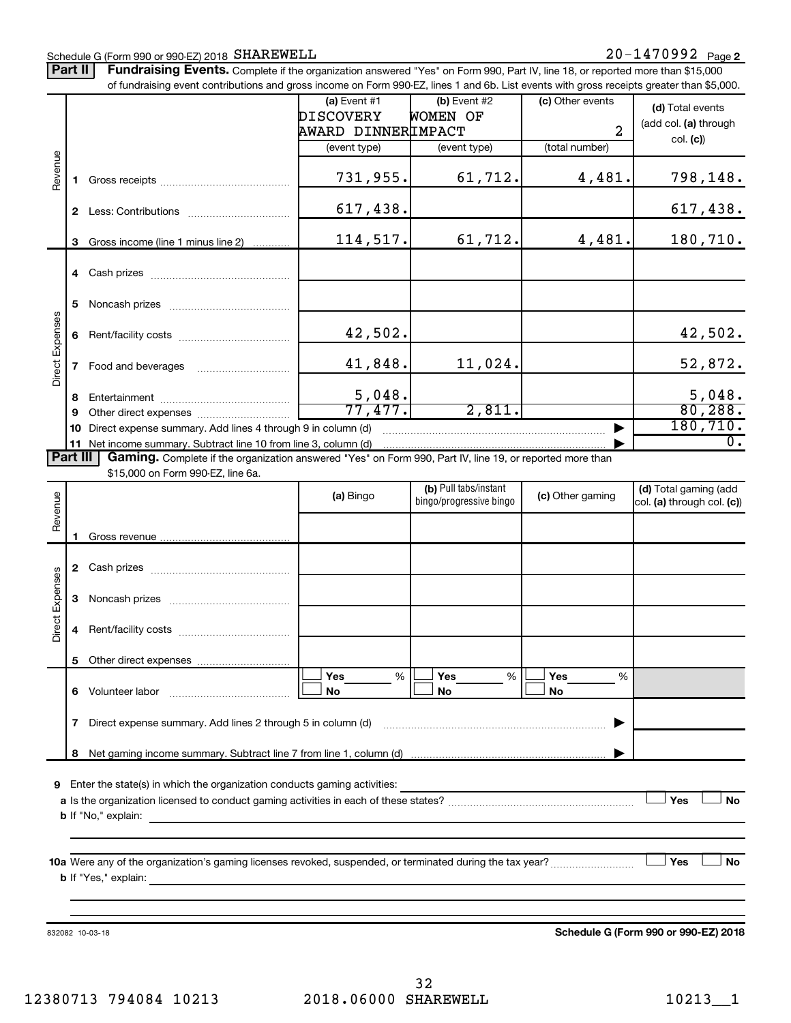#### Schedule G (Form 990 or 990-EZ) 2018 SHAREWELL

Part II | Fundraising Events. Complete if the organization answered "Yes" on Form 990, Part IV, line 18, or reported more than \$15,000

|                 |                 | of fundraising event contributions and gross income on Form 990-EZ, lines 1 and 6b. List events with gross receipts greater than \$5,000.          |                          |                         |                  |                            |
|-----------------|-----------------|----------------------------------------------------------------------------------------------------------------------------------------------------|--------------------------|-------------------------|------------------|----------------------------|
|                 |                 |                                                                                                                                                    | (a) Event $#1$           | $(b)$ Event #2          | (c) Other events | (d) Total events           |
|                 |                 |                                                                                                                                                    | <b>DISCOVERY</b>         | <b>WOMEN OF</b>         |                  | (add col. (a) through      |
|                 |                 |                                                                                                                                                    | AWARD DINNERIMPACT       |                         | $\overline{a}$   |                            |
|                 |                 |                                                                                                                                                    | (event type)             | (event type)            | (total number)   | col. (c)                   |
|                 |                 |                                                                                                                                                    |                          |                         |                  |                            |
| Revenue         | 1.              |                                                                                                                                                    | 731,955.                 | 61,712.                 | 4,481.           | 798,148.                   |
|                 |                 |                                                                                                                                                    | 617, 438.                |                         |                  | 617,438.                   |
|                 | 3               | Gross income (line 1 minus line 2)                                                                                                                 | 114,517.                 | 61,712.                 | 4,481.           | 180,710.                   |
|                 |                 |                                                                                                                                                    |                          |                         |                  |                            |
|                 | 5               |                                                                                                                                                    |                          |                         |                  |                            |
|                 |                 |                                                                                                                                                    |                          |                         |                  |                            |
|                 | 6               |                                                                                                                                                    | 42,502.                  |                         |                  | 42,502.                    |
| Direct Expenses | $\mathbf{7}$    |                                                                                                                                                    | 41,848.                  | 11,024.                 |                  | 52,872.                    |
|                 |                 |                                                                                                                                                    |                          |                         |                  |                            |
|                 | 8<br>9          |                                                                                                                                                    | $\frac{5,048.}{77,477.}$ | 2,811.                  |                  | $\frac{5,048}{80,288}$     |
|                 | 10              | Direct expense summary. Add lines 4 through 9 in column (d)                                                                                        |                          |                         |                  | 180, 710.                  |
|                 |                 | 11 Net income summary. Subtract line 10 from line 3, column (d)                                                                                    |                          |                         |                  | $\overline{0}$ .           |
| <b>Part III</b> |                 | Gaming. Complete if the organization answered "Yes" on Form 990, Part IV, line 19, or reported more than                                           |                          |                         |                  |                            |
|                 |                 | \$15,000 on Form 990-EZ, line 6a.                                                                                                                  |                          |                         |                  |                            |
|                 |                 |                                                                                                                                                    |                          | (b) Pull tabs/instant   |                  | (d) Total gaming (add      |
| Revenue         |                 |                                                                                                                                                    | (a) Bingo                | bingo/progressive bingo | (c) Other gaming | col. (a) through col. (c)) |
|                 |                 |                                                                                                                                                    |                          |                         |                  |                            |
|                 | 1.              |                                                                                                                                                    |                          |                         |                  |                            |
|                 |                 |                                                                                                                                                    |                          |                         |                  |                            |
|                 | $\mathbf{2}$    |                                                                                                                                                    |                          |                         |                  |                            |
|                 |                 |                                                                                                                                                    |                          |                         |                  |                            |
|                 | 3               |                                                                                                                                                    |                          |                         |                  |                            |
| Direct Expenses | 4               |                                                                                                                                                    |                          |                         |                  |                            |
|                 |                 |                                                                                                                                                    |                          |                         |                  |                            |
|                 |                 | 5 Other direct expenses                                                                                                                            |                          |                         |                  |                            |
|                 |                 |                                                                                                                                                    | Yes<br>%                 | Yes<br>%                | <b>Yes</b><br>%  |                            |
|                 | 6               |                                                                                                                                                    | No                       | No                      | No               |                            |
|                 | $7\phantom{.0}$ | Direct expense summary. Add lines 2 through 5 in column (d)                                                                                        |                          |                         |                  |                            |
|                 |                 |                                                                                                                                                    |                          |                         |                  |                            |
|                 |                 |                                                                                                                                                    |                          |                         |                  |                            |
|                 |                 |                                                                                                                                                    |                          |                         |                  |                            |
| 9               |                 | Enter the state(s) in which the organization conducts gaming activities:                                                                           |                          |                         |                  |                            |
|                 |                 |                                                                                                                                                    |                          |                         |                  | Yes<br>No                  |
|                 |                 | <b>b</b> If "No," explain:<br><u> 1989 - Andrea Santa Andrea Santa Andrea Santa Andrea Santa Andrea Santa Andrea Santa Andrea Santa Andrea San</u> |                          |                         |                  |                            |
|                 |                 |                                                                                                                                                    |                          |                         |                  |                            |
|                 |                 |                                                                                                                                                    |                          |                         |                  |                            |
|                 |                 |                                                                                                                                                    |                          |                         |                  | Yes<br>No                  |
|                 |                 |                                                                                                                                                    |                          |                         |                  |                            |
|                 |                 |                                                                                                                                                    |                          |                         |                  |                            |
|                 |                 |                                                                                                                                                    |                          |                         |                  |                            |
|                 |                 |                                                                                                                                                    |                          |                         |                  |                            |

832082 10-03-18

**Schedule G (Form 990 or 990-EZ) 2018**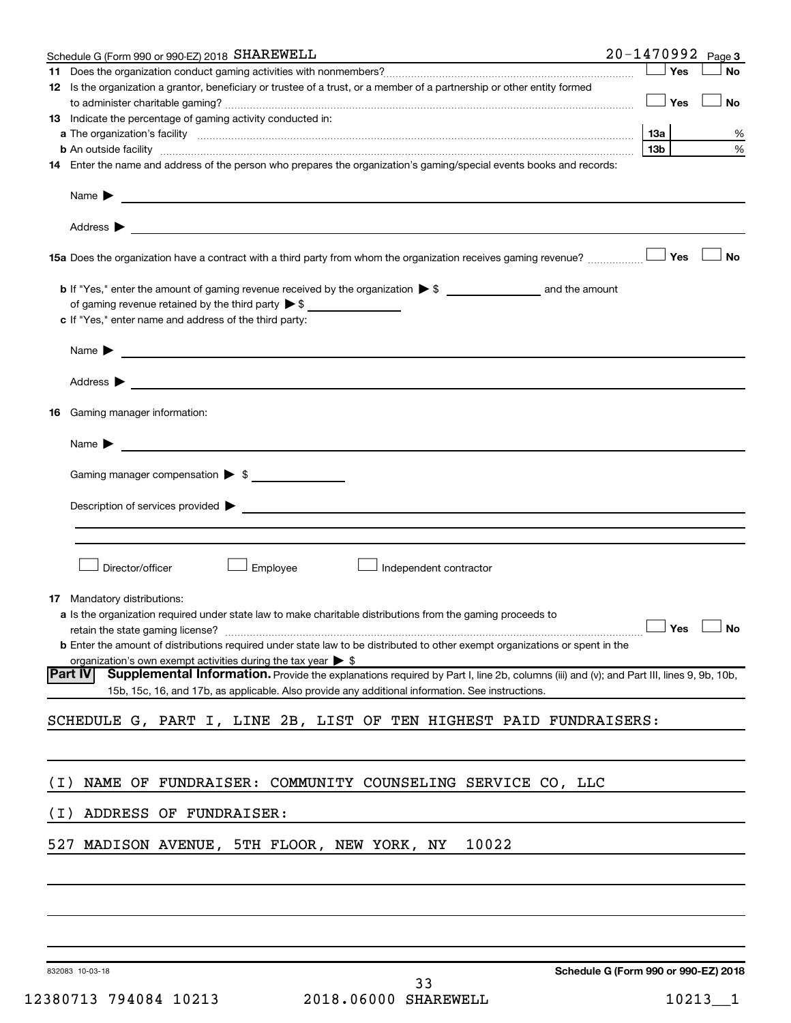|       | Schedule G (Form 990 or 990-EZ) 2018 SHAREWELL                                                                                                                                                                                            |     |            | 20-1470992 Page 3 |
|-------|-------------------------------------------------------------------------------------------------------------------------------------------------------------------------------------------------------------------------------------------|-----|------------|-------------------|
| 11    |                                                                                                                                                                                                                                           |     | Yes        | No                |
|       | 12 Is the organization a grantor, beneficiary or trustee of a trust, or a member of a partnership or other entity formed                                                                                                                  |     |            |                   |
|       |                                                                                                                                                                                                                                           |     | $\Box$ Yes | No                |
|       | <b>13</b> Indicate the percentage of gaming activity conducted in:                                                                                                                                                                        |     |            |                   |
|       |                                                                                                                                                                                                                                           | 1За |            | %                 |
|       | <b>b</b> An outside facility <b>contained and the contract of the contract of the contract of the contract of the contract of the contract of the contract of the contract of the contract of the contract of the contract of the con</b> | 13b |            | %                 |
|       | 14 Enter the name and address of the person who prepares the organization's gaming/special events books and records:                                                                                                                      |     |            |                   |
|       |                                                                                                                                                                                                                                           |     |            |                   |
|       | Address $\blacktriangleright$<br>and the control of the control of the control of the control of the control of the control of the control of the                                                                                         |     |            |                   |
|       | 15a Does the organization have a contract with a third party from whom the organization receives gaming revenue?                                                                                                                          |     | Yes        | <b>No</b>         |
|       |                                                                                                                                                                                                                                           |     |            |                   |
|       | of gaming revenue retained by the third party $\triangleright$ \$                                                                                                                                                                         |     |            |                   |
|       | c If "Yes," enter name and address of the third party:                                                                                                                                                                                    |     |            |                   |
|       | Name > 2008 - 2008 - 2009 - 2009 - 2009 - 2009 - 2009 - 2009 - 2009 - 2009 - 2009 - 2009 - 2009 - 2009 - 2009 - 2009 - 2009 - 2009 - 2009 - 2009 - 2009 - 2009 - 2009 - 2009 - 2009 - 2009 - 2009 - 2009 - 2009 - 2009 - 2009             |     |            |                   |
|       | Address $\blacktriangleright$<br><u> 2000 - Jan Barnett, fransk politik (d. 1888)</u>                                                                                                                                                     |     |            |                   |
| 16.   | Gaming manager information:                                                                                                                                                                                                               |     |            |                   |
|       | Name $\blacktriangleright$<br><u> 1980 - Andrea Amerikaanse kommunister (</u>                                                                                                                                                             |     |            |                   |
|       | Gaming manager compensation > \$                                                                                                                                                                                                          |     |            |                   |
|       |                                                                                                                                                                                                                                           |     |            |                   |
|       | Description of services provided states and the contract of the contract of the contract of the contract of the contract of the contract of the contract of the contract of the contract of the contract of the contract of th            |     |            |                   |
|       |                                                                                                                                                                                                                                           |     |            |                   |
|       |                                                                                                                                                                                                                                           |     |            |                   |
|       | Director/officer<br>Employee<br>Independent contractor                                                                                                                                                                                    |     |            |                   |
|       |                                                                                                                                                                                                                                           |     |            |                   |
|       | <b>17</b> Mandatory distributions:<br><b>a</b> Is the organization required under state law to make charitable distributions from the gaming proceeds to                                                                                  |     |            |                   |
|       | retain the state gaming license? $\Box$ No                                                                                                                                                                                                |     |            |                   |
|       | <b>b</b> Enter the amount of distributions required under state law to be distributed to other exempt organizations or spent in the                                                                                                       |     |            |                   |
|       | organization's own exempt activities during the tax year $\triangleright$ \$                                                                                                                                                              |     |            |                   |
|       | Supplemental Information. Provide the explanations required by Part I, line 2b, columns (iii) and (v); and Part III, lines 9, 9b, 10b,<br> Part IV                                                                                        |     |            |                   |
|       | 15b, 15c, 16, and 17b, as applicable. Also provide any additional information. See instructions.                                                                                                                                          |     |            |                   |
|       | SCHEDULE G, PART I, LINE 2B, LIST OF TEN HIGHEST PAID FUNDRAISERS:                                                                                                                                                                        |     |            |                   |
|       |                                                                                                                                                                                                                                           |     |            |                   |
| ( I ) | NAME OF FUNDRAISER: COMMUNITY COUNSELING SERVICE CO, LLC                                                                                                                                                                                  |     |            |                   |
|       |                                                                                                                                                                                                                                           |     |            |                   |
| ( I ) | ADDRESS OF FUNDRAISER:                                                                                                                                                                                                                    |     |            |                   |
|       | 527 MADISON AVENUE, 5TH FLOOR, NEW YORK, NY<br>10022                                                                                                                                                                                      |     |            |                   |
|       |                                                                                                                                                                                                                                           |     |            |                   |
|       |                                                                                                                                                                                                                                           |     |            |                   |
|       |                                                                                                                                                                                                                                           |     |            |                   |
|       |                                                                                                                                                                                                                                           |     |            |                   |

832083 10-03-18

**Schedule G (Form 990 or 990-EZ) 2018**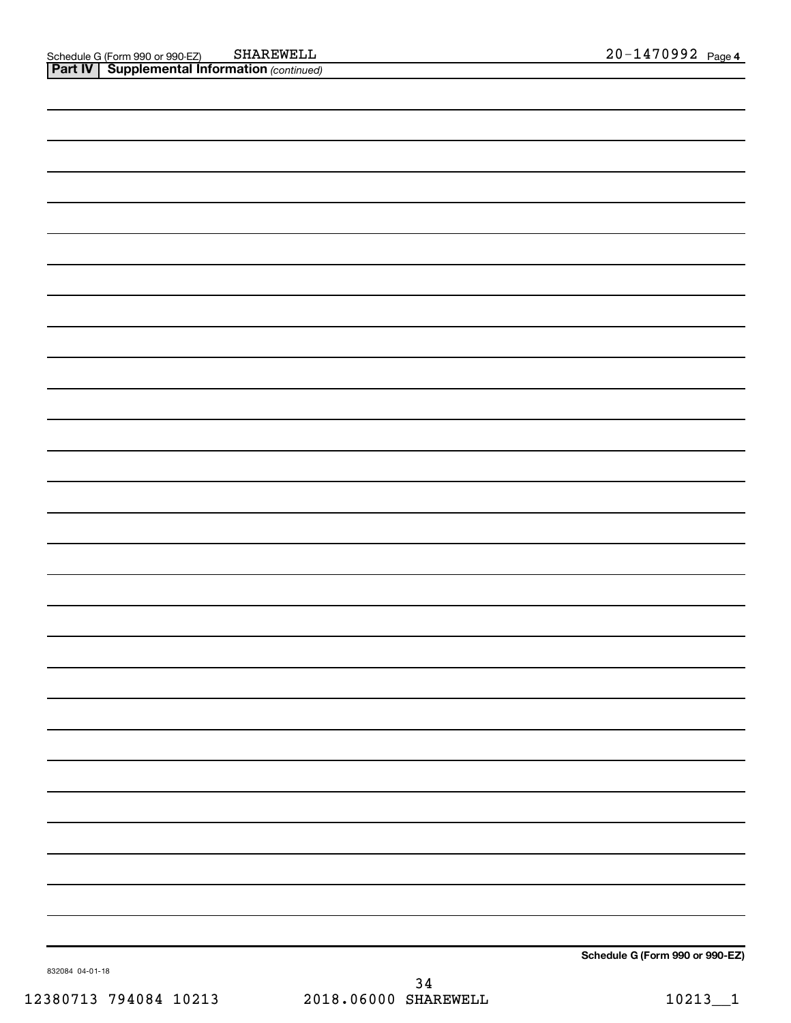**Schedule G (Form 990 or 990-EZ)**

832084 04-01-18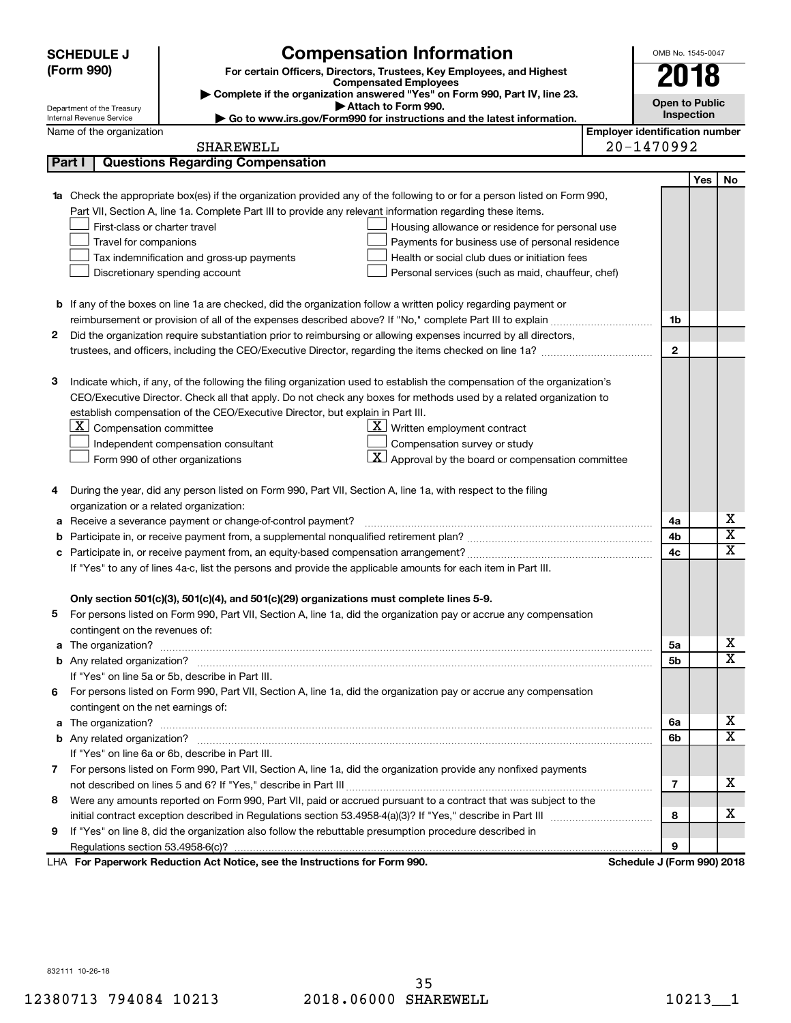|   | <b>SCHEDULE J</b>                                                                                             | <b>Compensation Information</b>                                                                                                        |                                       | OMB No. 1545-0047          |      |                         |  |
|---|---------------------------------------------------------------------------------------------------------------|----------------------------------------------------------------------------------------------------------------------------------------|---------------------------------------|----------------------------|------|-------------------------|--|
|   | (Form 990)<br>For certain Officers, Directors, Trustees, Key Employees, and Highest                           |                                                                                                                                        |                                       |                            |      |                         |  |
|   |                                                                                                               | <b>Compensated Employees</b>                                                                                                           |                                       |                            | 2018 |                         |  |
|   | Department of the Treasury                                                                                    | Complete if the organization answered "Yes" on Form 990, Part IV, line 23.<br>Attach to Form 990.                                      |                                       | <b>Open to Public</b>      |      |                         |  |
|   | Internal Revenue Service                                                                                      | Go to www.irs.gov/Form990 for instructions and the latest information.                                                                 |                                       | Inspection                 |      |                         |  |
|   | Name of the organization                                                                                      |                                                                                                                                        | <b>Employer identification number</b> |                            |      |                         |  |
|   |                                                                                                               | SHAREWELL                                                                                                                              |                                       | 20-1470992                 |      |                         |  |
|   | Part I                                                                                                        | <b>Questions Regarding Compensation</b>                                                                                                |                                       |                            |      |                         |  |
|   |                                                                                                               |                                                                                                                                        |                                       |                            | Yes  | No                      |  |
|   |                                                                                                               | <b>1a</b> Check the appropriate box(es) if the organization provided any of the following to or for a person listed on Form 990,       |                                       |                            |      |                         |  |
|   |                                                                                                               | Part VII, Section A, line 1a. Complete Part III to provide any relevant information regarding these items.                             |                                       |                            |      |                         |  |
|   | First-class or charter travel                                                                                 | Housing allowance or residence for personal use                                                                                        |                                       |                            |      |                         |  |
|   | Travel for companions<br>Payments for business use of personal residence                                      |                                                                                                                                        |                                       |                            |      |                         |  |
|   |                                                                                                               | Tax indemnification and gross-up payments<br>Health or social club dues or initiation fees                                             |                                       |                            |      |                         |  |
|   |                                                                                                               | Discretionary spending account<br>Personal services (such as maid, chauffeur, chef)                                                    |                                       |                            |      |                         |  |
|   |                                                                                                               |                                                                                                                                        |                                       |                            |      |                         |  |
|   |                                                                                                               | <b>b</b> If any of the boxes on line 1a are checked, did the organization follow a written policy regarding payment or                 |                                       |                            |      |                         |  |
|   |                                                                                                               |                                                                                                                                        |                                       | 1b                         |      |                         |  |
| 2 |                                                                                                               | Did the organization require substantiation prior to reimbursing or allowing expenses incurred by all directors,                       |                                       |                            |      |                         |  |
|   |                                                                                                               |                                                                                                                                        |                                       | $\mathbf{2}$               |      |                         |  |
|   |                                                                                                               |                                                                                                                                        |                                       |                            |      |                         |  |
| 3 |                                                                                                               | Indicate which, if any, of the following the filing organization used to establish the compensation of the organization's              |                                       |                            |      |                         |  |
|   |                                                                                                               | CEO/Executive Director. Check all that apply. Do not check any boxes for methods used by a related organization to                     |                                       |                            |      |                         |  |
|   | $X$ Compensation committee                                                                                    | establish compensation of the CEO/Executive Director, but explain in Part III.<br>$\underline{\mathbf{X}}$ Written employment contract |                                       |                            |      |                         |  |
|   |                                                                                                               |                                                                                                                                        |                                       |                            |      |                         |  |
|   |                                                                                                               | Compensation survey or study<br>Independent compensation consultant<br>$ \mathbf{X} $ Approval by the board or compensation committee  |                                       |                            |      |                         |  |
|   |                                                                                                               | Form 990 of other organizations                                                                                                        |                                       |                            |      |                         |  |
| 4 |                                                                                                               | During the year, did any person listed on Form 990, Part VII, Section A, line 1a, with respect to the filing                           |                                       |                            |      |                         |  |
|   | organization or a related organization:                                                                       |                                                                                                                                        |                                       |                            |      |                         |  |
| а |                                                                                                               | Receive a severance payment or change-of-control payment?                                                                              |                                       | 4a                         |      | х                       |  |
| b |                                                                                                               |                                                                                                                                        |                                       | 4b                         |      | $\overline{\textbf{x}}$ |  |
|   |                                                                                                               |                                                                                                                                        |                                       | 4c                         |      | $\overline{\textbf{x}}$ |  |
|   | If "Yes" to any of lines 4a-c, list the persons and provide the applicable amounts for each item in Part III. |                                                                                                                                        |                                       |                            |      |                         |  |
|   |                                                                                                               |                                                                                                                                        |                                       |                            |      |                         |  |
|   |                                                                                                               | Only section 501(c)(3), 501(c)(4), and 501(c)(29) organizations must complete lines 5-9.                                               |                                       |                            |      |                         |  |
|   |                                                                                                               | For persons listed on Form 990, Part VII, Section A, line 1a, did the organization pay or accrue any compensation                      |                                       |                            |      |                         |  |
|   | contingent on the revenues of:                                                                                |                                                                                                                                        |                                       |                            |      |                         |  |
|   |                                                                                                               |                                                                                                                                        |                                       | 5а                         |      | х                       |  |
|   |                                                                                                               |                                                                                                                                        |                                       | 5b                         |      | х                       |  |
|   |                                                                                                               | If "Yes" on line 5a or 5b, describe in Part III.                                                                                       |                                       |                            |      |                         |  |
|   |                                                                                                               | 6 For persons listed on Form 990, Part VII, Section A, line 1a, did the organization pay or accrue any compensation                    |                                       |                            |      |                         |  |
|   | contingent on the net earnings of:                                                                            |                                                                                                                                        |                                       |                            |      |                         |  |
|   |                                                                                                               |                                                                                                                                        |                                       | 6a                         |      | х                       |  |
|   |                                                                                                               |                                                                                                                                        |                                       | 6b                         |      | х                       |  |
|   |                                                                                                               | If "Yes" on line 6a or 6b, describe in Part III.                                                                                       |                                       |                            |      |                         |  |
|   |                                                                                                               | 7 For persons listed on Form 990, Part VII, Section A, line 1a, did the organization provide any nonfixed payments                     |                                       |                            |      |                         |  |
|   |                                                                                                               |                                                                                                                                        |                                       | 7                          |      | х                       |  |
|   |                                                                                                               | 8 Were any amounts reported on Form 990, Part VII, paid or accrued pursuant to a contract that was subject to the                      |                                       |                            |      |                         |  |
|   |                                                                                                               |                                                                                                                                        |                                       | 8                          |      | х                       |  |
| 9 |                                                                                                               | If "Yes" on line 8, did the organization also follow the rebuttable presumption procedure described in                                 |                                       |                            |      |                         |  |
|   |                                                                                                               |                                                                                                                                        |                                       | 9                          |      |                         |  |
|   |                                                                                                               | LHA For Paperwork Reduction Act Notice, see the Instructions for Form 990.                                                             |                                       | Schedule J (Form 990) 2018 |      |                         |  |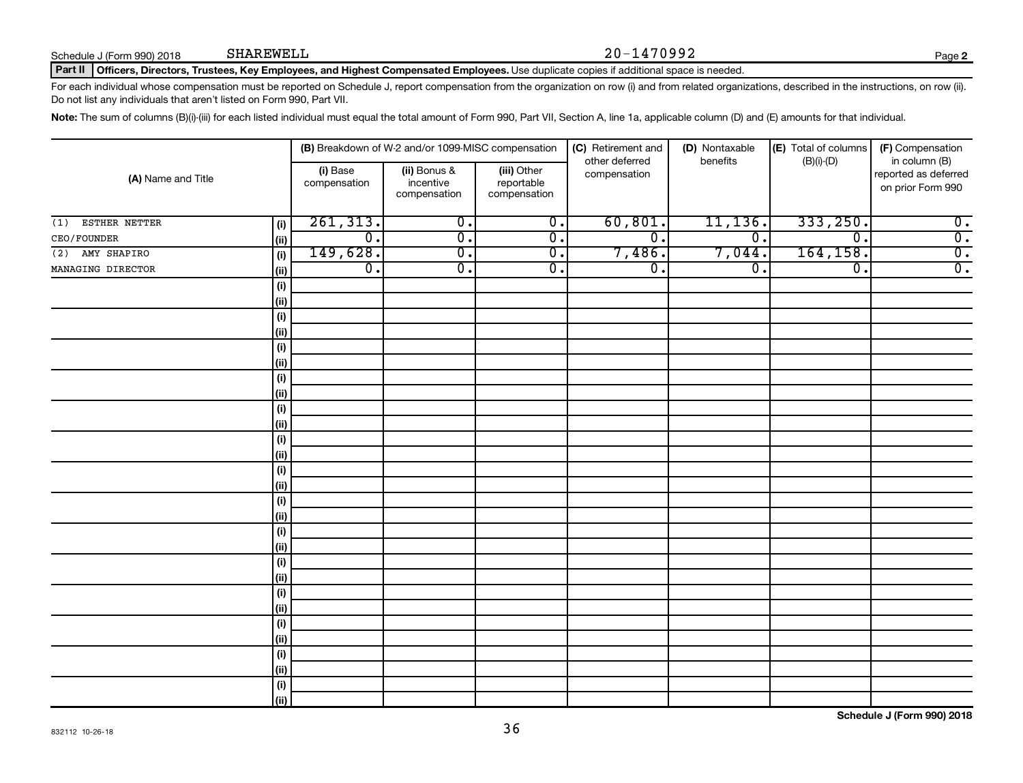Schedule J (Form 990) 2018 SHAREWELL

#### SHAREWELL 20-1470992

**2**

#### Part II | Officers, Directors, Trustees, Key Employees, and Highest Compensated Employees. Use duplicate copies if additional space is needed.

For each individual whose compensation must be reported on Schedule J, report compensation from the organization on row (i) and from related organizations, described in the instructions, on row (ii). Do not list any individuals that aren't listed on Form 990, Part VII.

Note: The sum of columns (B)(i)-(iii) for each listed individual must equal the total amount of Form 990, Part VII, Section A, line 1a, applicable column (D) and (E) amounts for that individual.

| (A) Name and Title   |             | (B) Breakdown of W-2 and/or 1099-MISC compensation |                                           |                                           | (C) Retirement and<br>other deferred | (D) Nontaxable<br>benefits  |                             | (F) Compensation<br>in column (B)         |
|----------------------|-------------|----------------------------------------------------|-------------------------------------------|-------------------------------------------|--------------------------------------|-----------------------------|-----------------------------|-------------------------------------------|
|                      |             | (i) Base<br>compensation                           | (ii) Bonus &<br>incentive<br>compensation | (iii) Other<br>reportable<br>compensation | compensation                         |                             | $(B)(i)$ - $(D)$            | reported as deferred<br>on prior Form 990 |
| ESTHER NETTER<br>(1) | (i)         | 261, 313.                                          | $\overline{0}$ .                          | $\overline{\mathfrak{o}}$ .               | 60, 801.                             | 11, 136.                    | 333,250.                    | $\overline{0}$ .                          |
| CEO/FOUNDER          | (ii)        | $\overline{0}$ .                                   | $\overline{\mathfrak{o}}$ .               | $\overline{0}$ .                          | σ.                                   | σ.                          | $\overline{\mathfrak{o}}$ . | $\overline{0}$ .                          |
| AMY SHAPIRO<br>(2)   | (i)         | 149,628.                                           | $\overline{0}$ .                          | $\overline{0}$ .                          | 7,486.                               | 7,044.                      | 164, 158.                   | $\overline{0}$ .                          |
| MANAGING DIRECTOR    | (ii)        | $\overline{0}$ .                                   | $\overline{\mathfrak{o}}$ .               | $\overline{0}$ .                          | $\overline{0}$ .                     | $\overline{\mathfrak{o}}$ . | $\overline{0}$ .            | $\overline{0}$ .                          |
|                      | (i)         |                                                    |                                           |                                           |                                      |                             |                             |                                           |
|                      | (ii)        |                                                    |                                           |                                           |                                      |                             |                             |                                           |
|                      | (i)         |                                                    |                                           |                                           |                                      |                             |                             |                                           |
|                      | (ii)        |                                                    |                                           |                                           |                                      |                             |                             |                                           |
|                      | (i)         |                                                    |                                           |                                           |                                      |                             |                             |                                           |
|                      | (ii)        |                                                    |                                           |                                           |                                      |                             |                             |                                           |
|                      | (i)         |                                                    |                                           |                                           |                                      |                             |                             |                                           |
|                      | (ii)        |                                                    |                                           |                                           |                                      |                             |                             |                                           |
|                      | (i)         |                                                    |                                           |                                           |                                      |                             |                             |                                           |
|                      | (ii)        |                                                    |                                           |                                           |                                      |                             |                             |                                           |
|                      | (i)         |                                                    |                                           |                                           |                                      |                             |                             |                                           |
|                      | (ii)        |                                                    |                                           |                                           |                                      |                             |                             |                                           |
|                      | (i)         |                                                    |                                           |                                           |                                      |                             |                             |                                           |
|                      | (ii)        |                                                    |                                           |                                           |                                      |                             |                             |                                           |
|                      | (i)         |                                                    |                                           |                                           |                                      |                             |                             |                                           |
|                      | (ii)        |                                                    |                                           |                                           |                                      |                             |                             |                                           |
|                      | (i)<br>(ii) |                                                    |                                           |                                           |                                      |                             |                             |                                           |
|                      | (i)         |                                                    |                                           |                                           |                                      |                             |                             |                                           |
|                      | (ii)        |                                                    |                                           |                                           |                                      |                             |                             |                                           |
|                      | (i)         |                                                    |                                           |                                           |                                      |                             |                             |                                           |
|                      | (ii)        |                                                    |                                           |                                           |                                      |                             |                             |                                           |
|                      | (i)         |                                                    |                                           |                                           |                                      |                             |                             |                                           |
|                      | (ii)        |                                                    |                                           |                                           |                                      |                             |                             |                                           |
|                      | (i)         |                                                    |                                           |                                           |                                      |                             |                             |                                           |
|                      | (ii)        |                                                    |                                           |                                           |                                      |                             |                             |                                           |
|                      | (i)         |                                                    |                                           |                                           |                                      |                             |                             |                                           |
|                      | (ii)        |                                                    |                                           |                                           |                                      |                             |                             |                                           |
|                      |             |                                                    |                                           |                                           |                                      |                             |                             |                                           |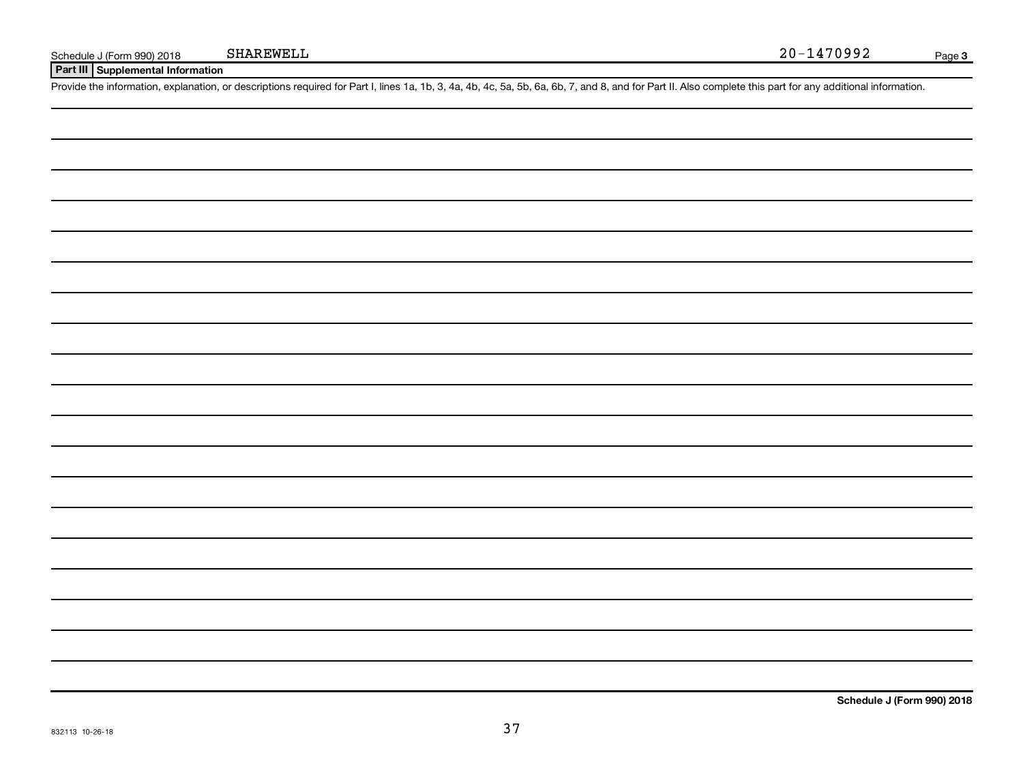**Part III Supplemental Information**

Provide the information, explanation, or descriptions required for Part I, lines 1a, 1b, 3, 4a, 4b, 4c, 5a, 5b, 6a, 6b, 7, and 8, and for Part II. Also complete this part for any additional information.

**Schedule J (Form 990) 2018**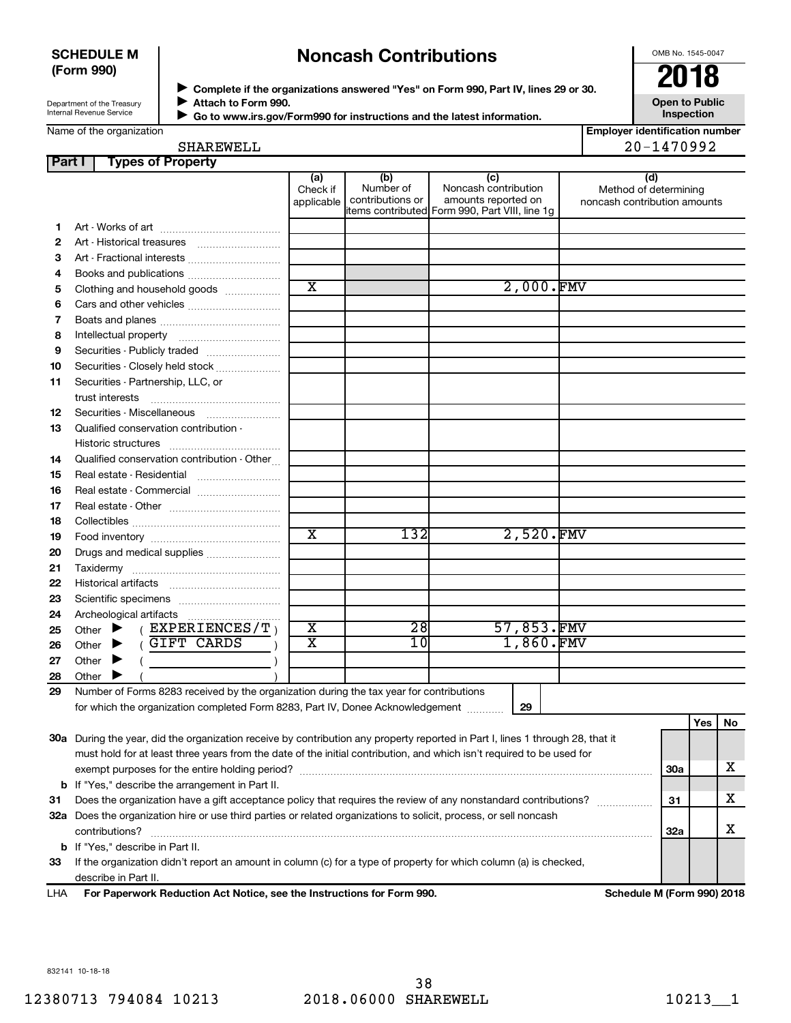#### **SCHEDULE M (Form 990)**

# **Noncash Contributions**

OMB No. 1545-0047

| Department of the Treasury |
|----------------------------|
|                            |
| Internal Revenue Service   |
|                            |

◆ Complete if the organizations answered "Yes" on Form 990, Part IV, lines 29 or 30.<br>▶ Complete if the organizations answered "Yes" on Form 990, Part IV, lines 29 or 30. **Attach to Form 990.**  $\blacktriangleright$  $\blacktriangleright$ 

**Open to Public Inspection**

| Go to www.irs.gov/Form990 for instructions and the latest information. |
|------------------------------------------------------------------------|
|                                                                        |

**Employer identification number** SHAREWELL 20-1470992

| SHAREWELL |  |  |  |  |
|-----------|--|--|--|--|
|           |  |  |  |  |

| Part I | <b>Types of Property</b>                                                                                                       |                               |                                      |                                                                                                      |                                                              |            |     |    |
|--------|--------------------------------------------------------------------------------------------------------------------------------|-------------------------------|--------------------------------------|------------------------------------------------------------------------------------------------------|--------------------------------------------------------------|------------|-----|----|
|        |                                                                                                                                | (a)<br>Check if<br>applicable | (b)<br>Number of<br>contributions or | (c)<br>Noncash contribution<br>amounts reported on<br>items contributed Form 990, Part VIII, line 1g | (d)<br>Method of determining<br>noncash contribution amounts |            |     |    |
| 1      |                                                                                                                                |                               |                                      |                                                                                                      |                                                              |            |     |    |
| 2      |                                                                                                                                |                               |                                      |                                                                                                      |                                                              |            |     |    |
| З      |                                                                                                                                |                               |                                      |                                                                                                      |                                                              |            |     |    |
| 4      |                                                                                                                                |                               |                                      |                                                                                                      |                                                              |            |     |    |
| 5      | Clothing and household goods                                                                                                   | $\overline{\text{x}}$         |                                      | 2,000.FMV                                                                                            |                                                              |            |     |    |
| 6      | Cars and other vehicles                                                                                                        |                               |                                      |                                                                                                      |                                                              |            |     |    |
| 7      |                                                                                                                                |                               |                                      |                                                                                                      |                                                              |            |     |    |
| 8      |                                                                                                                                |                               |                                      |                                                                                                      |                                                              |            |     |    |
| 9      | Securities - Publicly traded                                                                                                   |                               |                                      |                                                                                                      |                                                              |            |     |    |
| 10     | Securities - Closely held stock                                                                                                |                               |                                      |                                                                                                      |                                                              |            |     |    |
| 11     | Securities - Partnership, LLC, or                                                                                              |                               |                                      |                                                                                                      |                                                              |            |     |    |
|        | trust interests                                                                                                                |                               |                                      |                                                                                                      |                                                              |            |     |    |
| 12     | Securities - Miscellaneous                                                                                                     |                               |                                      |                                                                                                      |                                                              |            |     |    |
| 13     | Qualified conservation contribution -                                                                                          |                               |                                      |                                                                                                      |                                                              |            |     |    |
|        | Historic structures                                                                                                            |                               |                                      |                                                                                                      |                                                              |            |     |    |
| 14     | Qualified conservation contribution - Other                                                                                    |                               |                                      |                                                                                                      |                                                              |            |     |    |
| 15     |                                                                                                                                |                               |                                      |                                                                                                      |                                                              |            |     |    |
| 16     | Real estate - Commercial                                                                                                       |                               |                                      |                                                                                                      |                                                              |            |     |    |
| 17     |                                                                                                                                |                               |                                      |                                                                                                      |                                                              |            |     |    |
| 18     |                                                                                                                                |                               |                                      |                                                                                                      |                                                              |            |     |    |
| 19     |                                                                                                                                | $\overline{\textbf{x}}$       | 132                                  | 2,520.FMV                                                                                            |                                                              |            |     |    |
| 20     | Drugs and medical supplies                                                                                                     |                               |                                      |                                                                                                      |                                                              |            |     |    |
| 21     | Taxidermy                                                                                                                      |                               |                                      |                                                                                                      |                                                              |            |     |    |
| 22     |                                                                                                                                |                               |                                      |                                                                                                      |                                                              |            |     |    |
| 23     |                                                                                                                                |                               |                                      |                                                                                                      |                                                              |            |     |    |
| 24     |                                                                                                                                |                               |                                      |                                                                                                      |                                                              |            |     |    |
| 25     | ( $EXPERIENCES/T$ )<br>Other $\blacktriangleright$                                                                             |                               | 28                                   |                                                                                                      | 57,853.FMV                                                   |            |     |    |
| 26     | GIFT CARDS<br>Other $\blacktriangleright$                                                                                      | $\overline{\textbf{x}}$       | 10                                   | 1,860.FMV                                                                                            |                                                              |            |     |    |
| 27     | Other<br>▸                                                                                                                     |                               |                                      |                                                                                                      |                                                              |            |     |    |
| 28     | Other                                                                                                                          |                               |                                      |                                                                                                      |                                                              |            |     |    |
| 29     | Number of Forms 8283 received by the organization during the tax year for contributions                                        |                               |                                      |                                                                                                      |                                                              |            |     |    |
|        | for which the organization completed Form 8283, Part IV, Donee Acknowledgement                                                 |                               |                                      | 29                                                                                                   |                                                              |            |     |    |
|        |                                                                                                                                |                               |                                      |                                                                                                      |                                                              |            | Yes | No |
|        | 30a During the year, did the organization receive by contribution any property reported in Part I, lines 1 through 28, that it |                               |                                      |                                                                                                      |                                                              |            |     |    |
|        | must hold for at least three years from the date of the initial contribution, and which isn't required to be used for          |                               |                                      |                                                                                                      |                                                              |            |     |    |
|        |                                                                                                                                |                               |                                      |                                                                                                      |                                                              | <b>30a</b> |     | x  |
|        | <b>b</b> If "Yes," describe the arrangement in Part II.                                                                        |                               |                                      |                                                                                                      |                                                              |            |     |    |
| 31     | Does the organization have a gift acceptance policy that requires the review of any nonstandard contributions?                 |                               |                                      |                                                                                                      |                                                              |            |     | x  |
|        | 32a Does the organization hire or use third parties or related organizations to solicit, process, or sell noncash              |                               |                                      |                                                                                                      |                                                              |            |     |    |
|        | contributions?                                                                                                                 |                               |                                      |                                                                                                      |                                                              | 32a        |     | x  |
|        | <b>b</b> If "Yes," describe in Part II.                                                                                        |                               |                                      |                                                                                                      |                                                              |            |     |    |
| 33     | If the organization didn't report an amount in column (c) for a type of property for which column (a) is checked,              |                               |                                      |                                                                                                      |                                                              |            |     |    |
|        | describe in Part II.                                                                                                           |                               |                                      |                                                                                                      |                                                              |            |     |    |

**For Paperwork Reduction Act Notice, see the Instructions for Form 990. Schedule M (Form 990) 2018** LHA

832141 10-18-18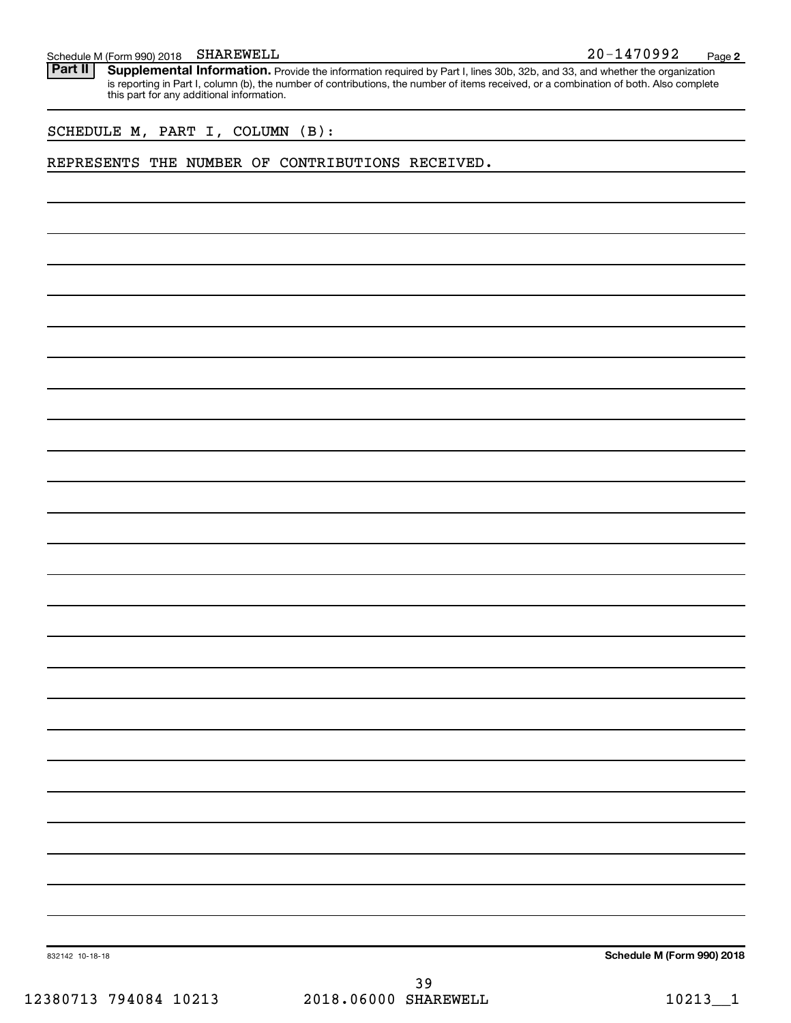Part II | Supplemental Information. Provide the information required by Part I, lines 30b, 32b, and 33, and whether the organization is reporting in Part I, column (b), the number of contributions, the number of items received, or a combination of both. Also complete this part for any additional information.

SCHEDULE M, PART I, COLUMN (B):

#### REPRESENTS THE NUMBER OF CONTRIBUTIONS RECEIVED.

**Schedule M (Form 990) 2018**